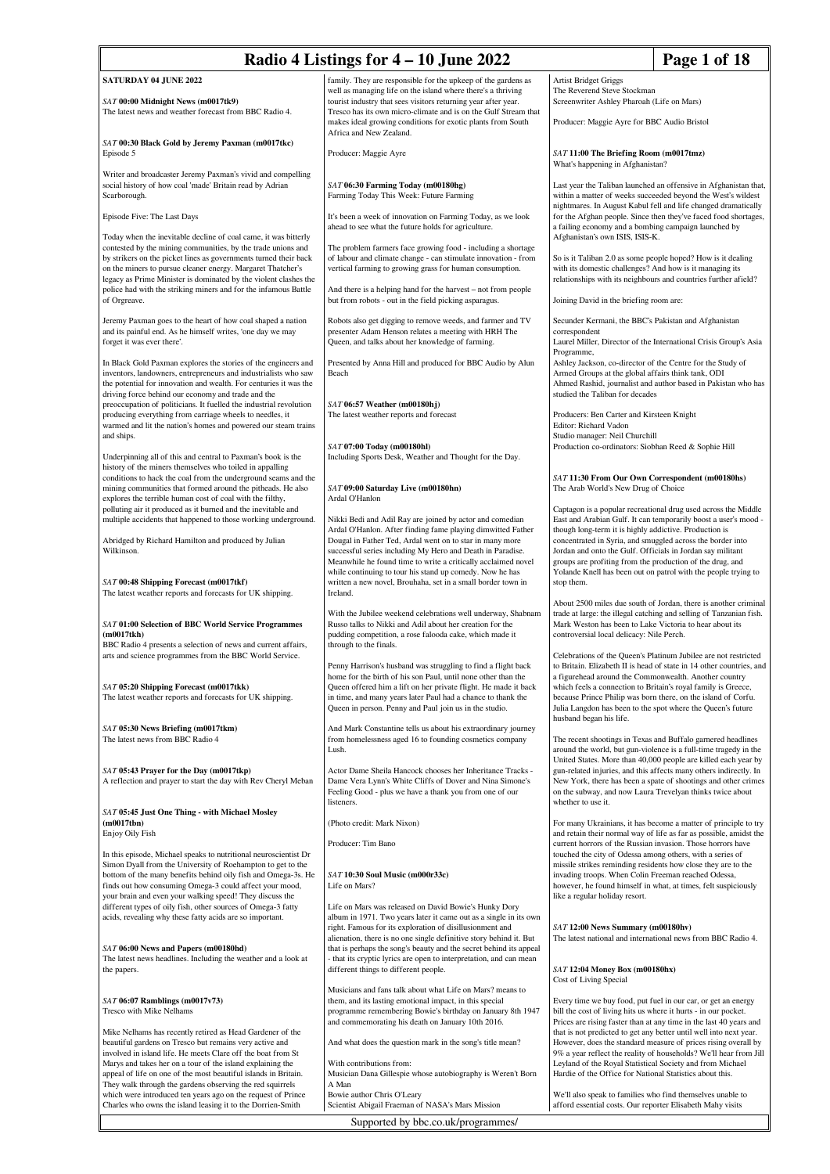| Radio 4 Listings for 4 – 10 June 2022<br>Page 1 of 18                                                                                                                                                                                                                                                                                                                                                     |                                                                                                                                                                                                                                                              |                                                                                                                                                                                                                                                                                   |  |  |
|-----------------------------------------------------------------------------------------------------------------------------------------------------------------------------------------------------------------------------------------------------------------------------------------------------------------------------------------------------------------------------------------------------------|--------------------------------------------------------------------------------------------------------------------------------------------------------------------------------------------------------------------------------------------------------------|-----------------------------------------------------------------------------------------------------------------------------------------------------------------------------------------------------------------------------------------------------------------------------------|--|--|
| SATURDAY 04 JUNE 2022                                                                                                                                                                                                                                                                                                                                                                                     | family. They are responsible for the upkeep of the gardens as<br>well as managing life on the island where there's a thriving                                                                                                                                | Artist Bridget Griggs<br>The Reverend Steve Stockman                                                                                                                                                                                                                              |  |  |
| SAT 00:00 Midnight News (m0017tk9)<br>The latest news and weather forecast from BBC Radio 4.                                                                                                                                                                                                                                                                                                              | tourist industry that sees visitors returning year after year.<br>Tresco has its own micro-climate and is on the Gulf Stream that<br>makes ideal growing conditions for exotic plants from South                                                             | Screenwriter Ashley Pharoah (Life on Mars)<br>Producer: Maggie Ayre for BBC Audio Bristol                                                                                                                                                                                         |  |  |
| SAT 00:30 Black Gold by Jeremy Paxman (m0017tkc)<br>Episode 5                                                                                                                                                                                                                                                                                                                                             | Africa and New Zealand.<br>Producer: Maggie Ayre                                                                                                                                                                                                             | SAT 11:00 The Briefing Room (m0017tmz)                                                                                                                                                                                                                                            |  |  |
| Writer and broadcaster Jeremy Paxman's vivid and compelling<br>social history of how coal 'made' Britain read by Adrian<br>Scarborough.                                                                                                                                                                                                                                                                   | SAT 06:30 Farming Today (m00180hg)<br>Farming Today This Week: Future Farming                                                                                                                                                                                | What's happening in Afghanistan?<br>Last year the Taliban launched an offensive in Afghanistan that,<br>within a matter of weeks succeeded beyond the West's wildest                                                                                                              |  |  |
| Episode Five: The Last Days                                                                                                                                                                                                                                                                                                                                                                               | It's been a week of innovation on Farming Today, as we look<br>ahead to see what the future holds for agriculture.                                                                                                                                           | nightmares. In August Kabul fell and life changed dramatically<br>for the Afghan people. Since then they've faced food shortages,<br>a failing economy and a bombing campaign launched by                                                                                         |  |  |
| Today when the inevitable decline of coal came, it was bitterly<br>contested by the mining communities, by the trade unions and<br>by strikers on the picket lines as governments turned their back<br>on the miners to pursue cleaner energy. Margaret Thatcher's<br>legacy as Prime Minister is dominated by the violent clashes the<br>police had with the striking miners and for the infamous Battle | The problem farmers face growing food - including a shortage<br>of labour and climate change - can stimulate innovation - from<br>vertical farming to growing grass for human consumption.<br>And there is a helping hand for the harvest – not from people  | Afghanistan's own ISIS, ISIS-K.<br>So is it Taliban 2.0 as some people hoped? How is it dealing<br>with its domestic challenges? And how is it managing its<br>relationships with its neighbours and countries further afield?                                                    |  |  |
| of Orgreave.                                                                                                                                                                                                                                                                                                                                                                                              | but from robots - out in the field picking asparagus.                                                                                                                                                                                                        | Joining David in the briefing room are:                                                                                                                                                                                                                                           |  |  |
| Jeremy Paxman goes to the heart of how coal shaped a nation<br>and its painful end. As he himself writes, 'one day we may<br>forget it was ever there'.                                                                                                                                                                                                                                                   | Robots also get digging to remove weeds, and farmer and TV<br>presenter Adam Henson relates a meeting with HRH The<br>Queen, and talks about her knowledge of farming.                                                                                       | Secunder Kermani, the BBC's Pakistan and Afghanistan<br>correspondent<br>Laurel Miller, Director of the International Crisis Group's Asia<br>Programme,                                                                                                                           |  |  |
| In Black Gold Paxman explores the stories of the engineers and<br>inventors, landowners, entrepreneurs and industrialists who saw<br>the potential for innovation and wealth. For centuries it was the<br>driving force behind our economy and trade and the                                                                                                                                              | Presented by Anna Hill and produced for BBC Audio by Alun<br>Beach                                                                                                                                                                                           | Ashley Jackson, co-director of the Centre for the Study of<br>Armed Groups at the global affairs think tank, ODI<br>Ahmed Rashid, journalist and author based in Pakistan who has<br>studied the Taliban for decades                                                              |  |  |
| preoccupation of politicians. It fuelled the industrial revolution<br>producing everything from carriage wheels to needles, it<br>warmed and lit the nation's homes and powered our steam trains                                                                                                                                                                                                          | $SAT$ 06:57 Weather (m00180hj)<br>The latest weather reports and forecast                                                                                                                                                                                    | Producers: Ben Carter and Kirsteen Knight<br>Editor: Richard Vadon                                                                                                                                                                                                                |  |  |
| and ships.                                                                                                                                                                                                                                                                                                                                                                                                | SAT 07:00 Today (m00180hl)                                                                                                                                                                                                                                   | Studio manager: Neil Churchill<br>Production co-ordinators: Siobhan Reed & Sophie Hill                                                                                                                                                                                            |  |  |
| Underpinning all of this and central to Paxman's book is the<br>history of the miners themselves who toiled in appalling<br>conditions to hack the coal from the underground seams and the<br>mining communities that formed around the pitheads. He also                                                                                                                                                 | Including Sports Desk, Weather and Thought for the Day.<br>SAT 09:00 Saturday Live (m00180hn)                                                                                                                                                                | SAT 11:30 From Our Own Correspondent (m00180hs)<br>The Arab World's New Drug of Choice                                                                                                                                                                                            |  |  |
| explores the terrible human cost of coal with the filthy,<br>polluting air it produced as it burned and the inevitable and<br>multiple accidents that happened to those working underground.                                                                                                                                                                                                              | Ardal O'Hanlon<br>Nikki Bedi and Adil Ray are joined by actor and comedian                                                                                                                                                                                   | Captagon is a popular recreational drug used across the Middle<br>East and Arabian Gulf. It can temporarily boost a user's mood -                                                                                                                                                 |  |  |
| Abridged by Richard Hamilton and produced by Julian<br>Wilkinson.                                                                                                                                                                                                                                                                                                                                         | Ardal O'Hanlon. After finding fame playing dimwitted Father<br>Dougal in Father Ted, Ardal went on to star in many more<br>successful series including My Hero and Death in Paradise.<br>Meanwhile he found time to write a critically acclaimed novel       | though long-term it is highly addictive. Production is<br>concentrated in Syria, and smuggled across the border into<br>Jordan and onto the Gulf. Officials in Jordan say militant<br>groups are profiting from the production of the drug, and                                   |  |  |
| SAT 00:48 Shipping Forecast (m0017tkf)<br>The latest weather reports and forecasts for UK shipping.                                                                                                                                                                                                                                                                                                       | while continuing to tour his stand up comedy. Now he has<br>written a new novel, Brouhaha, set in a small border town in<br>Ireland.                                                                                                                         | Yolande Knell has been out on patrol with the people trying to<br>stop them.<br>About 2500 miles due south of Jordan, there is another criminal                                                                                                                                   |  |  |
| <b>SAT 01:00 Selection of BBC World Service Programmes</b><br>(m0017tkh)                                                                                                                                                                                                                                                                                                                                  | With the Jubilee weekend celebrations well underway, Shabnam<br>Russo talks to Nikki and Adil about her creation for the<br>pudding competition, a rose falooda cake, which made it                                                                          | trade at large: the illegal catching and selling of Tanzanian fish.<br>Mark Weston has been to Lake Victoria to hear about its<br>controversial local delicacy: Nile Perch.                                                                                                       |  |  |
| BBC Radio 4 presents a selection of news and current affairs,<br>arts and science programmes from the BBC World Service.                                                                                                                                                                                                                                                                                  | through to the finals.<br>Penny Harrison's husband was struggling to find a flight back                                                                                                                                                                      | Celebrations of the Queen's Platinum Jubilee are not restricted<br>to Britain. Elizabeth II is head of state in 14 other countries, and                                                                                                                                           |  |  |
| SAT 05:20 Shipping Forecast (m0017tkk)<br>The latest weather reports and forecasts for UK shipping.                                                                                                                                                                                                                                                                                                       | home for the birth of his son Paul, until none other than the<br>Queen offered him a lift on her private flight. He made it back<br>in time, and many years later Paul had a chance to thank the<br>Queen in person. Penny and Paul join us in the studio.   | a figurehead around the Commonwealth. Another country<br>which feels a connection to Britain's royal family is Greece,<br>because Prince Philip was born there, on the island of Corfu.<br>Julia Langdon has been to the spot where the Queen's future<br>husband began his life. |  |  |
| SAT 05:30 News Briefing (m0017tkm)<br>The latest news from BBC Radio 4                                                                                                                                                                                                                                                                                                                                    | And Mark Constantine tells us about his extraordinary journey<br>from homelessness aged 16 to founding cosmetics company<br>Lush.                                                                                                                            | The recent shootings in Texas and Buffalo garnered headlines<br>around the world, but gun-violence is a full-time tragedy in the<br>United States. More than 40,000 people are killed each year by                                                                                |  |  |
| SAT 05:43 Prayer for the Day (m0017tkp)<br>A reflection and prayer to start the day with Rev Cheryl Meban                                                                                                                                                                                                                                                                                                 | Actor Dame Sheila Hancock chooses her Inheritance Tracks -<br>Dame Vera Lynn's White Cliffs of Dover and Nina Simone's<br>Feeling Good - plus we have a thank you from one of our<br>listeners.                                                              | gun-related injuries, and this affects many others indirectly. In<br>New York, there has been a spate of shootings and other crimes<br>on the subway, and now Laura Trevelyan thinks twice about<br>whether to use it.                                                            |  |  |
| SAT 05:45 Just One Thing - with Michael Mosley<br>(m0017tbn)<br>Enjoy Oily Fish                                                                                                                                                                                                                                                                                                                           | (Photo credit: Mark Nixon)                                                                                                                                                                                                                                   | For many Ukrainians, it has become a matter of principle to try<br>and retain their normal way of life as far as possible, amidst the                                                                                                                                             |  |  |
| In this episode, Michael speaks to nutritional neuroscientist Dr                                                                                                                                                                                                                                                                                                                                          | Producer: Tim Bano                                                                                                                                                                                                                                           | current horrors of the Russian invasion. Those horrors have<br>touched the city of Odessa among others, with a series of                                                                                                                                                          |  |  |
| Simon Dyall from the University of Roehampton to get to the<br>bottom of the many benefits behind oily fish and Omega-3s. He<br>finds out how consuming Omega-3 could affect your mood,<br>your brain and even your walking speed! They discuss the                                                                                                                                                       | SAT 10:30 Soul Music (m000r33c)<br>Life on Mars?                                                                                                                                                                                                             | missile strikes reminding residents how close they are to the<br>invading troops. When Colin Freeman reached Odessa,<br>however, he found himself in what, at times, felt suspiciously<br>like a regular holiday resort.                                                          |  |  |
| different types of oily fish, other sources of Omega-3 fatty<br>acids, revealing why these fatty acids are so important.                                                                                                                                                                                                                                                                                  | Life on Mars was released on David Bowie's Hunky Dory<br>album in 1971. Two years later it came out as a single in its own<br>right. Famous for its exploration of disillusionment and<br>alienation, there is no one single definitive story behind it. But | $SAT 12:00$ News Summary (m00180hv)<br>The latest national and international news from BBC Radio 4.                                                                                                                                                                               |  |  |
| SAT 06:00 News and Papers (m00180hd)<br>The latest news headlines. Including the weather and a look at<br>the papers.                                                                                                                                                                                                                                                                                     | that is perhaps the song's beauty and the secret behind its appeal<br>- that its cryptic lyrics are open to interpretation, and can mean<br>different things to different people.                                                                            | $SAT$ 12:04 Money Box (m00180hx)<br>Cost of Living Special                                                                                                                                                                                                                        |  |  |
| SAT 06:07 Ramblings (m0017v73)<br>Tresco with Mike Nelhams                                                                                                                                                                                                                                                                                                                                                | Musicians and fans talk about what Life on Mars? means to<br>them, and its lasting emotional impact, in this special<br>programme remembering Bowie's birthday on January 8th 1947<br>and commemorating his death on January 10th 2016.                      | Every time we buy food, put fuel in our car, or get an energy<br>bill the cost of living hits us where it hurts - in our pocket.<br>Prices are rising faster than at any time in the last 40 years and                                                                            |  |  |
| Mike Nelhams has recently retired as Head Gardener of the<br>beautiful gardens on Tresco but remains very active and<br>involved in island life. He meets Clare off the boat from St                                                                                                                                                                                                                      | And what does the question mark in the song's title mean?                                                                                                                                                                                                    | that is not predicted to get any better until well into next year.<br>However, does the standard measure of prices rising overall by<br>9% a year reflect the reality of households? We'll hear from Jill                                                                         |  |  |
| Marys and takes her on a tour of the island explaining the<br>appeal of life on one of the most beautiful islands in Britain.<br>They walk through the gardens observing the red squirrels                                                                                                                                                                                                                | With contributions from:<br>Musician Dana Gillespie whose autobiography is Weren't Born<br>A Man                                                                                                                                                             | Leyland of the Royal Statistical Society and from Michael<br>Hardie of the Office for National Statistics about this.                                                                                                                                                             |  |  |
| which were introduced ten years ago on the request of Prince<br>Charles who owns the island leasing it to the Dorrien-Smith                                                                                                                                                                                                                                                                               | Bowie author Chris O'Leary<br>Scientist Abigail Fraeman of NASA's Mars Mission                                                                                                                                                                               | We'll also speak to families who find themselves unable to<br>afford essential costs. Our reporter Elisabeth Mahy visits                                                                                                                                                          |  |  |
| Supported by bbc.co.uk/programmes/                                                                                                                                                                                                                                                                                                                                                                        |                                                                                                                                                                                                                                                              |                                                                                                                                                                                                                                                                                   |  |  |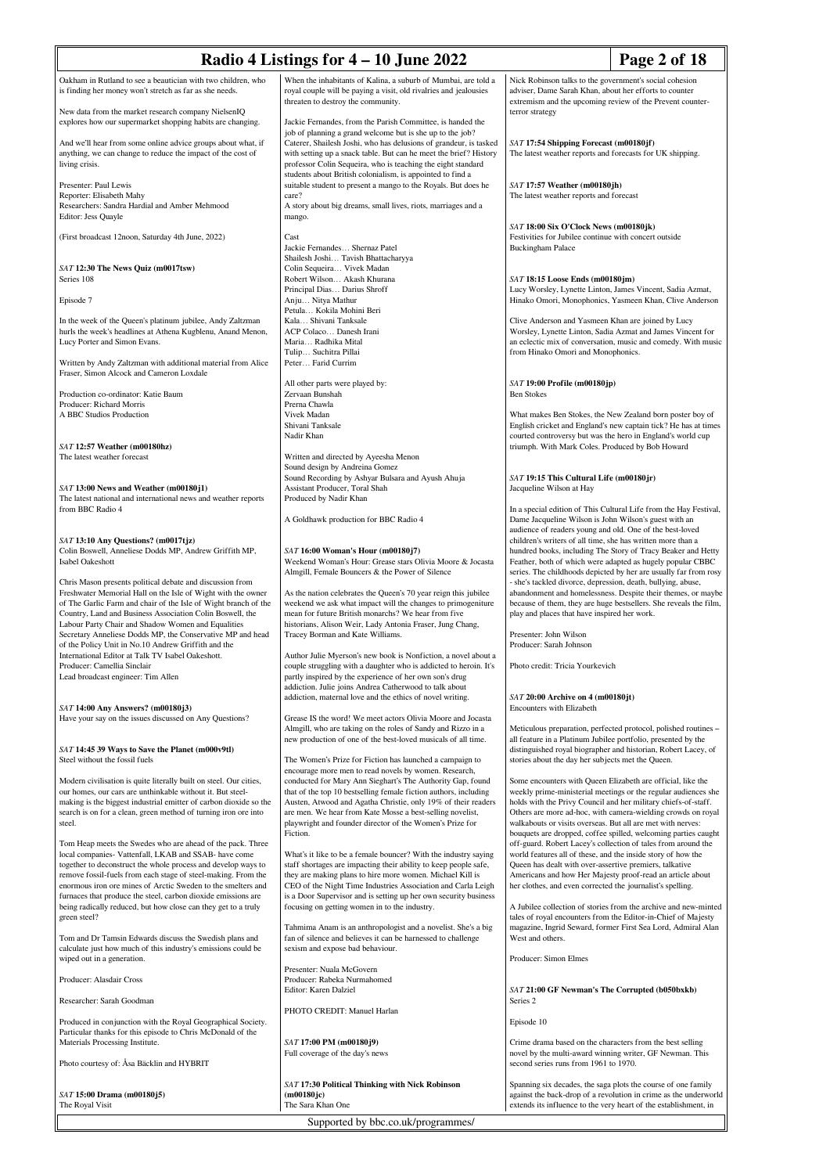| Radio 4 Listings for $4 - 10$ June 2022<br>Page 2 of 18                                                                                                                                                      |                                                                                                                                                                                                                                                            |                                                                                                                                                                                                                                                                 |  |
|--------------------------------------------------------------------------------------------------------------------------------------------------------------------------------------------------------------|------------------------------------------------------------------------------------------------------------------------------------------------------------------------------------------------------------------------------------------------------------|-----------------------------------------------------------------------------------------------------------------------------------------------------------------------------------------------------------------------------------------------------------------|--|
| Oakham in Rutland to see a beautician with two children, who                                                                                                                                                 | When the inhabitants of Kalina, a suburb of Mumbai, are told a                                                                                                                                                                                             |                                                                                                                                                                                                                                                                 |  |
| is finding her money won't stretch as far as she needs.                                                                                                                                                      | royal couple will be paying a visit, old rivalries and jealousies<br>threaten to destroy the community.                                                                                                                                                    | Nick Robinson talks to the government's social cohesion<br>adviser, Dame Sarah Khan, about her efforts to counter<br>extremism and the upcoming review of the Prevent counter-                                                                                  |  |
| New data from the market research company NielsenIQ<br>explores how our supermarket shopping habits are changing.                                                                                            | Jackie Fernandes, from the Parish Committee, is handed the<br>job of planning a grand welcome but is she up to the job?                                                                                                                                    | terror strategy                                                                                                                                                                                                                                                 |  |
| And we'll hear from some online advice groups about what, if<br>anything, we can change to reduce the impact of the cost of<br>living crisis.                                                                | Caterer, Shailesh Joshi, who has delusions of grandeur, is tasked<br>with setting up a snack table. But can he meet the brief? History<br>professor Colin Sequeira, who is teaching the eight standard                                                     | SAT 17:54 Shipping Forecast (m00180jf)<br>The latest weather reports and forecasts for UK shipping.                                                                                                                                                             |  |
| Presenter: Paul Lewis<br>Reporter: Elisabeth Mahy<br>Researchers: Sandra Hardial and Amber Mehmood                                                                                                           | students about British colonialism, is appointed to find a<br>suitable student to present a mango to the Royals. But does he<br>care?<br>A story about big dreams, small lives, riots, marriages and a                                                     | SAT 17:57 Weather (m00180jh)<br>The latest weather reports and forecast                                                                                                                                                                                         |  |
| Editor: Jess Quayle                                                                                                                                                                                          | mango.                                                                                                                                                                                                                                                     |                                                                                                                                                                                                                                                                 |  |
| (First broadcast 12noon, Saturday 4th June, 2022)                                                                                                                                                            | Cast<br>Jackie Fernandes Shernaz Patel                                                                                                                                                                                                                     | SAT 18:00 Six O'Clock News (m00180jk)<br>Festivities for Jubilee continue with concert outside<br><b>Buckingham Palace</b>                                                                                                                                      |  |
| SAT 12:30 The News Quiz (m0017tsw)<br>Series 108                                                                                                                                                             | Shailesh Joshi Tavish Bhattacharyya<br>Colin Sequeira Vivek Madan<br>Robert Wilson Akash Khurana                                                                                                                                                           | $SAT$ 18:15 Loose Ends (m00180jm)                                                                                                                                                                                                                               |  |
| Episode 7                                                                                                                                                                                                    | Principal Dias Darius Shroff<br>Anju Nitya Mathur<br>Petula Kokila Mohini Beri                                                                                                                                                                             | Lucy Worsley, Lynette Linton, James Vincent, Sadia Azmat,<br>Hinako Omori, Monophonics, Yasmeen Khan, Clive Anderson                                                                                                                                            |  |
| In the week of the Queen's platinum jubilee, Andy Zaltzman                                                                                                                                                   | Kala Shivani Tanksale                                                                                                                                                                                                                                      | Clive Anderson and Yasmeen Khan are joined by Lucy                                                                                                                                                                                                              |  |
| hurls the week's headlines at Athena Kugblenu, Anand Menon,                                                                                                                                                  | ACP Colaco Danesh Irani                                                                                                                                                                                                                                    | Worsley, Lynette Linton, Sadia Azmat and James Vincent for                                                                                                                                                                                                      |  |
| Lucy Porter and Simon Evans.                                                                                                                                                                                 | Maria Radhika Mital<br>Tulip Suchitra Pillai                                                                                                                                                                                                               | an eclectic mix of conversation, music and comedy. With music<br>from Hinako Omori and Monophonics.                                                                                                                                                             |  |
| Written by Andy Zaltzman with additional material from Alice<br>Fraser, Simon Alcock and Cameron Loxdale                                                                                                     | Peter Farid Currim                                                                                                                                                                                                                                         |                                                                                                                                                                                                                                                                 |  |
| Production co-ordinator: Katie Baum<br>Producer: Richard Morris                                                                                                                                              | All other parts were played by:<br>Zervaan Bunshah<br>Prerna Chawla                                                                                                                                                                                        | $SAT 19:00$ Profile (m00180jp)<br><b>Ben Stokes</b>                                                                                                                                                                                                             |  |
| A BBC Studios Production                                                                                                                                                                                     | Vivek Madan                                                                                                                                                                                                                                                | What makes Ben Stokes, the New Zealand born poster boy of                                                                                                                                                                                                       |  |
| SAT 12:57 Weather (m00180hz)                                                                                                                                                                                 | Shivani Tanksale<br>Nadir Khan                                                                                                                                                                                                                             | English cricket and England's new captain tick? He has at times<br>courted controversy but was the hero in England's world cup<br>triumph. With Mark Coles. Produced by Bob Howard                                                                              |  |
| The latest weather forecast                                                                                                                                                                                  | Written and directed by Ayeesha Menon                                                                                                                                                                                                                      |                                                                                                                                                                                                                                                                 |  |
|                                                                                                                                                                                                              | Sound design by Andreina Gomez                                                                                                                                                                                                                             |                                                                                                                                                                                                                                                                 |  |
|                                                                                                                                                                                                              | Sound Recording by Ashyar Bulsara and Ayush Ahuja                                                                                                                                                                                                          | SAT 19:15 This Cultural Life (m00180jr)                                                                                                                                                                                                                         |  |
| $SAT$ 13:00 News and Weather (m00180j1)<br>The latest national and international news and weather reports                                                                                                    | Assistant Producer, Toral Shah<br>Produced by Nadir Khan                                                                                                                                                                                                   | Jacqueline Wilson at Hay                                                                                                                                                                                                                                        |  |
| from BBC Radio 4                                                                                                                                                                                             |                                                                                                                                                                                                                                                            | In a special edition of This Cultural Life from the Hay Festival,                                                                                                                                                                                               |  |
|                                                                                                                                                                                                              | A Goldhawk production for BBC Radio 4                                                                                                                                                                                                                      | Dame Jacqueline Wilson is John Wilson's guest with an<br>audience of readers young and old. One of the best-loved                                                                                                                                               |  |
| SAT 13:10 Any Questions? (m0017tjz)<br>Colin Boswell, Anneliese Dodds MP, Andrew Griffith MP,                                                                                                                | SAT 16:00 Woman's Hour (m00180j7)                                                                                                                                                                                                                          | children's writers of all time, she has written more than a<br>hundred books, including The Story of Tracy Beaker and Hetty                                                                                                                                     |  |
| Isabel Oakeshott                                                                                                                                                                                             | Weekend Woman's Hour: Grease stars Olivia Moore & Jocasta<br>Almgill, Female Bouncers & the Power of Silence                                                                                                                                               | Feather, both of which were adapted as hugely popular CBBC<br>series. The childhoods depicted by her are usually far from rosy                                                                                                                                  |  |
| Chris Mason presents political debate and discussion from<br>Freshwater Memorial Hall on the Isle of Wight with the owner                                                                                    |                                                                                                                                                                                                                                                            | - she's tackled divorce, depression, death, bullying, abuse,<br>abandonment and homelessness. Despite their themes, or maybe                                                                                                                                    |  |
| of The Garlic Farm and chair of the Isle of Wight branch of the<br>Country, Land and Business Association Colin Boswell, the                                                                                 | As the nation celebrates the Queen's 70 year reign this jubilee<br>weekend we ask what impact will the changes to primogeniture<br>mean for future British monarchs? We hear from five                                                                     | because of them, they are huge bestsellers. She reveals the film,<br>play and places that have inspired her work.                                                                                                                                               |  |
| Labour Party Chair and Shadow Women and Equalities<br>Secretary Anneliese Dodds MP, the Conservative MP and head<br>of the Policy Unit in No.10 Andrew Griffith and the                                      | historians, Alison Weir, Lady Antonia Fraser, Jung Chang,<br>Tracey Borman and Kate Williams.                                                                                                                                                              | Presenter: John Wilson<br>Producer: Sarah Johnson                                                                                                                                                                                                               |  |
| International Editor at Talk TV Isabel Oakeshott.                                                                                                                                                            | Author Julie Myerson's new book is Nonfiction, a novel about a                                                                                                                                                                                             |                                                                                                                                                                                                                                                                 |  |
| Producer: Camellia Sinclair<br>Lead broadcast engineer: Tim Allen                                                                                                                                            | couple struggling with a daughter who is addicted to heroin. It's<br>partly inspired by the experience of her own son's drug<br>addiction. Julie joins Andrea Catherwood to talk about                                                                     | Photo credit: Tricia Yourkevich                                                                                                                                                                                                                                 |  |
|                                                                                                                                                                                                              | addiction, maternal love and the ethics of novel writing.                                                                                                                                                                                                  | SAT 20:00 Archive on 4 (m00180jt)                                                                                                                                                                                                                               |  |
| SAT 14:00 Any Answers? (m00180j3)                                                                                                                                                                            |                                                                                                                                                                                                                                                            | Encounters with Elizabeth                                                                                                                                                                                                                                       |  |
| Have your say on the issues discussed on Any Questions?                                                                                                                                                      | Grease IS the word! We meet actors Olivia Moore and Jocasta<br>Almgill, who are taking on the roles of Sandy and Rizzo in a<br>new production of one of the best-loved musicals of all time.                                                               | Meticulous preparation, perfected protocol, polished routines -<br>all feature in a Platinum Jubilee portfolio, presented by the                                                                                                                                |  |
| SAT 14:45 39 Ways to Save the Planet (m000v9tl)<br>Steel without the fossil fuels                                                                                                                            | The Women's Prize for Fiction has launched a campaign to                                                                                                                                                                                                   | distinguished royal biographer and historian, Robert Lacey, of<br>stories about the day her subjects met the Queen.                                                                                                                                             |  |
| Modern civilisation is quite literally built on steel. Our cities,                                                                                                                                           | encourage more men to read novels by women. Research,<br>conducted for Mary Ann Sieghart's The Authority Gap, found                                                                                                                                        | Some encounters with Queen Elizabeth are official, like the                                                                                                                                                                                                     |  |
| our homes, our cars are unthinkable without it. But steel-<br>making is the biggest industrial emitter of carbon dioxide so the<br>search is on for a clean, green method of turning iron ore into<br>steel. | that of the top 10 bestselling female fiction authors, including<br>Austen, Atwood and Agatha Christie, only 19% of their readers<br>are men. We hear from Kate Mosse a best-selling novelist,<br>playwright and founder director of the Women's Prize for | weekly prime-ministerial meetings or the regular audiences she<br>holds with the Privy Council and her military chiefs-of-staff.<br>Others are more ad-hoc, with camera-wielding crowds on royal<br>walkabouts or visits overseas. But all are met with nerves: |  |
|                                                                                                                                                                                                              | Fiction.                                                                                                                                                                                                                                                   | bouquets are dropped, coffee spilled, welcoming parties caught                                                                                                                                                                                                  |  |
| Tom Heap meets the Swedes who are ahead of the pack. Three                                                                                                                                                   |                                                                                                                                                                                                                                                            | off-guard. Robert Lacey's collection of tales from around the                                                                                                                                                                                                   |  |
| local companies- Vattenfall, LKAB and SSAB- have come<br>together to deconstruct the whole process and develop ways to                                                                                       | What's it like to be a female bouncer? With the industry saying<br>staff shortages are impacting their ability to keep people safe,                                                                                                                        | world features all of these, and the inside story of how the<br>Queen has dealt with over-assertive premiers, talkative                                                                                                                                         |  |
| remove fossil-fuels from each stage of steel-making. From the                                                                                                                                                | they are making plans to hire more women. Michael Kill is                                                                                                                                                                                                  | Americans and how Her Majesty proof-read an article about                                                                                                                                                                                                       |  |
| enormous iron ore mines of Arctic Sweden to the smelters and                                                                                                                                                 | CEO of the Night Time Industries Association and Carla Leigh                                                                                                                                                                                               | her clothes, and even corrected the journalist's spelling.                                                                                                                                                                                                      |  |
| furnaces that produce the steel, carbon dioxide emissions are                                                                                                                                                | is a Door Supervisor and is setting up her own security business                                                                                                                                                                                           |                                                                                                                                                                                                                                                                 |  |
| being radically reduced, but how close can they get to a truly<br>green steel?                                                                                                                               | focusing on getting women in to the industry.                                                                                                                                                                                                              | A Jubilee collection of stories from the archive and new-minted<br>tales of royal encounters from the Editor-in-Chief of Majesty                                                                                                                                |  |
|                                                                                                                                                                                                              | Tahmima Anam is an anthropologist and a novelist. She's a big                                                                                                                                                                                              | magazine, Ingrid Seward, former First Sea Lord, Admiral Alan                                                                                                                                                                                                    |  |
| Tom and Dr Tamsin Edwards discuss the Swedish plans and<br>calculate just how much of this industry's emissions could be                                                                                     | fan of silence and believes it can be harnessed to challenge<br>sexism and expose bad behaviour.                                                                                                                                                           | West and others.<br>Producer: Simon Elmes                                                                                                                                                                                                                       |  |
| wiped out in a generation.<br>Producer: Alasdair Cross                                                                                                                                                       | Presenter: Nuala McGovern<br>Producer: Rabeka Nurmahomed                                                                                                                                                                                                   |                                                                                                                                                                                                                                                                 |  |
|                                                                                                                                                                                                              | Editor: Karen Dalziel                                                                                                                                                                                                                                      | SAT 21:00 GF Newman's The Corrupted (b050bxkb)                                                                                                                                                                                                                  |  |
| Researcher: Sarah Goodman                                                                                                                                                                                    | PHOTO CREDIT: Manuel Harlan                                                                                                                                                                                                                                | Series <sub>2</sub>                                                                                                                                                                                                                                             |  |
| Produced in conjunction with the Royal Geographical Society.<br>Particular thanks for this episode to Chris McDonald of the                                                                                  |                                                                                                                                                                                                                                                            | Episode 10                                                                                                                                                                                                                                                      |  |
| Materials Processing Institute.                                                                                                                                                                              | SAT 17:00 PM (m00180j9)<br>Full coverage of the day's news                                                                                                                                                                                                 | Crime drama based on the characters from the best selling<br>novel by the multi-award winning writer, GF Newman. This                                                                                                                                           |  |
| Photo courtesy of: Åsa Bäcklin and HYBRIT                                                                                                                                                                    |                                                                                                                                                                                                                                                            | second series runs from 1961 to 1970.                                                                                                                                                                                                                           |  |
| SAT 15:00 Drama (m00180j5)                                                                                                                                                                                   | SAT 17:30 Political Thinking with Nick Robinson<br>(m00180j)                                                                                                                                                                                               | Spanning six decades, the saga plots the course of one family<br>against the back-drop of a revolution in crime as the underworld                                                                                                                               |  |
| The Royal Visit                                                                                                                                                                                              | The Sara Khan One                                                                                                                                                                                                                                          | extends its influence to the very heart of the establishment, in                                                                                                                                                                                                |  |

Supported by bbc.co.uk/programmes/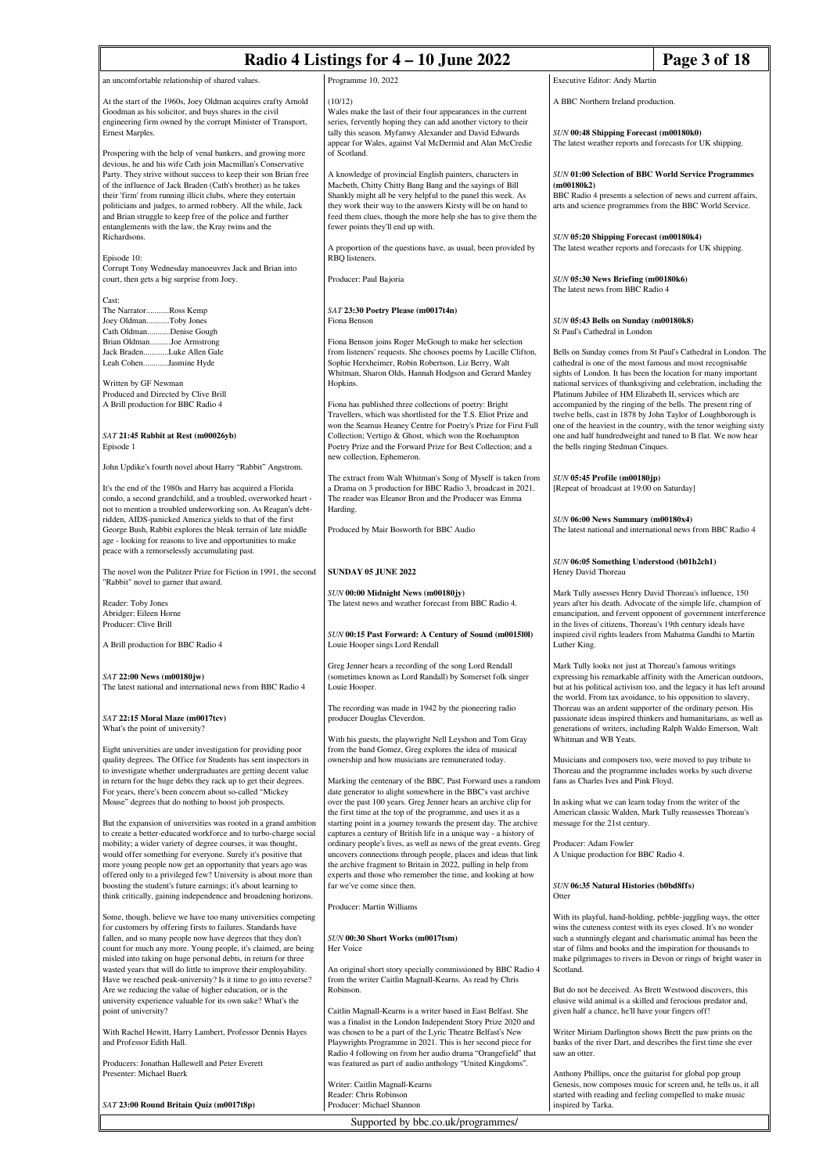# **Radio 4 Listings for 4 – 10 June 2022** Page 3 of 18

an uncomfortable relationship of shared values.

At the start of the 1960s, Joey Oldman acquires crafty Arnold Goodman as his solicitor, and buys shares in the civil engineering firm owned by the corrupt Minister of Transport, Ernest Marples.

Prospering with the help of venal bankers, and growing more devious, he and his wife Cath join Macmillan's Conservative Party. They strive without success to keep their son Brian free of the influence of Jack Braden (Cath's brother) as he takes their 'firm' from running illicit clubs, where they entertain politicians and judges, to armed robbery. All the while, Jack and Brian struggle to keep free of the police and further entanglements with the law, the Kray twins and the Richardsons.

### Episode 10:

Corrupt Tony Wednesday manoeuvres Jack and Brian into court, then gets a big surprise from Joey.

Cast:<br>The Narrator... .......Ross Kemp Joey Oldman...........Toby Jones<br>Cath Oldman Denise Gou Cath Oldman..........Denise Gough<br>Brian Oldman..........Joe Armstrong Brian Oldman..........Joe Armstrong<br>Jack Braden................Luke Allen Gal Jack Braden...........Luke Allen Gale<br>Leah Cohen...........Jasmine Hyde Leah Cohen............Jasmine Hyde

Written by GF Newman Produced and Directed by Clive Brill A Brill production for BBC Radio 4

*SAT* **21:45 Rabbit at Rest (m00026yb)** Episode 1

John Updike's fourth novel about Harry "Rabbit" Angstrom.

It's the end of the 1980s and Harry has acquired a Florida condo, a second grandchild, and a troubled, overworked heart not to mention a troubled underworking son. As Reagan's debtridden, AIDS-panicked America yields to that of the first George Bush, Rabbit explores the bleak terrain of late middle age - looking for reasons to live and opportunities to make peace with a remorselessly accumulating past.

The novel won the Pulitzer Prize for Fiction in 1991, the second "Rabbit" novel to garner that award.

Reader: Toby Jones Abridger: Eileen Horne Producer: Clive Brill

A Brill production for BBC Radio 4

## *SAT* **22:00 News (m00180jw)**

The latest national and international news from BBC Radio 4

*SAT* **22:15 Moral Maze (m0017tcv)** What's the point of university?

Eight universities are under investigation for providing poor quality degrees. The Office for Students has sent inspectors in to investigate whether undergraduates are getting decent value in return for the huge debts they rack up to get their degrees. For years, there's been concern about so-called "Mickey Mouse" degrees that do nothing to boost job prospects.

But the expansion of universities was rooted in a grand ambition to create a better-educated workforce and to turbo-charge social mobility; a wider variety of degree courses, it was thought, would offer something for everyone. Surely it's positive that more young people now get an opportunity that years ago was offered only to a privileged few? University is about more than boosting the student's future earnings; it's about learning to think critically, gaining independence and broadening horizon

Some, though, believe we have too many universities competing for customers by offering firsts to failures. Standards have fallen, and so many people now have degrees that they don't count for much any more. Young people, it's claimed, are being misled into taking on huge personal debts, in return for three wasted years that will do little to improve their employability. Have we reached peak-university? Is it time to go into reverse? Are we reducing the value of higher education, or is the university experience valuable for its own sake? What's the point of university?

With Rachel Hewitt, Harry Lambert, Professor Dennis Hayes and Professor Edith Hall.

Producers: Jonathan Hallewell and Peter Everett Presenter: Michael Buerk

*SAT* **23:00 Round Britain Quiz (m0017t8p)**

Programme 10, 2022

(10/12)

Wales make the last of their four appearances in the current series, fervently hoping they can add another victory to their tally this season. Myfanwy Alexander and David Edwards appear for Wales, against Val McDermid and Alan McCredie of Scotland.

A knowledge of provincial English painters, characters in Macbeth, Chitty Chitty Bang Bang and the sayings of Bill Shankly might all be very helpful to the panel this week. As they work their way to the answers Kirsty will be on hand to feed them clues, though the more help she has to give them the fewer points they'll end up with.

A proportion of the questions have, as usual, been provided by RBQ listeners.

Producer: Paul Bajoria

### *SAT* **23:30 Poetry Please (m0017t4n)** Fiona Benson

Fiona Benson joins Roger McGough to make her selection from listeners' requests. She chooses poems by Lucille Clifton, Sophie Herxheimer, Robin Robertson, Liz Berry, Walt Whitman, Sharon Olds, Hannah Hodgson and Gerard Manley **Hopkins** 

Fiona has published three collections of poetry: Bright Travellers, which was shortlisted for the T.S. Eliot Prize and won the Seamus Heaney Centre for Poetry's Prize for First Full Collection: Vertigo & Ghost, which won the Roehampton Poetry Prize and the Forward Prize for Best Collection; and a new collection, Ephemeron.

The extract from Walt Whitman's Song of Myself is taken from a Drama on 3 production for BBC Radio 3, broadcast in 2021. The reader was Eleanor Bron and the Producer was Emma **Harding** 

Produced by Mair Bosworth for BBC Audio

### **SUNDAY 05 JUNE 2022**

*SUN* **00:00 Midnight News (m00180jy)** The latest news and weather forecast from BBC Radio 4.

*SUN* **00:15 Past Forward: A Century of Sound (m0015l0l)** Louie Hooper sings Lord Rendall

Greg Jenner hears a recording of the song Lord Rendall (sometimes known as Lord Randall) by Somerset folk singer Louie Hooper.

The recording was made in 1942 by the pioneering radio producer Douglas Cleverdon.

With his guests, the playwright Nell Leyshon and Tom Gray from the band Gomez, Greg explores the idea of musical ownership and how musicians are remunerated today.

Marking the centenary of the BBC, Past Forward uses a random date generator to alight somewhere in the BBC's vast archive over the past 100 years. Greg Jenner hears an archive clip for the first time at the top of the programme, and uses it as a starting point in a journey towards the present day. The archive captures a century of British life in a unique way - a history of ordinary people's lives, as well as news of the great events. Greg uncovers connections through people, places and ideas that link the archive fragment to Britain in 2022, pulling in help from experts and those who remember the time, and looking at how far we've come since then.

Producer: Martin Williams

### *SUN* **00:30 Short Works (m0017tsm)** Her Voice

An original short story specially commissioned by BBC Radio 4 from the writer Caitlin Magnall-Kearns. As read by Chris Robinson.

Caitlin Magnall-Kearns is a writer based in East Belfast. She was a finalist in the London Independent Story Prize 2020 and was chosen to be a part of the Lyric Theatre Belfast's New Playwrights Programme in 2021. This is her second piece for Radio 4 following on from her audio drama "Orangefield" that was featured as part of audio anthology "United Kingdoms"

Writer: Caitlin Magnall-Kearns Reader: Chris Rob Producer: Michael Shannon

Supported by bbc.co.uk/programmes/

Executive Editor: Andy Martin

A BBC Northern Ireland production.

*SUN* **00:48 Shipping Forecast (m00180k0)** The latest weather reports and forecasts for UK shipping.

*SUN* **01:00 Selection of BBC World Service Programmes (m00180k2)**

BBC Radio 4 presents a selection of news and current affairs, arts and science programmes from the BBC World Service.

*SUN* **05:20 Shipping Forecast (m00180k4)** The latest weather reports and forecasts for UK shipping.

*SUN* **05:30 News Briefing (m00180k6)** The latest news from BBC Radio 4

*SUN* **05:43 Bells on Sunday (m00180k8)** St Paul's Cathedral in London

Bells on Sunday comes from St Paul's Cathedral in London. The cathedral is one of the most famous and most recognisable sights of London. It has been the location for many important national services of thanksgiving and celebration, including the Platinum Jubilee of HM Elizabeth II, services which are accompanied by the ringing of the bells. The present ring of twelve bells, cast in 1878 by John Taylor of Loughborough is one of the heaviest in the country, with the tenor weighing sixty one and half hundredweight and tuned to B flat. We now hear the bells ringing Stedman Cinques.

*SUN* **05:45 Profile (m00180jp)** [Repeat of broadcast at 19:00 on Saturday]

*SUN* **06:00 News Summary (m00180x4)**

The latest national and international news from BBC Radio 4

*SUN* **06:05 Something Understood (b01h2ch1)** Henry David Thoreau

Mark Tully assesses Henry David Thoreau's influence, 150 years after his death. Advocate of the simple life, champion of emancipation, and fervent opponent of government interference in the lives of citizens. Thoreau's 19th century ideals have inspired civil rights leaders from Mahatma Gandhi to Martin Luther King.

Mark Tully looks not just at Thoreau's famous writings expressing his remarkable affinity with the American outdoors, but at his political activism too, and the legacy it has left around the world. From tax avoidance, to his opposition to slavery, Thoreau was an ardent supporter of the ordinary person. His passionate ideas inspired thinkers and humanitarians, as well as generations of writers, including Ralph Waldo Emerson, Walt Whitman and WB Yeats.

Musicians and composers too, were moved to pay tribute to Thoreau and the programme includes works by such diverse fans as Charles Ives and Pink Floyd.

In asking what we can learn today from the writer of the American classic Walden, Mark Tully reassesses Thoreau's message for the 21st century.

Producer: Adam Fowler A Unique production for BBC Radio 4.

*SUN* **06:35 Natural Histories (b0bd8ffs) Otter** 

With its playful, hand-holding, pebble-juggling ways, the otter wins the cuteness contest with its eyes closed. It's no wonder such a stunningly elegant and charismatic animal has been the star of films and books and the inspiration for thousands to make pilgrimages to rivers in Devon or rings of bright water in Scotland.

But do not be deceived. As Brett Westwood discovers, this elusive wild animal is a skilled and ferocious predator and, given half a chance, he'll have your fingers off!

Writer Miriam Darlington shows Brett the paw prints on the banks of the river Dart, and describes the first time she ever saw an otter.

Anthony Phillips, once the guitarist for global pop group Genesis, now composes music for screen and, he tells us, it all started with reading and feeling compelled to make music inspired by Tarka.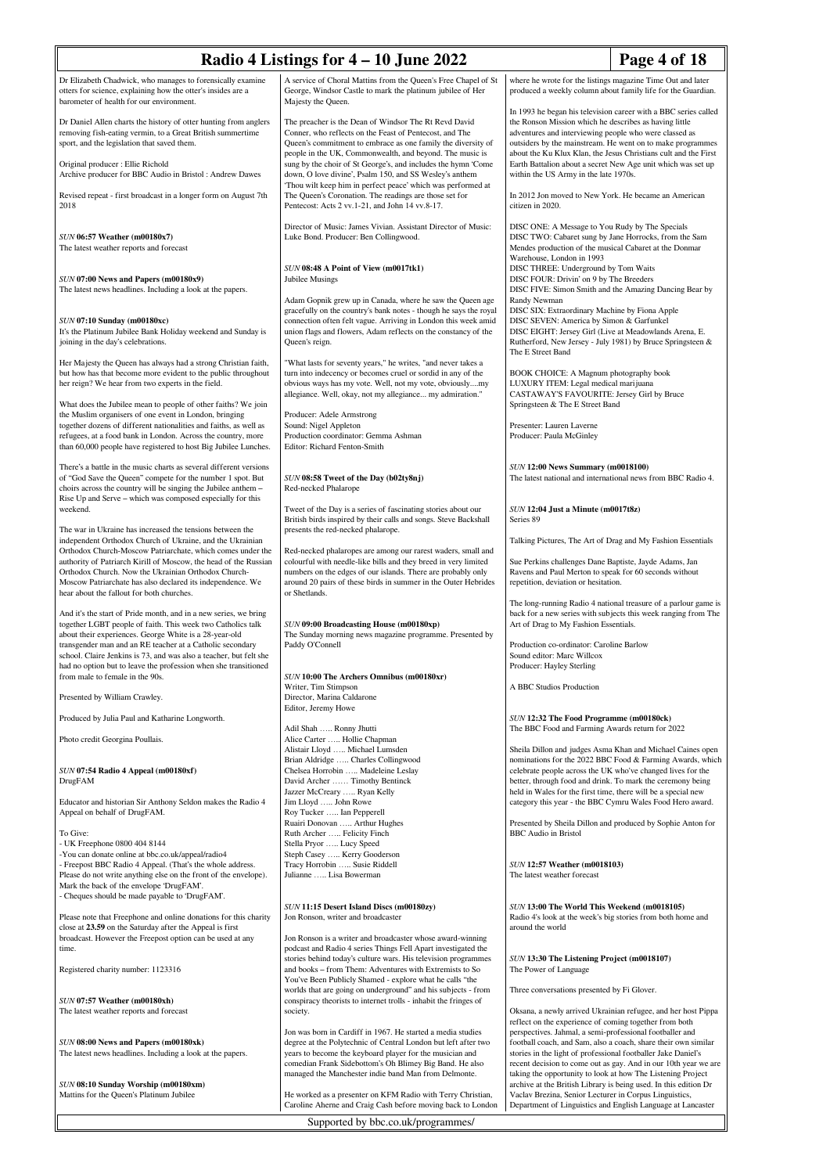| Dr Elizabeth Chadwick, who manages to forensically examine<br>A service of Choral Mattins from the Queen's Free Chapel of St<br>where he wrote for the listings magazine Time Out and later<br>otters for science, explaining how the otter's insides are a<br>George, Windsor Castle to mark the platinum jubilee of Her<br>produced a weekly column about family life for the Guardian.<br>barometer of health for our environment.<br>Majesty the Queen.<br>In 1993 he began his television career with a BBC series called<br>Dr Daniel Allen charts the history of otter hunting from anglers<br>The preacher is the Dean of Windsor The Rt Revd David<br>the Ronson Mission which he describes as having little<br>removing fish-eating vermin, to a Great British summertime<br>Conner, who reflects on the Feast of Pentecost, and The<br>adventures and interviewing people who were classed as<br>Queen's commitment to embrace as one family the diversity of<br>sport, and the legislation that saved them.<br>outsiders by the mainstream. He went on to make programmes<br>people in the UK, Commonwealth, and beyond. The music is<br>about the Ku Klux Klan, the Jesus Christians cult and the First<br>sung by the choir of St George's, and includes the hymn 'Come<br>Original producer : Ellie Richold<br>Earth Battalion about a secret New Age unit which was set up<br>Archive producer for BBC Audio in Bristol : Andrew Dawes<br>down, O love divine', Psalm 150, and SS Wesley's anthem<br>within the US Army in the late 1970s.<br>Thou wilt keep him in perfect peace' which was performed at<br>The Queen's Coronation. The readings are those set for<br>In 2012 Jon moved to New York. He became an American<br>Revised repeat - first broadcast in a longer form on August 7th<br>Pentecost: Acts 2 vv.1-21, and John 14 vv.8-17.<br>citizen in 2020.<br>2018<br>Director of Music: James Vivian. Assistant Director of Music:<br>DISC ONE: A Message to You Rudy by The Specials |  |
|-------------------------------------------------------------------------------------------------------------------------------------------------------------------------------------------------------------------------------------------------------------------------------------------------------------------------------------------------------------------------------------------------------------------------------------------------------------------------------------------------------------------------------------------------------------------------------------------------------------------------------------------------------------------------------------------------------------------------------------------------------------------------------------------------------------------------------------------------------------------------------------------------------------------------------------------------------------------------------------------------------------------------------------------------------------------------------------------------------------------------------------------------------------------------------------------------------------------------------------------------------------------------------------------------------------------------------------------------------------------------------------------------------------------------------------------------------------------------------------------------------------------------------------------------------------------------------------------------------------------------------------------------------------------------------------------------------------------------------------------------------------------------------------------------------------------------------------------------------------------------------------------------------------------------------------------------------------------------------------------------------------------|--|
|                                                                                                                                                                                                                                                                                                                                                                                                                                                                                                                                                                                                                                                                                                                                                                                                                                                                                                                                                                                                                                                                                                                                                                                                                                                                                                                                                                                                                                                                                                                                                                                                                                                                                                                                                                                                                                                                                                                                                                                                                   |  |
|                                                                                                                                                                                                                                                                                                                                                                                                                                                                                                                                                                                                                                                                                                                                                                                                                                                                                                                                                                                                                                                                                                                                                                                                                                                                                                                                                                                                                                                                                                                                                                                                                                                                                                                                                                                                                                                                                                                                                                                                                   |  |
|                                                                                                                                                                                                                                                                                                                                                                                                                                                                                                                                                                                                                                                                                                                                                                                                                                                                                                                                                                                                                                                                                                                                                                                                                                                                                                                                                                                                                                                                                                                                                                                                                                                                                                                                                                                                                                                                                                                                                                                                                   |  |
|                                                                                                                                                                                                                                                                                                                                                                                                                                                                                                                                                                                                                                                                                                                                                                                                                                                                                                                                                                                                                                                                                                                                                                                                                                                                                                                                                                                                                                                                                                                                                                                                                                                                                                                                                                                                                                                                                                                                                                                                                   |  |
|                                                                                                                                                                                                                                                                                                                                                                                                                                                                                                                                                                                                                                                                                                                                                                                                                                                                                                                                                                                                                                                                                                                                                                                                                                                                                                                                                                                                                                                                                                                                                                                                                                                                                                                                                                                                                                                                                                                                                                                                                   |  |
|                                                                                                                                                                                                                                                                                                                                                                                                                                                                                                                                                                                                                                                                                                                                                                                                                                                                                                                                                                                                                                                                                                                                                                                                                                                                                                                                                                                                                                                                                                                                                                                                                                                                                                                                                                                                                                                                                                                                                                                                                   |  |
| SUN 06:57 Weather (m00180x7)<br>DISC TWO: Cabaret sung by Jane Horrocks, from the Sam<br>Luke Bond. Producer: Ben Collingwood.<br>Mendes production of the musical Cabaret at the Donmar<br>The latest weather reports and forecast                                                                                                                                                                                                                                                                                                                                                                                                                                                                                                                                                                                                                                                                                                                                                                                                                                                                                                                                                                                                                                                                                                                                                                                                                                                                                                                                                                                                                                                                                                                                                                                                                                                                                                                                                                               |  |
| Warehouse, London in 1993<br>SUN 08:48 A Point of View (m0017tk1)<br>DISC THREE: Underground by Tom Waits<br>SUN 07:00 News and Papers (m00180x9)<br>DISC FOUR: Drivin' on 9 by The Breeders<br>Jubilee Musings<br>The latest news headlines. Including a look at the papers.<br>DISC FIVE: Simon Smith and the Amazing Dancing Bear by                                                                                                                                                                                                                                                                                                                                                                                                                                                                                                                                                                                                                                                                                                                                                                                                                                                                                                                                                                                                                                                                                                                                                                                                                                                                                                                                                                                                                                                                                                                                                                                                                                                                           |  |
| Adam Gopnik grew up in Canada, where he saw the Queen age<br>Randy Newman<br>gracefully on the country's bank notes - though he says the royal<br>DISC SIX: Extraordinary Machine by Fiona Apple                                                                                                                                                                                                                                                                                                                                                                                                                                                                                                                                                                                                                                                                                                                                                                                                                                                                                                                                                                                                                                                                                                                                                                                                                                                                                                                                                                                                                                                                                                                                                                                                                                                                                                                                                                                                                  |  |
| <b>SUN 07:10 Sunday (m00180xc)</b><br>connection often felt vague. Arriving in London this week amid<br>DISC SEVEN: America by Simon & Garfunkel<br>It's the Platinum Jubilee Bank Holiday weekend and Sunday is<br>union flags and flowers, Adam reflects on the constancy of the<br>DISC EIGHT: Jersey Girl (Live at Meadowlands Arena, E.<br>joining in the day's celebrations.<br>Queen's reign.<br>Rutherford, New Jersey - July 1981) by Bruce Springsteen &                                                                                                                                                                                                                                                                                                                                                                                                                                                                                                                                                                                                                                                                                                                                                                                                                                                                                                                                                                                                                                                                                                                                                                                                                                                                                                                                                                                                                                                                                                                                                |  |
| The E Street Band                                                                                                                                                                                                                                                                                                                                                                                                                                                                                                                                                                                                                                                                                                                                                                                                                                                                                                                                                                                                                                                                                                                                                                                                                                                                                                                                                                                                                                                                                                                                                                                                                                                                                                                                                                                                                                                                                                                                                                                                 |  |
| "What lasts for seventy years," he writes, "and never takes a<br>Her Majesty the Queen has always had a strong Christian faith,<br>but how has that become more evident to the public throughout<br>turn into indecency or becomes cruel or sordid in any of the<br>BOOK CHOICE: A Magnum photography book<br>her reign? We hear from two experts in the field.<br>obvious ways has my vote. Well, not my vote, obviouslymy<br>LUXURY ITEM: Legal medical marijuana<br>allegiance. Well, okay, not my allegiance my admiration."<br>CASTAWAY'S FAVOURITE: Jersey Girl by Bruce                                                                                                                                                                                                                                                                                                                                                                                                                                                                                                                                                                                                                                                                                                                                                                                                                                                                                                                                                                                                                                                                                                                                                                                                                                                                                                                                                                                                                                    |  |
| Springsteen & The E Street Band<br>What does the Jubilee mean to people of other faiths? We join<br>the Muslim organisers of one event in London, bringing                                                                                                                                                                                                                                                                                                                                                                                                                                                                                                                                                                                                                                                                                                                                                                                                                                                                                                                                                                                                                                                                                                                                                                                                                                                                                                                                                                                                                                                                                                                                                                                                                                                                                                                                                                                                                                                        |  |
| Producer: Adele Armstrong<br>together dozens of different nationalities and faiths, as well as<br>Sound: Nigel Appleton<br>Presenter: Lauren Laverne                                                                                                                                                                                                                                                                                                                                                                                                                                                                                                                                                                                                                                                                                                                                                                                                                                                                                                                                                                                                                                                                                                                                                                                                                                                                                                                                                                                                                                                                                                                                                                                                                                                                                                                                                                                                                                                              |  |
| Production coordinator: Gemma Ashman<br>Producer: Paula McGinley<br>refugees, at a food bank in London. Across the country, more<br>Editor: Richard Fenton-Smith<br>than 60,000 people have registered to host Big Jubilee Lunches.                                                                                                                                                                                                                                                                                                                                                                                                                                                                                                                                                                                                                                                                                                                                                                                                                                                                                                                                                                                                                                                                                                                                                                                                                                                                                                                                                                                                                                                                                                                                                                                                                                                                                                                                                                               |  |
| There's a battle in the music charts as several different versions<br><b>SUN 12:00 News Summary (m0018100)</b><br>of "God Save the Queen" compete for the number 1 spot. But<br>SUN 08:58 Tweet of the Day (b02ty8nj)<br>The latest national and international news from BBC Radio 4.<br>choirs across the country will be singing the Jubilee anthem -<br>Red-necked Phalarope                                                                                                                                                                                                                                                                                                                                                                                                                                                                                                                                                                                                                                                                                                                                                                                                                                                                                                                                                                                                                                                                                                                                                                                                                                                                                                                                                                                                                                                                                                                                                                                                                                   |  |
| Rise Up and Serve - which was composed especially for this<br>weekend.<br>Tweet of the Day is a series of fascinating stories about our<br>SUN 12:04 Just a Minute (m0017t8z)<br>Series 89                                                                                                                                                                                                                                                                                                                                                                                                                                                                                                                                                                                                                                                                                                                                                                                                                                                                                                                                                                                                                                                                                                                                                                                                                                                                                                                                                                                                                                                                                                                                                                                                                                                                                                                                                                                                                        |  |
| British birds inspired by their calls and songs. Steve Backshall<br>The war in Ukraine has increased the tensions between the<br>presents the red-necked phalarope.<br>independent Orthodox Church of Ukraine, and the Ukrainian<br>Talking Pictures, The Art of Drag and My Fashion Essentials                                                                                                                                                                                                                                                                                                                                                                                                                                                                                                                                                                                                                                                                                                                                                                                                                                                                                                                                                                                                                                                                                                                                                                                                                                                                                                                                                                                                                                                                                                                                                                                                                                                                                                                   |  |
| Orthodox Church-Moscow Patriarchate, which comes under the<br>Red-necked phalaropes are among our rarest waders, small and                                                                                                                                                                                                                                                                                                                                                                                                                                                                                                                                                                                                                                                                                                                                                                                                                                                                                                                                                                                                                                                                                                                                                                                                                                                                                                                                                                                                                                                                                                                                                                                                                                                                                                                                                                                                                                                                                        |  |
| authority of Patriarch Kirill of Moscow, the head of the Russian<br>colourful with needle-like bills and they breed in very limited<br>Sue Perkins challenges Dane Baptiste, Jayde Adams, Jan<br>numbers on the edges of our islands. There are probably only<br>Ravens and Paul Merton to speak for 60 seconds without<br>Orthodox Church. Now the Ukrainian Orthodox Church-<br>Moscow Patriarchate has also declared its independence. We<br>around 20 pairs of these birds in summer in the Outer Hebrides<br>repetition, deviation or hesitation.                                                                                                                                                                                                                                                                                                                                                                                                                                                                                                                                                                                                                                                                                                                                                                                                                                                                                                                                                                                                                                                                                                                                                                                                                                                                                                                                                                                                                                                            |  |
| hear about the fallout for both churches.<br>or Shetlands.<br>The long-running Radio 4 national treasure of a parlour game is                                                                                                                                                                                                                                                                                                                                                                                                                                                                                                                                                                                                                                                                                                                                                                                                                                                                                                                                                                                                                                                                                                                                                                                                                                                                                                                                                                                                                                                                                                                                                                                                                                                                                                                                                                                                                                                                                     |  |
| And it's the start of Pride month, and in a new series, we bring<br>back for a new series with subjects this week ranging from The<br>together LGBT people of faith. This week two Catholics talk<br>SUN 09:00 Broadcasting House (m00180xp)<br>Art of Drag to My Fashion Essentials.                                                                                                                                                                                                                                                                                                                                                                                                                                                                                                                                                                                                                                                                                                                                                                                                                                                                                                                                                                                                                                                                                                                                                                                                                                                                                                                                                                                                                                                                                                                                                                                                                                                                                                                             |  |
| about their experiences. George White is a 28-year-old<br>The Sunday morning news magazine programme. Presented by<br>transgender man and an RE teacher at a Catholic secondary<br>Paddy O'Connell<br>Production co-ordinator: Caroline Barlow                                                                                                                                                                                                                                                                                                                                                                                                                                                                                                                                                                                                                                                                                                                                                                                                                                                                                                                                                                                                                                                                                                                                                                                                                                                                                                                                                                                                                                                                                                                                                                                                                                                                                                                                                                    |  |
| school. Claire Jenkins is 73, and was also a teacher, but felt she<br>Sound editor: Marc Willcox<br>had no option but to leave the profession when she transitioned<br>Producer: Hayley Sterling                                                                                                                                                                                                                                                                                                                                                                                                                                                                                                                                                                                                                                                                                                                                                                                                                                                                                                                                                                                                                                                                                                                                                                                                                                                                                                                                                                                                                                                                                                                                                                                                                                                                                                                                                                                                                  |  |
| SUN 10:00 The Archers Omnibus (m00180xr)<br>from male to female in the 90s.<br>Writer, Tim Stimpson<br>A BBC Studios Production                                                                                                                                                                                                                                                                                                                                                                                                                                                                                                                                                                                                                                                                                                                                                                                                                                                                                                                                                                                                                                                                                                                                                                                                                                                                                                                                                                                                                                                                                                                                                                                                                                                                                                                                                                                                                                                                                   |  |
| Presented by William Crawley.<br>Director, Marina Caldarone<br>Editor, Jeremy Howe                                                                                                                                                                                                                                                                                                                                                                                                                                                                                                                                                                                                                                                                                                                                                                                                                                                                                                                                                                                                                                                                                                                                                                                                                                                                                                                                                                                                                                                                                                                                                                                                                                                                                                                                                                                                                                                                                                                                |  |
| SUN 12:32 The Food Programme (m00180ck)<br>Produced by Julia Paul and Katharine Longworth.<br>Adil Shah  Ronny Jhutti<br>The BBC Food and Farming Awards return for 2022                                                                                                                                                                                                                                                                                                                                                                                                                                                                                                                                                                                                                                                                                                                                                                                                                                                                                                                                                                                                                                                                                                                                                                                                                                                                                                                                                                                                                                                                                                                                                                                                                                                                                                                                                                                                                                          |  |
| Alice Carter  Hollie Chapman<br>Photo credit Georgina Poullais.<br>Alistair Lloyd  Michael Lumsden<br>Sheila Dillon and judges Asma Khan and Michael Caines open                                                                                                                                                                                                                                                                                                                                                                                                                                                                                                                                                                                                                                                                                                                                                                                                                                                                                                                                                                                                                                                                                                                                                                                                                                                                                                                                                                                                                                                                                                                                                                                                                                                                                                                                                                                                                                                  |  |
| Brian Aldridge  Charles Collingwood<br>nominations for the 2022 BBC Food & Farming Awards, which                                                                                                                                                                                                                                                                                                                                                                                                                                                                                                                                                                                                                                                                                                                                                                                                                                                                                                                                                                                                                                                                                                                                                                                                                                                                                                                                                                                                                                                                                                                                                                                                                                                                                                                                                                                                                                                                                                                  |  |
| SUN 07:54 Radio 4 Appeal (m00180xf)<br>Chelsea Horrobin  Madeleine Leslay<br>celebrate people across the UK who've changed lives for the<br>David Archer  Timothy Bentinck<br>better, through food and drink. To mark the ceremony being<br>DrugFAM                                                                                                                                                                                                                                                                                                                                                                                                                                                                                                                                                                                                                                                                                                                                                                                                                                                                                                                                                                                                                                                                                                                                                                                                                                                                                                                                                                                                                                                                                                                                                                                                                                                                                                                                                               |  |
| Jazzer McCreary  Ryan Kelly<br>held in Wales for the first time, there will be a special new<br>Educator and historian Sir Anthony Seldon makes the Radio 4<br>Jim Lloyd  John Rowe<br>category this year - the BBC Cymru Wales Food Hero award.                                                                                                                                                                                                                                                                                                                                                                                                                                                                                                                                                                                                                                                                                                                                                                                                                                                                                                                                                                                                                                                                                                                                                                                                                                                                                                                                                                                                                                                                                                                                                                                                                                                                                                                                                                  |  |
| Appeal on behalf of DrugFAM.<br>Roy Tucker  Ian Pepperell<br>Ruairi Donovan  Arthur Hughes<br>Presented by Sheila Dillon and produced by Sophie Anton for                                                                                                                                                                                                                                                                                                                                                                                                                                                                                                                                                                                                                                                                                                                                                                                                                                                                                                                                                                                                                                                                                                                                                                                                                                                                                                                                                                                                                                                                                                                                                                                                                                                                                                                                                                                                                                                         |  |
| Ruth Archer  Felicity Finch<br><b>BBC</b> Audio in Bristol<br>To Give:<br>- UK Freephone 0800 404 8144<br>Stella Pryor  Lucy Speed                                                                                                                                                                                                                                                                                                                                                                                                                                                                                                                                                                                                                                                                                                                                                                                                                                                                                                                                                                                                                                                                                                                                                                                                                                                                                                                                                                                                                                                                                                                                                                                                                                                                                                                                                                                                                                                                                |  |
| -You can donate online at bbc.co.uk/appeal/radio4<br>Steph Casey  Kerry Gooderson<br>- Freepost BBC Radio 4 Appeal. (That's the whole address.<br>Tracy Horrobin  Susie Riddell<br>SUN 12:57 Weather (m0018103)                                                                                                                                                                                                                                                                                                                                                                                                                                                                                                                                                                                                                                                                                                                                                                                                                                                                                                                                                                                                                                                                                                                                                                                                                                                                                                                                                                                                                                                                                                                                                                                                                                                                                                                                                                                                   |  |
| Please do not write anything else on the front of the envelope).<br>Julianne  Lisa Bowerman<br>The latest weather forecast<br>Mark the back of the envelope 'DrugFAM'.                                                                                                                                                                                                                                                                                                                                                                                                                                                                                                                                                                                                                                                                                                                                                                                                                                                                                                                                                                                                                                                                                                                                                                                                                                                                                                                                                                                                                                                                                                                                                                                                                                                                                                                                                                                                                                            |  |
| - Cheques should be made payable to 'DrugFAM'.<br>SUN 11:15 Desert Island Discs (m00180zy)<br>SUN 13:00 The World This Weekend (m0018105)                                                                                                                                                                                                                                                                                                                                                                                                                                                                                                                                                                                                                                                                                                                                                                                                                                                                                                                                                                                                                                                                                                                                                                                                                                                                                                                                                                                                                                                                                                                                                                                                                                                                                                                                                                                                                                                                         |  |
| Please note that Freephone and online donations for this charity<br>Jon Ronson, writer and broadcaster<br>Radio 4's look at the week's big stories from both home and<br>close at 23.59 on the Saturday after the Appeal is first<br>around the world                                                                                                                                                                                                                                                                                                                                                                                                                                                                                                                                                                                                                                                                                                                                                                                                                                                                                                                                                                                                                                                                                                                                                                                                                                                                                                                                                                                                                                                                                                                                                                                                                                                                                                                                                             |  |
| broadcast. However the Freepost option can be used at any<br>Jon Ronson is a writer and broadcaster whose award-winning<br>podcast and Radio 4 series Things Fell Apart investigated the<br>time.                                                                                                                                                                                                                                                                                                                                                                                                                                                                                                                                                                                                                                                                                                                                                                                                                                                                                                                                                                                                                                                                                                                                                                                                                                                                                                                                                                                                                                                                                                                                                                                                                                                                                                                                                                                                                 |  |
| stories behind today's culture wars. His television programmes<br>SUN 13:30 The Listening Project (m0018107)<br>Registered charity number: 1123316<br>and books - from Them: Adventures with Extremists to So<br>The Power of Language<br>You've Been Publicly Shamed - explore what he calls "the                                                                                                                                                                                                                                                                                                                                                                                                                                                                                                                                                                                                                                                                                                                                                                                                                                                                                                                                                                                                                                                                                                                                                                                                                                                                                                                                                                                                                                                                                                                                                                                                                                                                                                                |  |
| worlds that are going on underground" and his subjects - from<br>Three conversations presented by Fi Glover.<br>SUN 07:57 Weather (m00180xh)<br>conspiracy theorists to internet trolls - inhabit the fringes of                                                                                                                                                                                                                                                                                                                                                                                                                                                                                                                                                                                                                                                                                                                                                                                                                                                                                                                                                                                                                                                                                                                                                                                                                                                                                                                                                                                                                                                                                                                                                                                                                                                                                                                                                                                                  |  |
| The latest weather reports and forecast<br>Oksana, a newly arrived Ukrainian refugee, and her host Pippa<br>society.<br>reflect on the experience of coming together from both                                                                                                                                                                                                                                                                                                                                                                                                                                                                                                                                                                                                                                                                                                                                                                                                                                                                                                                                                                                                                                                                                                                                                                                                                                                                                                                                                                                                                                                                                                                                                                                                                                                                                                                                                                                                                                    |  |
| Jon was born in Cardiff in 1967. He started a media studies<br>perspectives. Jahmal, a semi-professional footballer and<br>SUN 08:00 News and Papers (m00180xk)<br>degree at the Polytechnic of Central London but left after two<br>football coach, and Sam, also a coach, share their own similar                                                                                                                                                                                                                                                                                                                                                                                                                                                                                                                                                                                                                                                                                                                                                                                                                                                                                                                                                                                                                                                                                                                                                                                                                                                                                                                                                                                                                                                                                                                                                                                                                                                                                                               |  |
| The latest news headlines. Including a look at the papers.<br>years to become the keyboard player for the musician and<br>stories in the light of professional footballer Jake Daniel's                                                                                                                                                                                                                                                                                                                                                                                                                                                                                                                                                                                                                                                                                                                                                                                                                                                                                                                                                                                                                                                                                                                                                                                                                                                                                                                                                                                                                                                                                                                                                                                                                                                                                                                                                                                                                           |  |
| comedian Frank Sidebottom's Oh Blimey Big Band. He also<br>recent decision to come out as gay. And in our 10th year we are<br>managed the Manchester indie band Man from Delmonte.<br>taking the opportunity to look at how The Listening Project                                                                                                                                                                                                                                                                                                                                                                                                                                                                                                                                                                                                                                                                                                                                                                                                                                                                                                                                                                                                                                                                                                                                                                                                                                                                                                                                                                                                                                                                                                                                                                                                                                                                                                                                                                 |  |
| SUN 08:10 Sunday Worship (m00180xm)<br>archive at the British Library is being used. In this edition Dr<br>Mattins for the Queen's Platinum Jubilee<br>He worked as a presenter on KFM Radio with Terry Christian,<br>Vaclav Brezina, Senior Lecturer in Corpus Linguistics,<br>Caroline Aherne and Craig Cash before moving back to London<br>Department of Linguistics and English Language at Lancaster                                                                                                                                                                                                                                                                                                                                                                                                                                                                                                                                                                                                                                                                                                                                                                                                                                                                                                                                                                                                                                                                                                                                                                                                                                                                                                                                                                                                                                                                                                                                                                                                        |  |

Supported by bbc.co.uk/programmes/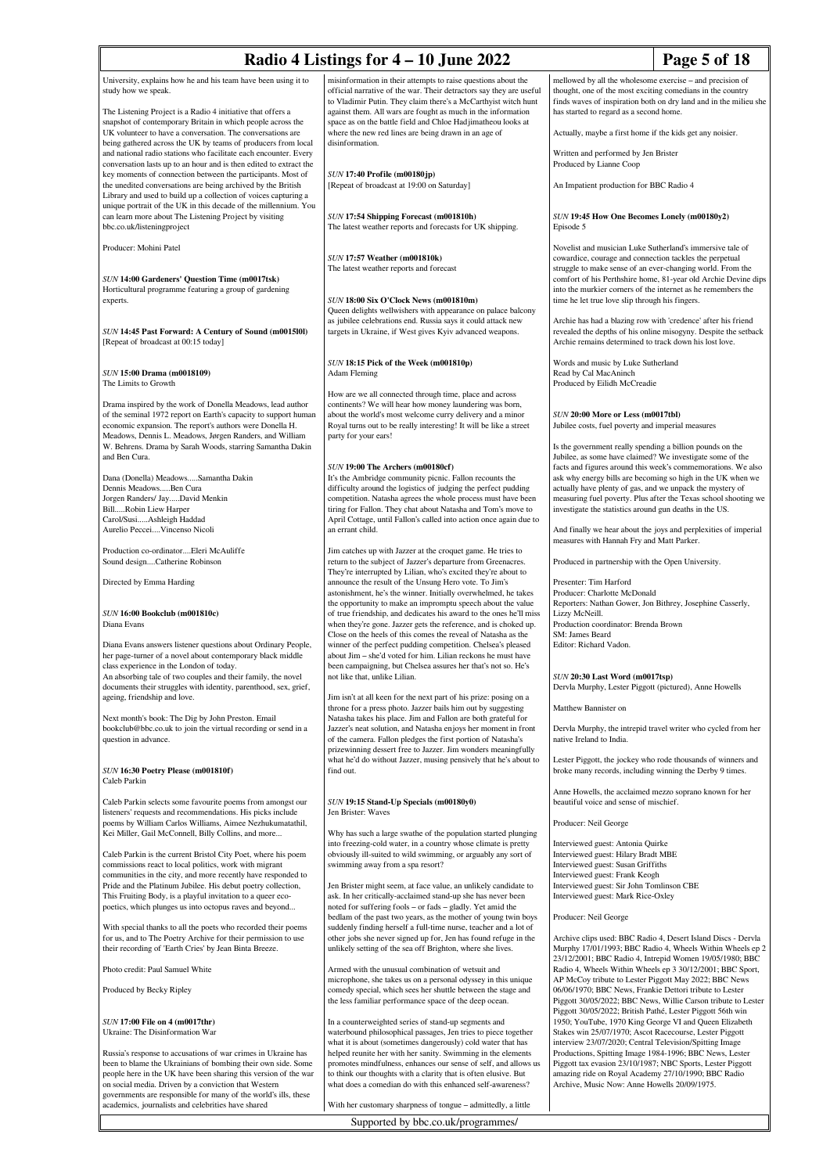| Radio 4 Listings for $4 - 10$ June 2022<br>Page 5 of 18                                                                                                                                                                                                |                                                                                                                                                                                                                                                                               |                                                                                                                                                                                                                                                 |  |  |
|--------------------------------------------------------------------------------------------------------------------------------------------------------------------------------------------------------------------------------------------------------|-------------------------------------------------------------------------------------------------------------------------------------------------------------------------------------------------------------------------------------------------------------------------------|-------------------------------------------------------------------------------------------------------------------------------------------------------------------------------------------------------------------------------------------------|--|--|
| University, explains how he and his team have been using it to<br>study how we speak.<br>The Listening Project is a Radio 4 initiative that offers a                                                                                                   | misinformation in their attempts to raise questions about the<br>official narrative of the war. Their detractors say they are useful<br>to Vladimir Putin. They claim there's a McCarthyist witch hunt<br>against them. All wars are fought as much in the information        | mellowed by all the wholesome exercise – and precision of<br>thought, one of the most exciting comedians in the country<br>finds waves of inspiration both on dry land and in the milieu she<br>has started to regard as a second home.         |  |  |
| snapshot of contemporary Britain in which people across the<br>UK volunteer to have a conversation. The conversations are<br>being gathered across the UK by teams of producers from local                                                             | space as on the battle field and Chloe Hadjimatheou looks at<br>where the new red lines are being drawn in an age of<br>disinformation.                                                                                                                                       | Actually, maybe a first home if the kids get any noisier.                                                                                                                                                                                       |  |  |
| and national radio stations who facilitate each encounter. Every<br>conversation lasts up to an hour and is then edited to extract the<br>key moments of connection between the participants. Most of                                                  | <b>SUN 17:40 Profile (m00180jp)</b>                                                                                                                                                                                                                                           | Written and performed by Jen Brister<br>Produced by Lianne Coop                                                                                                                                                                                 |  |  |
| the unedited conversations are being archived by the British<br>Library and used to build up a collection of voices capturing a<br>unique portrait of the UK in this decade of the millennium. You                                                     | [Repeat of broadcast at 19:00 on Saturday]                                                                                                                                                                                                                                    | An Impatient production for BBC Radio 4                                                                                                                                                                                                         |  |  |
| can learn more about The Listening Project by visiting<br>bbc.co.uk/listeningproject                                                                                                                                                                   | SUN 17:54 Shipping Forecast (m001810h)<br>The latest weather reports and forecasts for UK shipping.                                                                                                                                                                           | SUN 19:45 How One Becomes Lonely (m00180y2)<br>Episode 5                                                                                                                                                                                        |  |  |
| Producer: Mohini Patel                                                                                                                                                                                                                                 | <b>SUN 17:57 Weather (m001810k)</b>                                                                                                                                                                                                                                           | Novelist and musician Luke Sutherland's immersive tale of<br>cowardice, courage and connection tackles the perpetual                                                                                                                            |  |  |
| SUN 14:00 Gardeners' Question Time (m0017tsk)<br>Horticultural programme featuring a group of gardening<br>experts.                                                                                                                                    | The latest weather reports and forecast<br>SUN 18:00 Six O'Clock News (m001810m)                                                                                                                                                                                              | struggle to make sense of an ever-changing world. From the<br>comfort of his Perthshire home, 81-year old Archie Devine dips<br>into the murkier corners of the internet as he remembers the<br>time he let true love slip through his fingers. |  |  |
| SUN 14:45 Past Forward: A Century of Sound (m0015101)<br>[Repeat of broadcast at 00:15 today]                                                                                                                                                          | Queen delights wellwishers with appearance on palace balcony<br>as jubilee celebrations end. Russia says it could attack new<br>targets in Ukraine, if West gives Kyiv advanced weapons.                                                                                      | Archie has had a blazing row with 'credence' after his friend<br>revealed the depths of his online misogyny. Despite the setback<br>Archie remains determined to track down his lost love.                                                      |  |  |
| SUN 15:00 Drama (m0018109)<br>The Limits to Growth                                                                                                                                                                                                     | SUN 18:15 Pick of the Week (m001810p)<br>Adam Fleming                                                                                                                                                                                                                         | Words and music by Luke Sutherland<br>Read by Cal MacAninch<br>Produced by Eilidh McCreadie                                                                                                                                                     |  |  |
| Drama inspired by the work of Donella Meadows, lead author<br>of the seminal 1972 report on Earth's capacity to support human<br>economic expansion. The report's authors were Donella H.<br>Meadows, Dennis L. Meadows, Jørgen Randers, and William   | How are we all connected through time, place and across<br>continents? We will hear how money laundering was born,<br>about the world's most welcome curry delivery and a minor<br>Royal turns out to be really interesting! It will be like a street<br>party for your ears! | SUN 20:00 More or Less (m0017tbl)<br>Jubilee costs, fuel poverty and imperial measures                                                                                                                                                          |  |  |
| W. Behrens. Drama by Sarah Woods, starring Samantha Dakin<br>and Ben Cura.                                                                                                                                                                             | SUN 19:00 The Archers (m00180cf)                                                                                                                                                                                                                                              | Is the government really spending a billion pounds on the<br>Jubilee, as some have claimed? We investigate some of the<br>facts and figures around this week's commemorations. We also                                                          |  |  |
| Dana (Donella) MeadowsSamantha Dakin<br>Dennis MeadowsBen Cura<br>Jorgen Randers/ JayDavid Menkin                                                                                                                                                      | It's the Ambridge community picnic. Fallon recounts the<br>difficulty around the logistics of judging the perfect pudding<br>competition. Natasha agrees the whole process must have been                                                                                     | ask why energy bills are becoming so high in the UK when we<br>actually have plenty of gas, and we unpack the mystery of<br>measuring fuel poverty. Plus after the Texas school shooting we                                                     |  |  |
| BillRobin Liew Harper<br>Carol/SusiAshleigh Haddad<br>Aurelio PecceiVincenso Nicoli                                                                                                                                                                    | tiring for Fallon. They chat about Natasha and Tom's move to<br>April Cottage, until Fallon's called into action once again due to<br>an errant child.                                                                                                                        | investigate the statistics around gun deaths in the US.<br>And finally we hear about the joys and perplexities of imperial                                                                                                                      |  |  |
| Production co-ordinatorEleri McAuliffe<br>Sound designCatherine Robinson                                                                                                                                                                               | Jim catches up with Jazzer at the croquet game. He tries to<br>return to the subject of Jazzer's departure from Greenacres.                                                                                                                                                   | measures with Hannah Fry and Matt Parker.<br>Produced in partnership with the Open University.                                                                                                                                                  |  |  |
| Directed by Emma Harding                                                                                                                                                                                                                               | They're interrupted by Lilian, who's excited they're about to<br>announce the result of the Unsung Hero vote. To Jim's<br>astonishment, he's the winner. Initially overwhelmed, he takes                                                                                      | Presenter: Tim Harford<br>Producer: Charlotte McDonald                                                                                                                                                                                          |  |  |
| SUN 16:00 Bookclub (m001810c)<br>Diana Evans                                                                                                                                                                                                           | the opportunity to make an impromptu speech about the value<br>of true friendship, and dedicates his award to the ones he'll miss<br>when they're gone. Jazzer gets the reference, and is choked up.<br>Close on the heels of this comes the reveal of Natasha as the         | Reporters: Nathan Gower, Jon Bithrey, Josephine Casserly,<br>Lizzy McNeill.<br>Production coordinator: Brenda Brown<br>SM: James Beard                                                                                                          |  |  |
| Diana Evans answers listener questions about Ordinary People,<br>her page-turner of a novel about contemporary black middle<br>class experience in the London of today.                                                                                | winner of the perfect pudding competition. Chelsea's pleased<br>about Jim - she'd voted for him. Lilian reckons he must have<br>been campaigning, but Chelsea assures her that's not so. He's                                                                                 | Editor: Richard Vadon.<br>SUN 20:30 Last Word (m0017tsp)                                                                                                                                                                                        |  |  |
| An absorbing tale of two couples and their family, the novel<br>documents their struggles with identity, parenthood, sex, grief,<br>ageing, friendship and love.                                                                                       | not like that, unlike Lilian.<br>Jim isn't at all keen for the next part of his prize: posing on a<br>throne for a press photo. Jazzer bails him out by suggesting                                                                                                            | Dervla Murphy, Lester Piggott (pictured), Anne Howells<br>Matthew Bannister on                                                                                                                                                                  |  |  |
| Next month's book: The Dig by John Preston. Email<br>bookclub@bbc.co.uk to join the virtual recording or send in a                                                                                                                                     | Natasha takes his place. Jim and Fallon are both grateful for<br>Jazzer's neat solution, and Natasha enjoys her moment in front                                                                                                                                               | Dervla Murphy, the intrepid travel writer who cycled from her                                                                                                                                                                                   |  |  |
| question in advance.                                                                                                                                                                                                                                   | of the camera. Fallon pledges the first portion of Natasha's<br>prizewinning dessert free to Jazzer. Jim wonders meaningfully<br>what he'd do without Jazzer, musing pensively that he's about to                                                                             | native Ireland to India.<br>Lester Piggott, the jockey who rode thousands of winners and                                                                                                                                                        |  |  |
| SUN 16:30 Poetry Please (m001810f)<br>Caleb Parkin                                                                                                                                                                                                     | find out.                                                                                                                                                                                                                                                                     | broke many records, including winning the Derby 9 times.<br>Anne Howells, the acclaimed mezzo soprano known for her                                                                                                                             |  |  |
| Caleb Parkin selects some favourite poems from amongst our<br>listeners' requests and recommendations. His picks include<br>poems by William Carlos Williams, Aimee Nezhukumatathil,                                                                   | SUN 19:15 Stand-Up Specials (m00180y0)<br>Jen Brister: Waves                                                                                                                                                                                                                  | beautiful voice and sense of mischief.<br>Producer: Neil George                                                                                                                                                                                 |  |  |
| Kei Miller, Gail McConnell, Billy Collins, and more                                                                                                                                                                                                    | Why has such a large swathe of the population started plunging<br>into freezing-cold water, in a country whose climate is pretty                                                                                                                                              | Interviewed guest: Antonia Quirke                                                                                                                                                                                                               |  |  |
| Caleb Parkin is the current Bristol City Poet, where his poem<br>commissions react to local politics, work with migrant                                                                                                                                | obviously ill-suited to wild swimming, or arguably any sort of<br>swimming away from a spa resort?                                                                                                                                                                            | Interviewed guest: Hilary Bradt MBE<br>Interviewed guest: Susan Griffiths                                                                                                                                                                       |  |  |
| communities in the city, and more recently have responded to<br>Pride and the Platinum Jubilee. His debut poetry collection,<br>This Fruiting Body, is a playful invitation to a queer eco-<br>poetics, which plunges us into octopus raves and beyond | Jen Brister might seem, at face value, an unlikely candidate to<br>ask. In her critically-acclaimed stand-up she has never been<br>noted for suffering fools – or fads – gladly. Yet amid the                                                                                 | Interviewed guest: Frank Keogh<br>Interviewed guest: Sir John Tomlinson CBE<br>Interviewed guest: Mark Rice-Oxley                                                                                                                               |  |  |
| With special thanks to all the poets who recorded their poems<br>for us, and to The Poetry Archive for their permission to use                                                                                                                         | bedlam of the past two years, as the mother of young twin boys<br>suddenly finding herself a full-time nurse, teacher and a lot of<br>other jobs she never signed up for, Jen has found refuge in the                                                                         | Producer: Neil George<br>Archive clips used: BBC Radio 4, Desert Island Discs - Dervla                                                                                                                                                          |  |  |
| their recording of 'Earth Cries' by Jean Binta Breeze.                                                                                                                                                                                                 | unlikely setting of the sea off Brighton, where she lives.                                                                                                                                                                                                                    | Murphy 17/01/1993; BBC Radio 4, Wheels Within Wheels ep 2<br>23/12/2001; BBC Radio 4, Intrepid Women 19/05/1980; BBC                                                                                                                            |  |  |
| Photo credit: Paul Samuel White                                                                                                                                                                                                                        | Armed with the unusual combination of wetsuit and<br>microphone, she takes us on a personal odyssey in this unique                                                                                                                                                            | Radio 4, Wheels Within Wheels ep 3 30/12/2001; BBC Sport,<br>AP McCoy tribute to Lester Piggott May 2022; BBC News                                                                                                                              |  |  |
| Produced by Becky Ripley                                                                                                                                                                                                                               | comedy special, which sees her shuttle between the stage and<br>the less familiar performance space of the deep ocean.                                                                                                                                                        | 06/06/1970; BBC News, Frankie Dettori tribute to Lester<br>Piggott 30/05/2022; BBC News, Willie Carson tribute to Lester<br>Piggott 30/05/2022; British Pathé, Lester Piggott 56th win                                                          |  |  |
| SUN 17:00 File on 4 (m0017thr)<br>Ukraine: The Disinformation War                                                                                                                                                                                      | In a counterweighted series of stand-up segments and<br>waterbound philosophical passages, Jen tries to piece together<br>what it is about (sometimes dangerously) cold water that has                                                                                        | 1950; YouTube, 1970 King George VI and Queen Elizabeth<br>Stakes win 25/07/1970; Ascot Racecourse, Lester Piggott<br>interview 23/07/2020; Central Television/Spitting Image                                                                    |  |  |
| Russia's response to accusations of war crimes in Ukraine has<br>been to blame the Ukrainians of bombing their own side. Some                                                                                                                          | helped reunite her with her sanity. Swimming in the elements<br>promotes mindfulness, enhances our sense of self, and allows us                                                                                                                                               | Productions, Spitting Image 1984-1996; BBC News, Lester<br>Piggott tax evasion 23/10/1987; NBC Sports, Lester Piggott                                                                                                                           |  |  |
| people here in the UK have been sharing this version of the war<br>on social media. Driven by a conviction that Western<br>governments are responsible for many of the world's ills, these                                                             | to think our thoughts with a clarity that is often elusive. But<br>what does a comedian do with this enhanced self-awareness?                                                                                                                                                 | amazing ride on Royal Academy 27/10/1990; BBC Radio<br>Archive, Music Now: Anne Howells 20/09/1975.                                                                                                                                             |  |  |
| academics, journalists and celebrities have shared                                                                                                                                                                                                     | With her customary sharpness of tongue - admittedly, a little<br>Supported by bbc.co.uk/programmes/                                                                                                                                                                           |                                                                                                                                                                                                                                                 |  |  |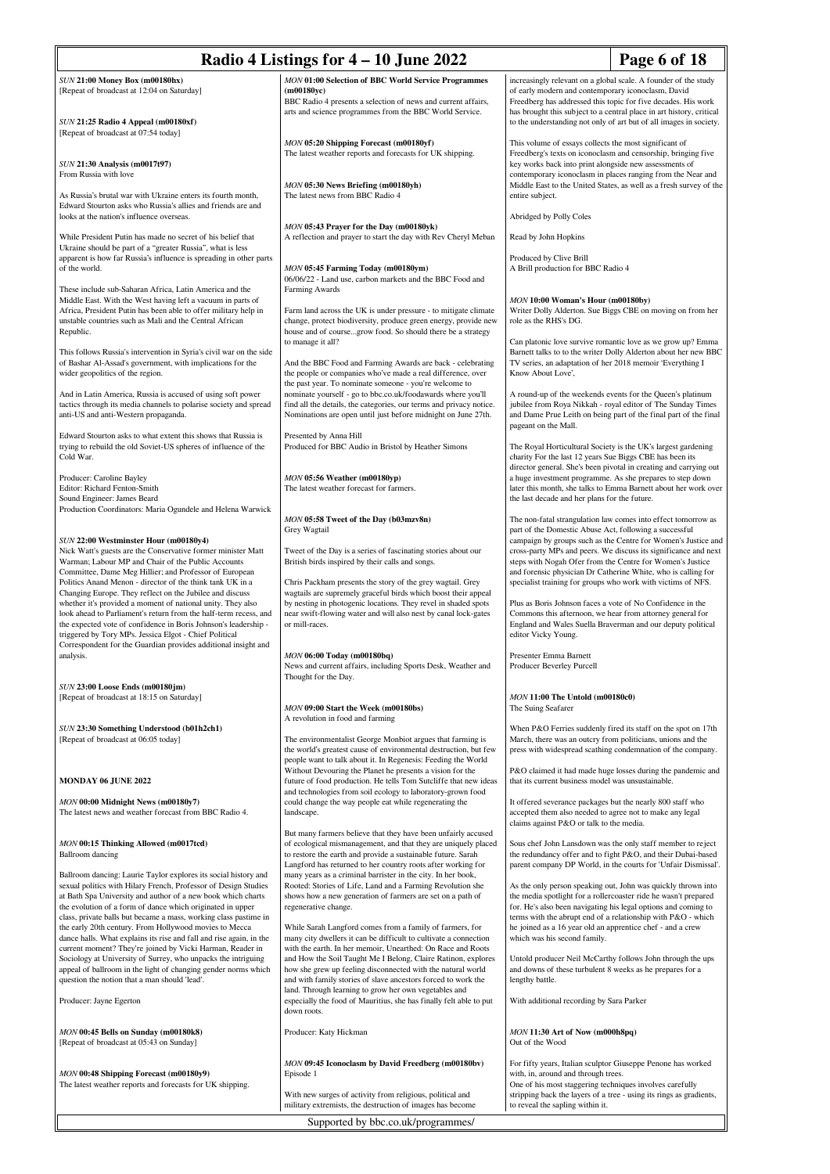| Radio 4 Listings for 4 - 10 June 2022<br>Page 6 of 18                                                                             |                                                                                                                                    |                                                                                                                                            |  |  |
|-----------------------------------------------------------------------------------------------------------------------------------|------------------------------------------------------------------------------------------------------------------------------------|--------------------------------------------------------------------------------------------------------------------------------------------|--|--|
| SUN 21:00 Money Box (m00180hx)                                                                                                    | <b>MON 01:00 Selection of BBC World Service Programmes</b>                                                                         | increasingly relevant on a global scale. A founder of the study                                                                            |  |  |
| [Repeat of broadcast at 12:04 on Saturday]                                                                                        | (m00180yc)                                                                                                                         | of early modern and contemporary iconoclasm, David                                                                                         |  |  |
|                                                                                                                                   | BBC Radio 4 presents a selection of news and current affairs,                                                                      | Freedberg has addressed this topic for five decades. His work                                                                              |  |  |
| SUN 21:25 Radio 4 Appeal (m00180xf)                                                                                               | arts and science programmes from the BBC World Service.                                                                            | has brought this subject to a central place in art history, critical<br>to the understanding not only of art but of all images in society. |  |  |
| [Repeat of broadcast at 07:54 today]                                                                                              |                                                                                                                                    |                                                                                                                                            |  |  |
|                                                                                                                                   | MON 05:20 Shipping Forecast (m00180yf)<br>The latest weather reports and forecasts for UK shipping.                                | This volume of essays collects the most significant of<br>Freedberg's texts on iconoclasm and censorship, bringing five                    |  |  |
| SUN 21:30 Analysis (m0017t97)                                                                                                     |                                                                                                                                    | key works back into print alongside new assessments of                                                                                     |  |  |
| From Russia with love                                                                                                             |                                                                                                                                    | contemporary iconoclasm in places ranging from the Near and                                                                                |  |  |
| As Russia's brutal war with Ukraine enters its fourth month,                                                                      | MON 05:30 News Briefing (m00180yh)<br>The latest news from BBC Radio 4                                                             | Middle East to the United States, as well as a fresh survey of the<br>entire subject.                                                      |  |  |
| Edward Stourton asks who Russia's allies and friends are and                                                                      |                                                                                                                                    |                                                                                                                                            |  |  |
| looks at the nation's influence overseas.                                                                                         |                                                                                                                                    | Abridged by Polly Coles                                                                                                                    |  |  |
| While President Putin has made no secret of his belief that                                                                       | MON 05:43 Prayer for the Day (m00180yk)<br>A reflection and prayer to start the day with Rev Cheryl Meban                          | Read by John Hopkins                                                                                                                       |  |  |
| Ukraine should be part of a "greater Russia", what is less                                                                        |                                                                                                                                    |                                                                                                                                            |  |  |
| apparent is how far Russia's influence is spreading in other parts                                                                |                                                                                                                                    | Produced by Clive Brill                                                                                                                    |  |  |
| of the world.                                                                                                                     | MON 05:45 Farming Today (m00180ym)<br>06/06/22 - Land use, carbon markets and the BBC Food and                                     | A Brill production for BBC Radio 4                                                                                                         |  |  |
| These include sub-Saharan Africa, Latin America and the                                                                           | Farming Awards                                                                                                                     |                                                                                                                                            |  |  |
| Middle East. With the West having left a vacuum in parts of<br>Africa, President Putin has been able to offer military help in    | Farm land across the UK is under pressure - to mitigate climate                                                                    | MON 10:00 Woman's Hour (m00180by)<br>Writer Dolly Alderton. Sue Biggs CBE on moving on from her                                            |  |  |
| unstable countries such as Mali and the Central African                                                                           | change, protect biodiversity, produce green energy, provide new                                                                    | role as the RHS's DG.                                                                                                                      |  |  |
| Republic.                                                                                                                         | house and of coursegrow food. So should there be a strategy                                                                        |                                                                                                                                            |  |  |
|                                                                                                                                   | to manage it all?                                                                                                                  | Can platonic love survive romantic love as we grow up? Emma                                                                                |  |  |
| This follows Russia's intervention in Syria's civil war on the side<br>of Bashar Al-Assad's government, with implications for the | And the BBC Food and Farming Awards are back - celebrating                                                                         | Barnett talks to to the writer Dolly Alderton about her new BBC<br>TV series, an adaptation of her 2018 memoir 'Everything I               |  |  |
| wider geopolitics of the region.                                                                                                  | the people or companies who've made a real difference, over                                                                        | Know About Love',                                                                                                                          |  |  |
|                                                                                                                                   | the past year. To nominate someone - you're welcome to                                                                             |                                                                                                                                            |  |  |
| And in Latin America, Russia is accused of using soft power<br>tactics through its media channels to polarise society and spread  | nominate yourself - go to bbc.co.uk/foodawards where you'll<br>find all the details, the categories, our terms and privacy notice. | A round-up of the weekends events for the Queen's platinum<br>jubilee from Roya Nikkah - royal editor of The Sunday Times                  |  |  |
| anti-US and anti-Western propaganda.                                                                                              | Nominations are open until just before midnight on June 27th.                                                                      | and Dame Prue Leith on being part of the final part of the final                                                                           |  |  |
|                                                                                                                                   |                                                                                                                                    | pageant on the Mall.                                                                                                                       |  |  |
| Edward Stourton asks to what extent this shows that Russia is<br>trying to rebuild the old Soviet-US spheres of influence of the  | Presented by Anna Hill<br>Produced for BBC Audio in Bristol by Heather Simons                                                      | The Royal Horticultural Society is the UK's largest gardening                                                                              |  |  |
| Cold War.                                                                                                                         |                                                                                                                                    | charity For the last 12 years Sue Biggs CBE has been its                                                                                   |  |  |
|                                                                                                                                   |                                                                                                                                    | director general. She's been pivotal in creating and carrying out                                                                          |  |  |
| Producer: Caroline Bayley<br>Editor: Richard Fenton-Smith                                                                         | MON 05:56 Weather (m00180yp)<br>The latest weather forecast for farmers.                                                           | a huge investment programme. As she prepares to step down<br>later this month, she talks to Emma Barnett about her work over               |  |  |
| Sound Engineer: James Beard                                                                                                       |                                                                                                                                    | the last decade and her plans for the future.                                                                                              |  |  |
| Production Coordinators: Maria Ogundele and Helena Warwick                                                                        |                                                                                                                                    |                                                                                                                                            |  |  |
|                                                                                                                                   | MON 05:58 Tweet of the Day (b03mzv8n)<br>Grey Wagtail                                                                              | The non-fatal strangulation law comes into effect tomorrow as<br>part of the Domestic Abuse Act, following a successful                    |  |  |
| SUN 22:00 Westminster Hour (m00180y4)                                                                                             |                                                                                                                                    | campaign by groups such as the Centre for Women's Justice and                                                                              |  |  |
| Nick Watt's guests are the Conservative former minister Matt<br>Warman; Labour MP and Chair of the Public Accounts                | Tweet of the Day is a series of fascinating stories about our<br>British birds inspired by their calls and songs.                  | cross-party MPs and peers. We discuss its significance and next                                                                            |  |  |
| Committee, Dame Meg Hillier; and Professor of European                                                                            |                                                                                                                                    | steps with Nogah Ofer from the Centre for Women's Justice<br>and forensic physician Dr Catherine White, who is calling for                 |  |  |
| Politics Anand Menon - director of the think tank UK in a                                                                         | Chris Packham presents the story of the grey wagtail. Grey                                                                         | specialist training for groups who work with victims of NFS.                                                                               |  |  |
| Changing Europe. They reflect on the Jubilee and discuss<br>whether it's provided a moment of national unity. They also           | wagtails are supremely graceful birds which boost their appeal<br>by nesting in photogenic locations. They revel in shaded spots   | Plus as Boris Johnson faces a vote of No Confidence in the                                                                                 |  |  |
| look ahead to Parliament's return from the half-term recess, and                                                                  | near swift-flowing water and will also nest by canal lock-gates                                                                    | Commons this afternoon, we hear from attorney general for                                                                                  |  |  |
| the expected vote of confidence in Boris Johnson's leadership -                                                                   | or mill-races.                                                                                                                     | England and Wales Suella Braverman and our deputy political                                                                                |  |  |
| triggered by Tory MPs. Jessica Elgot - Chief Political                                                                            |                                                                                                                                    | editor Vicky Young.                                                                                                                        |  |  |
| Correspondent for the Guardian provides additional insight and<br>analysis.                                                       | MON 06:00 Today (m00180bq)                                                                                                         | Presenter Emma Barnett                                                                                                                     |  |  |
|                                                                                                                                   | News and current affairs, including Sports Desk, Weather and                                                                       | Producer Beverley Purcell                                                                                                                  |  |  |
| SUN 23:00 Loose Ends (m00180jm)                                                                                                   | Thought for the Day.                                                                                                               |                                                                                                                                            |  |  |
| [Repeat of broadcast at 18:15 on Saturday]                                                                                        |                                                                                                                                    | MON 11:00 The Untold (m00180c0)                                                                                                            |  |  |
|                                                                                                                                   | MON 09:00 Start the Week (m00180bs)                                                                                                | The Suing Seafarer                                                                                                                         |  |  |
| SUN 23:30 Something Understood (b01h2ch1)                                                                                         | A revolution in food and farming                                                                                                   | When P&O Ferries suddenly fired its staff on the spot on 17th                                                                              |  |  |
| [Repeat of broadcast at 06:05 today]                                                                                              | The environmentalist George Monbiot argues that farming is                                                                         | March, there was an outcry from politicians, unions and the                                                                                |  |  |
|                                                                                                                                   | the world's greatest cause of environmental destruction, but few                                                                   | press with widespread scathing condemnation of the company.                                                                                |  |  |
|                                                                                                                                   | people want to talk about it. In Regenesis: Feeding the World                                                                      |                                                                                                                                            |  |  |
| <b>MONDAY 06 JUNE 2022</b>                                                                                                        | Without Devouring the Planet he presents a vision for the<br>future of food production. He tells Tom Sutcliffe that new ideas      | P&O claimed it had made huge losses during the pandemic and<br>that its current business model was unsustainable.                          |  |  |
|                                                                                                                                   | and technologies from soil ecology to laboratory-grown food                                                                        |                                                                                                                                            |  |  |
| MON 00:00 Midnight News (m00180y7)                                                                                                | could change the way people eat while regenerating the                                                                             | It offered severance packages but the nearly 800 staff who                                                                                 |  |  |
| The latest news and weather forecast from BBC Radio 4.                                                                            | landscape.                                                                                                                         | accepted them also needed to agree not to make any legal<br>claims against P&O or talk to the media.                                       |  |  |
|                                                                                                                                   | But many farmers believe that they have been unfairly accused                                                                      |                                                                                                                                            |  |  |
| MON 00:15 Thinking Allowed (m0017tcd)                                                                                             | of ecological mismanagement, and that they are uniquely placed                                                                     | Sous chef John Lansdown was the only staff member to reject                                                                                |  |  |
| Ballroom dancing                                                                                                                  | to restore the earth and provide a sustainable future. Sarah<br>Langford has returned to her country roots after working for       | the redundancy offer and to fight P&O, and their Dubai-based<br>parent company DP World, in the courts for 'Unfair Dismissal'.             |  |  |
| Ballroom dancing: Laurie Taylor explores its social history and                                                                   | many years as a criminal barrister in the city. In her book,                                                                       |                                                                                                                                            |  |  |
| sexual politics with Hilary French, Professor of Design Studies                                                                   | Rooted: Stories of Life, Land and a Farming Revolution she                                                                         | As the only person speaking out, John was quickly thrown into                                                                              |  |  |
| at Bath Spa University and author of a new book which charts<br>the evolution of a form of dance which originated in upper        | shows how a new generation of farmers are set on a path of<br>regenerative change.                                                 | the media spotlight for a rollercoaster ride he wasn't prepared<br>for. He's also been navigating his legal options and coming to          |  |  |
| class, private balls but became a mass, working class pastime in                                                                  |                                                                                                                                    | terms with the abrupt end of a relationship with P&O - which                                                                               |  |  |
| the early 20th century. From Hollywood movies to Mecca                                                                            | While Sarah Langford comes from a family of farmers, for                                                                           | he joined as a 16 year old an apprentice chef - and a crew                                                                                 |  |  |
| dance halls. What explains its rise and fall and rise again, in the<br>current moment? They're joined by Vicki Harman, Reader in  | many city dwellers it can be difficult to cultivate a connection<br>with the earth. In her memoir, Unearthed: On Race and Roots    | which was his second family.                                                                                                               |  |  |
| Sociology at University of Surrey, who unpacks the intriguing                                                                     | and How the Soil Taught Me I Belong, Claire Ratinon, explores                                                                      | Untold producer Neil McCarthy follows John through the ups                                                                                 |  |  |
| appeal of ballroom in the light of changing gender norms which                                                                    | how she grew up feeling disconnected with the natural world                                                                        | and downs of these turbulent 8 weeks as he prepares for a                                                                                  |  |  |
| question the notion that a man should 'lead'.                                                                                     | and with family stories of slave ancestors forced to work the<br>land. Through learning to grow her own vegetables and             | lengthy battle.                                                                                                                            |  |  |
| Producer: Jayne Egerton                                                                                                           | especially the food of Mauritius, she has finally felt able to put                                                                 | With additional recording by Sara Parker                                                                                                   |  |  |
|                                                                                                                                   | down roots.                                                                                                                        |                                                                                                                                            |  |  |
| MON 00:45 Bells on Sunday (m00180k8)                                                                                              | Producer: Katy Hickman                                                                                                             | MON 11:30 Art of Now (m000h8pq)                                                                                                            |  |  |
| [Repeat of broadcast at 05:43 on Sunday]                                                                                          |                                                                                                                                    | Out of the Wood                                                                                                                            |  |  |
|                                                                                                                                   |                                                                                                                                    |                                                                                                                                            |  |  |
|                                                                                                                                   | MON 09:45 Iconoclasm by David Freedberg (m00180bv)<br>Episode 1                                                                    | For fifty years, Italian sculptor Giuseppe Penone has worked<br>with, in, around and through trees.                                        |  |  |
| MON 00:48 Shipping Forecast (m00180y9)<br>The latest weather reports and forecasts for UK shipping.                               |                                                                                                                                    | One of his most staggering techniques involves carefully                                                                                   |  |  |
|                                                                                                                                   | With new surges of activity from religious, political and                                                                          | stripping back the layers of a tree - using its rings as gradients,                                                                        |  |  |
|                                                                                                                                   | military extremists, the destruction of images has become                                                                          | to reveal the sapling within it.                                                                                                           |  |  |
| Supported by bbc.co.uk/programmes/                                                                                                |                                                                                                                                    |                                                                                                                                            |  |  |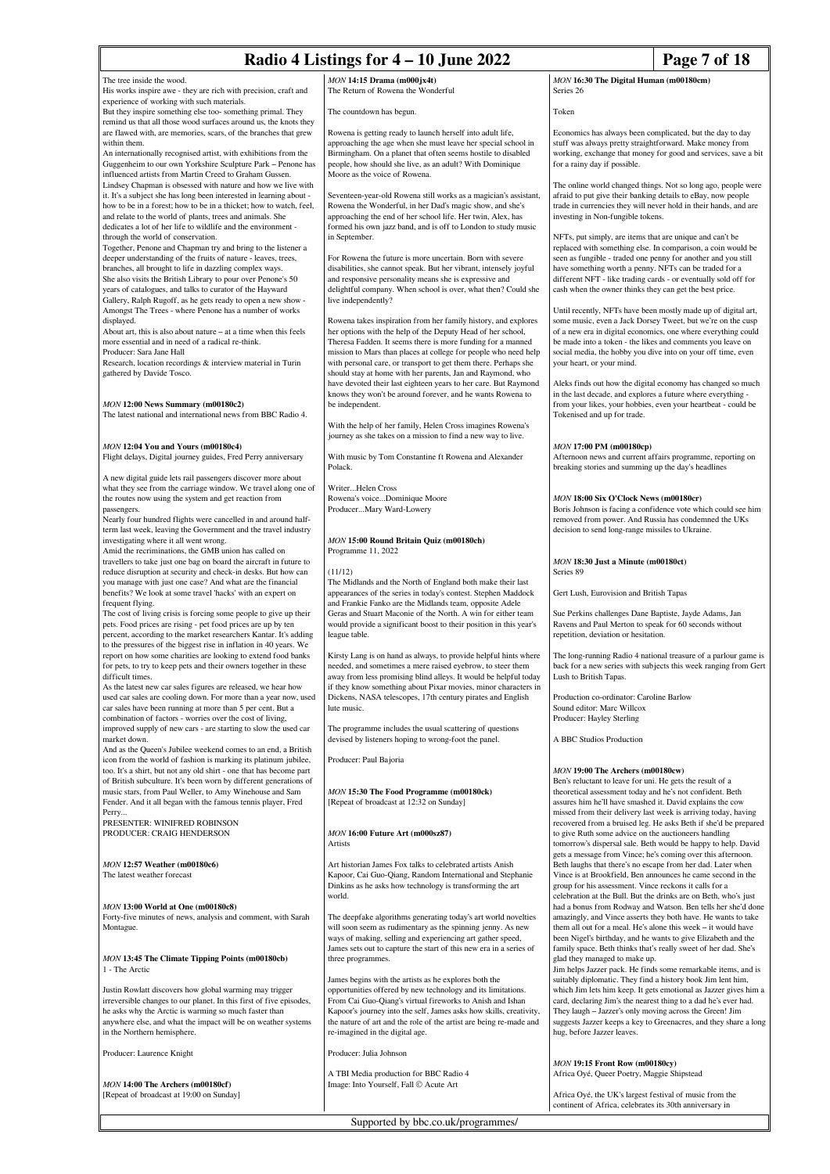# **Radio 4 Listings for 4 – 10 June 2022** Page 7 of 18

### The tree inside the wood.

His works inspire awe - they are rich with precision, craft and experience of working with such material

But they inspire something else too- something primal. They remind us that all those wood surfaces around us, the knots they are flawed with, are memories, scars, of the branches that grew within them.

An internationally recognised artist, with exhibitions from the Guggenheim to our own Yorkshire Sculpture Park – Penone has influenced artists from Martin Creed to Graham Gussen. Lindsey Chapman is obsessed with nature and how we live with it. It's a subject she has long been interested in learning about how to be in a forest; how to be in a thicket; how to watch, feel, and relate to the world of plants, trees and animals. She dedicates a lot of her life to wildlife and the environment

through the world of conservation. Together, Penone and Chapman try and bring to the listener a

deeper understanding of the fruits of nature - leaves, trees, branches, all brought to life in dazzling complex ways. She also visits the British Library to pour over Penone's 50 years of catalogues, and talks to curator of the Hayward Gallery, Ralph Rugoff, as he gets ready to open a new show - Amongst The Trees - where Penone has a number of works displayed

About art, this is also about nature – at a time when this feels more essential and in need of a radical re-think. Producer: Sara Jane Hall

Research, location recordings & interview material in Turin gathered by Davide Tosco.

# *MON* **12:00 News Summary (m00180c2)**

The latest national and international news from BBC Radio 4.

# *MON* **12:04 You and Yours (m00180c4)**

Flight delays, Digital journey guides, Fred Perry anniversary

A new digital guide lets rail passengers discover more about what they see from the carriage window. We travel along one of the routes now using the system and get reaction from passengers.

Nearly four hundred flights were cancelled in and around halfterm last week, leaving the Government and the travel industry investigating where it all went wrong.

Amid the recriminations, the GMB union has called on travellers to take just one bag on board the aircraft in future to reduce disruption at security and check-in desks. But how can you manage with just one case? And what are the financial benefits? We look at some travel 'hacks' with an expert on frequent flying.

The cost of living crisis is forcing some people to give up their pets. Food prices are rising - pet food prices are up by ten percent, according to the market researchers Kantar. It's adding to the pressures of the biggest rise in inflation in 40 years. We report on how some charities are looking to extend food banks for pets, to try to keep pets and their owners together in these difficult times.

As the latest new car sales figures are released, we hear how used car sales are cooling down. For more than a year now, used car sales have been running at more than 5 per cent. But a combination of factors - worries over the cost of living, improved supply of new cars - are starting to slow the used car

market down. And as the Queen's Jubilee weekend comes to an end, a British icon from the world of fashion is marking its platinum jubilee, too. It's a shirt, but not any old shirt - one that has become part of British subculture. It's been worn by different generations of

music stars, from Paul Weller, to Amy Winehouse and Sam Fender. And it all began with the famous tennis player, Fred Perry PRESENTER: WINIFRED ROBINSON

PRODUCER: CRAIG HENDERSON

*MON* **12:57 Weather (m00180c6)** The latest weather forecast

### *MON* **13:00 World at One (m00180c8)**

Forty-five minutes of news, analysis and comment, with Sarah Montague.

### *MON* **13:45 The Climate Tipping Points (m00180cb)** 1 - The Arctic

Justin Rowlatt discovers how global warming may trigger irreversible changes to our planet. In this first of five episodes, he asks why the Arctic is warming so much faster than anywhere else, and what the impact will be on weather systems in the Northern hemisphere.

Producer: Laurence Knight

*MON* **14:00 The Archers (m00180cf)** [Repeat of broadcast at 19:00 on Sunday] *MON* **14:15 Drama (m000jx4t)** The Return of Rowena the Wonderful

The countdown has begun.

Rowena is getting ready to launch herself into adult life, approaching the age when she must leave her special school in Birmingham. On a planet that often seems hostile to disabled people, how should she live, as an adult? With Dominique Moore as the voice of Rowena.

eventeen-year-old Rowena still works as a magician's assistant Rowena the Wonderful, in her Dad's magic show, and she's approaching the end of her school life. Her twin, Alex, has formed his own jazz band, and is off to London to study music in September.

For Rowena the future is more uncertain. Born with severe disabilities, she cannot speak. But her vibrant, intensely joyful and responsive personality means she is expressive and delightful company. When school is over, what then? Could she live independently?

Rowena takes inspiration from her family history, and explores her options with the help of the Deputy Head of her school, Theresa Fadden. It seems there is more funding for a manned mission to Mars than places at college for people who need help with personal care, or transport to get them there. Perhaps she should stay at home with her parents, Jan and Raymond, who have devoted their last eighteen years to her care. But Raymond knows they won't be around forever, and he wants Rowena to be independent.

With the help of her family, Helen Cross imagines Rowena's journey as she takes on a mission to find a new way to live.

With music by Tom Constantine ft Rowena and Alexander Polack.

Writer...Helen Cross Rowena's voice...Dominique Moore Producer...Mary Ward-Lowery

## *MON* **15:00 Round Britain Quiz (m00180ch)** Programme 11, 2022

(11/12) The Midlands and the North of England both make their last appearances of the series in today's contest. Stephen Maddock and Frankie Fanko are the Midlands team, opposite Adele Geras and Stuart Maconie of the North. A win for either team would provide a significant boost to their position in this year's league table.

Kirsty Lang is on hand as always, to provide helpful hints where needed, and sometimes a mere raised eyebrow, to steer them away from less promising blind alleys. It would be helpful today if they know something about Pixar movies, minor characters in Dickens, NASA telescopes, 17th century pirates and English lute music.

The programme includes the usual scattering of questions devised by listeners hoping to wrong-foot the panel.

Producer: Paul Bajoria

*MON* **15:30 The Food Programme (m00180ck)** [Repeat of broadcast at 12:32 on Sunday]

*MON* **16:00 Future Art (m000sz87)** Artists

Art historian James Fox talks to celebrated artists Anish Kapoor, Cai Guo-Qiang, Random International and Stephanie Dinkins as he asks how technology is transforming the art world.

The deepfake algorithms generating today's art world novelties will soon seem as rudimentary as the spinning jenny. As new ways of making, selling and experiencing art gather speed, James sets out to capture the start of this new era in a series of three programmes.

James begins with the artists as he explores both the opportunities offered by new technology and its limitations. From Cai Guo-Qiang's virtual fireworks to Anish and Ishan Kapoor's journey into the self, James asks how skills, creativity, the nature of art and the role of the artist are being re-made and re-imagined in the digital age.

Producer: Julia Johnso

A TBI Media production for BBC Radio 4 Image: Into Yourself, Fall © Acute Art

*MON* **16:30 The Digital Human (m00180cm)** Series 26

Token

Economics has always been complicated, but the day to day stuff was always pretty straightforward. Make money from working, exchange that money for good and services, save a bit for a rainy day if possible.

The online world changed things. Not so long ago, people were afraid to put give their banking details to eBay, now people trade in currencies they will never hold in their hands, and are investing in Non-fungible tokens.

NFTs, put simply, are items that are unique and can't be replaced with something else. In comparison, a coin would be seen as fungible - traded one penny for another and you still have something worth a penny. NFTs can be traded for a different NFT - like trading cards - or eventually sold off for cash when the owner thinks they can get the best price.

Until recently, NFTs have been mostly made up of digital art, some music, even a Jack Dorsey Tweet, but we're on the cusp of a new era in digital economics, one where everything could be made into a token - the likes and comments you leave on social media, the hobby you dive into on your off time, even your heart, or your mind.

Aleks finds out how the digital economy has changed so much in the last decade, and explores a future where everything from your likes, your hobbies, even your heartbeat - could be Tokenised and up for trade.

## *MON* **17:00 PM (m00180cp)**

Afternoon news and current affairs programme, reporting on breaking stories and summing up the day's headlines

### *MON* **18:00 Six O'Clock News (m00180cr)**

Boris Johnson is facing a confidence vote which could see him removed from power. And Russia has condemned the UKs decision to send long-range missiles to Ukraine.

*MON* **18:30 Just a Minute (m00180ct)** Series 89

Gert Lush, Eurovision and British Tapas

Sue Perkins challenges Dane Baptiste, Jayde Adams, Jan Ravens and Paul Merton to speak for 60 seconds without repetition, deviation or hesitation.

The long-running Radio 4 national treasure of a parlour game is back for a new series with subjects this week ranging from Gert Lush to British Tapas.

Production co-ordinator: Caroline Barlow Sound editor: Marc Willcox Producer: Hayley Sterling

A BBC Studios Production

### *MON* **19:00 The Archers (m00180cw)**

Ben's reluctant to leave for uni. He gets the result of a theoretical assessment today and he's not confident. Beth assures him he'll have smashed it. David explains the cow missed from their delivery last week is arriving today, having recovered from a bruised leg. He asks Beth if she'd be prepared to give Ruth some advice on the auctioneers handling tomorrow's dispersal sale. Beth would be happy to help. David gets a message from Vince; he's coming over this afternoon. Beth laughs that there's no escape from her dad. Later when Vince is at Brookfield, Ben announces he came second in the group for his assessment. Vince reckons it calls for a celebration at the Bull. But the drinks are on Beth, who's just had a bonus from Rodway and Watson. Ben tells her she'd done amazingly, and Vince asserts they both have. He wants to take them all out for a meal. He's alone this week – it would have been Nigel's birthday, and he wants to give Elizabeth and the family space. Beth thinks that's really sweet of her dad. She's glad they managed to make up.

Jim helps Jazzer pack. He finds some remarkable items, and is suitably diplomatic. They find a history book Jim lent him, which Jim lets him keep. It gets emotional as Jazzer gives him a card, declaring Jim's the nearest thing to a dad he's ever had. They laugh – Jazzer's only moving across the Green! Jim suggests Jazzer keeps a key to Greenacres, and they share a long hug, before Jazzer leaves.

*MON* **19:15 Front Row (m00180cy)** Africa Oyé, Queer Poetry, Maggie Shipstead

Africa Oyé, the UK's largest festival of music from the continent of Africa, celebrates its 30th anniversary in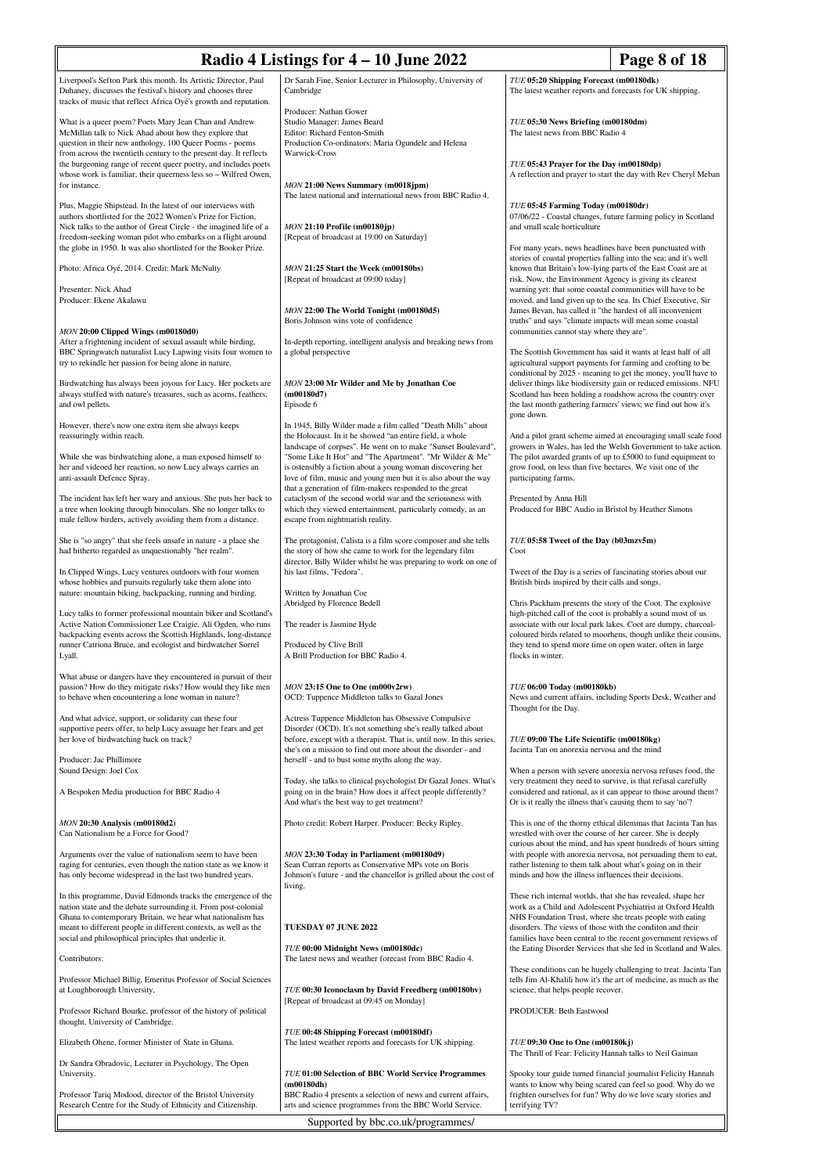| Radio 4 Listings for $4 - 10$ June 2022<br>Page 8 of 18                                                                              |                                                                                                                                      |                                                                                                                                       |  |  |
|--------------------------------------------------------------------------------------------------------------------------------------|--------------------------------------------------------------------------------------------------------------------------------------|---------------------------------------------------------------------------------------------------------------------------------------|--|--|
| Liverpool's Sefton Park this month. Its Artistic Director, Paul<br>Duhaney, discusses the festival's history and chooses three       | Dr Sarah Fine, Senior Lecturer in Philosophy, University of<br>Cambridge                                                             | TUE 05:20 Shipping Forecast (m00180dk)<br>The latest weather reports and forecasts for UK shipping.                                   |  |  |
| tracks of music that reflect Africa Oyé's growth and reputation.                                                                     |                                                                                                                                      |                                                                                                                                       |  |  |
| What is a queer poem? Poets Mary Jean Chan and Andrew                                                                                | Producer: Nathan Gower<br>Studio Manager: James Beard                                                                                | TUE 05:30 News Briefing (m00180dm)                                                                                                    |  |  |
| McMillan talk to Nick Ahad about how they explore that<br>question in their new anthology, 100 Queer Poems - poems                   | Editor: Richard Fenton-Smith<br>Production Co-ordinators: Maria Ogundele and Helena                                                  | The latest news from BBC Radio 4                                                                                                      |  |  |
| from across the twentieth century to the present day. It reflects<br>the burgeoning range of recent queer poetry, and includes poets | Warwick-Cross                                                                                                                        | TUE 05:43 Prayer for the Day (m00180dp)                                                                                               |  |  |
| whose work is familiar, their queerness less so - Wilfred Owen,<br>for instance.                                                     | MON 21:00 News Summary (m0018jpm)                                                                                                    | A reflection and prayer to start the day with Rev Cheryl Meban                                                                        |  |  |
| Plus, Maggie Shipstead. In the latest of our interviews with                                                                         | The latest national and international news from BBC Radio 4.                                                                         | TUE 05:45 Farming Today (m00180dr)                                                                                                    |  |  |
| authors shortlisted for the 2022 Women's Prize for Fiction,                                                                          |                                                                                                                                      | 07/06/22 - Coastal changes, future farming policy in Scotland                                                                         |  |  |
| Nick talks to the author of Great Circle - the imagined life of a<br>freedom-seeking woman pilot who embarks on a flight around      | $MON$ 21:10 Profile (m00180jp)<br>[Repeat of broadcast at 19:00 on Saturday]                                                         | and small scale horticulture                                                                                                          |  |  |
| the globe in 1950. It was also shortlisted for the Booker Prize.                                                                     |                                                                                                                                      | For many years, news headlines have been punctuated with<br>stories of coastal properties falling into the sea; and it's well         |  |  |
| Photo: Africa Oyé, 2014. Credit: Mark McNulty                                                                                        | MON 21:25 Start the Week (m00180bs)<br>[Repeat of broadcast at 09:00 today]                                                          | known that Britain's low-lying parts of the East Coast are at<br>risk. Now, the Environment Agency is giving its clearest             |  |  |
| Presenter: Nick Ahad<br>Producer: Ekene Akalawu                                                                                      |                                                                                                                                      | warning yet: that some coastal communities will have to be<br>moved, and land given up to the sea. Its Chief Executive, Sir           |  |  |
|                                                                                                                                      | MON 22:00 The World Tonight (m00180d5)<br>Boris Johnson wins vote of confidence                                                      | James Bevan, has called it "the hardest of all inconvenient<br>truths" and says "climate impacts will mean some coastal               |  |  |
| MON 20:00 Clipped Wings (m00180d0)<br>After a frightening incident of sexual assault while birding,                                  | In-depth reporting, intelligent analysis and breaking news from                                                                      | communities cannot stay where they are".                                                                                              |  |  |
| BBC Springwatch naturalist Lucy Lapwing visits four women to<br>try to rekindle her passion for being alone in nature.               | a global perspective                                                                                                                 | The Scottish Government has said it wants at least half of all<br>agricultural support payments for farming and crofting to be        |  |  |
|                                                                                                                                      |                                                                                                                                      | conditional by 2025 - meaning to get the money, you'll have to                                                                        |  |  |
| Birdwatching has always been joyous for Lucy. Her pockets are<br>always stuffed with nature's treasures, such as acorns, feathers,   | MON 23:00 Mr Wilder and Me by Jonathan Coe<br>(m00180d7)                                                                             | deliver things like biodiversity gain or reduced emissions. NFU<br>Scotland has been holding a roadshow across the country over       |  |  |
| and owl pellets.                                                                                                                     | Episode 6                                                                                                                            | the last month gathering farmers' views; we find out how it's<br>gone down.                                                           |  |  |
| However, there's now one extra item she always keeps<br>reassuringly within reach.                                                   | In 1945, Billy Wilder made a film called "Death Mills" about<br>the Holocaust. In it he showed "an entire field, a whole             | And a pilot grant scheme aimed at encouraging small scale food                                                                        |  |  |
| While she was birdwatching alone, a man exposed himself to                                                                           | landscape of corpses". He went on to make "Sunset Boulevard",<br>"Some Like It Hot" and "The Apartment". "Mr Wilder & Me"            | growers in Wales, has led the Welsh Government to take action.<br>The pilot awarded grants of up to £5000 to fund equipment to        |  |  |
| her and videoed her reaction, so now Lucy always carries an<br>anti-assault Defence Spray.                                           | is ostensibly a fiction about a young woman discovering her<br>love of film, music and young men but it is also about the way        | grow food, on less than five hectares. We visit one of the<br>participating farms.                                                    |  |  |
| The incident has left her wary and anxious. She puts her back to                                                                     | that a generation of film-makers responded to the great<br>cataclysm of the second world war and the seriousness with                | Presented by Anna Hill                                                                                                                |  |  |
| a tree when looking through binoculars. She no longer talks to                                                                       | which they viewed entertainment, particularly comedy, as an                                                                          | Produced for BBC Audio in Bristol by Heather Simons                                                                                   |  |  |
| male fellow birders, actively avoiding them from a distance.                                                                         | escape from nightmarish reality.                                                                                                     |                                                                                                                                       |  |  |
| She is "so angry" that she feels unsafe in nature - a place she<br>had hitherto regarded as unquestionably "her realm".              | The protagonist, Calista is a film score composer and she tells<br>the story of how she came to work for the legendary film          | TUE 05:58 Tweet of the Day (b03mzv5m)<br>Coot                                                                                         |  |  |
| In Clipped Wings, Lucy ventures outdoors with four women                                                                             | director, Billy Wilder whilst he was preparing to work on one of<br>his last films, "Fedora".                                        | Tweet of the Day is a series of fascinating stories about our                                                                         |  |  |
| whose hobbies and pursuits regularly take them alone into<br>nature: mountain biking, backpacking, running and birding.              | Written by Jonathan Coe                                                                                                              | British birds inspired by their calls and songs.                                                                                      |  |  |
| Lucy talks to former professional mountain biker and Scotland's                                                                      | Abridged by Florence Bedell                                                                                                          | Chris Packham presents the story of the Coot. The explosive<br>high-pitched call of the coot is probably a sound most of us           |  |  |
| Active Nation Commissioner Lee Craigie, Ali Ogden, who runs<br>backpacking events across the Scottish Highlands, long-distance       | The reader is Jasmine Hyde                                                                                                           | associate with our local park lakes. Coot are dumpy, charcoal-<br>coloured birds related to moorhens, though unlike their cousins,    |  |  |
| runner Catriona Bruce, and ecologist and birdwatcher Sorrel                                                                          | Produced by Clive Brill                                                                                                              | they tend to spend more time on open water, often in large                                                                            |  |  |
| Lyall.                                                                                                                               | A Brill Production for BBC Radio 4.                                                                                                  | flocks in winter.                                                                                                                     |  |  |
| What abuse or dangers have they encountered in pursuit of their<br>passion? How do they mitigate risks? How would they like men      | MON 23:15 One to One (m000v2rw)                                                                                                      | TUE 06:00 Today (m00180kb)                                                                                                            |  |  |
| to behave when encountering a lone woman in nature?                                                                                  | OCD: Tuppence Middleton talks to Gazal Jones                                                                                         | News and current affairs, including Sports Desk, Weather and<br>Thought for the Day.                                                  |  |  |
| And what advice, support, or solidarity can these four<br>supportive peers offer, to help Lucy assuage her fears and get             | Actress Tuppence Middleton has Obsessive Compulsive<br>Disorder (OCD). It's not something she's really talked about                  |                                                                                                                                       |  |  |
| her love of birdwatching back on track?                                                                                              | before, except with a therapist. That is, until now. In this series,<br>she's on a mission to find out more about the disorder - and | TUE 09:00 The Life Scientific (m00180kg)<br>Jacinta Tan on anorexia nervosa and the mind                                              |  |  |
| Producer: Jac Phillimore<br>Sound Design: Joel Cox                                                                                   | herself - and to bust some myths along the way.                                                                                      | When a person with severe anorexia nervosa refuses food, the                                                                          |  |  |
|                                                                                                                                      | Today, she talks to clinical psychologist Dr Gazal Jones. What's                                                                     | very treatment they need to survive, is that refusal carefully                                                                        |  |  |
| A Bespoken Media production for BBC Radio 4                                                                                          | going on in the brain? How does it affect people differently?<br>And what's the best way to get treatment?                           | considered and rational, as it can appear to those around them?<br>Or is it really the illness that's causing them to say 'no'?       |  |  |
| MON 20:30 Analysis (m00180d2)                                                                                                        | Photo credit: Robert Harper. Producer: Becky Ripley.                                                                                 | This is one of the thorny ethical dilemmas that Jacinta Tan has                                                                       |  |  |
| Can Nationalism be a Force for Good?                                                                                                 |                                                                                                                                      | wrestled with over the course of her career. She is deeply<br>curious about the mind, and has spent hundreds of hours sitting         |  |  |
| Arguments over the value of nationalism seem to have been<br>raging for centuries, even though the nation state as we know it        | MON 23:30 Today in Parliament (m00180d9)<br>Sean Curran reports as Conservative MPs vote on Boris                                    | with people with anorexia nervosa, not persuading them to eat,<br>rather listening to them talk about what's going on in their        |  |  |
| has only become widespread in the last two hundred years.                                                                            | Johnson's future - and the chancellor is grilled about the cost of<br>living.                                                        | minds and how the illness influences their decisions.                                                                                 |  |  |
| In this programme, David Edmonds tracks the emergence of the<br>nation state and the debate surrounding it. From post-colonial       |                                                                                                                                      | These rich internal worlds, that she has revealed, shape her<br>work as a Child and Adolescent Psychiatrist at Oxford Health          |  |  |
| Ghana to contemporary Britain, we hear what nationalism has<br>meant to different people in different contexts, as well as the       | TUESDAY 07 JUNE 2022                                                                                                                 | NHS Foundation Trust, where she treats people with eating<br>disorders. The views of those with the conditon and their                |  |  |
| social and philosophical principles that underlie it.                                                                                |                                                                                                                                      | families have been central to the recent government reviews of                                                                        |  |  |
| Contributors:                                                                                                                        | TUE 00:00 Midnight News (m00180dc)<br>The latest news and weather forecast from BBC Radio 4.                                         | the Eating Disorder Services that she led in Scotland and Wales.                                                                      |  |  |
| Professor Michael Billig, Emeritus Professor of Social Sciences                                                                      |                                                                                                                                      | These conditions can be hugely challenging to treat. Jacinta Tan<br>tells Jim Al-Khalili how it's the art of medicine, as much as the |  |  |
| at Loughborough University,                                                                                                          | TUE 00:30 Iconoclasm by David Freedberg (m00180bv)<br>[Repeat of broadcast at 09:45 on Monday]                                       | science, that helps people recover.                                                                                                   |  |  |
| Professor Richard Bourke, professor of the history of political<br>thought, University of Cambridge.                                 |                                                                                                                                      | PRODUCER: Beth Eastwood                                                                                                               |  |  |
| Elizabeth Ohene, former Minister of State in Ghana.                                                                                  | TUE 00:48 Shipping Forecast (m00180df)<br>The latest weather reports and forecasts for UK shipping.                                  | TUE 09:30 One to One (m00180kj)                                                                                                       |  |  |
| Dr Sandra Obradovic, Lecturer in Psychology, The Open                                                                                |                                                                                                                                      | The Thrill of Fear: Felicity Hannah talks to Neil Gaiman                                                                              |  |  |
| University.                                                                                                                          | TUE 01:00 Selection of BBC World Service Programmes<br>(m00180dh)                                                                    | Spooky tour guide turned financial journalist Felicity Hannah<br>wants to know why being scared can feel so good. Why do we           |  |  |
| Professor Tariq Modood, director of the Bristol University<br>Research Centre for the Study of Ethnicity and Citizenship.            | BBC Radio 4 presents a selection of news and current affairs,<br>arts and science programmes from the BBC World Service.             | frighten ourselves for fun? Why do we love scary stories and<br>terrifying TV?                                                        |  |  |
| Supported by bbc.co.uk/programmes/                                                                                                   |                                                                                                                                      |                                                                                                                                       |  |  |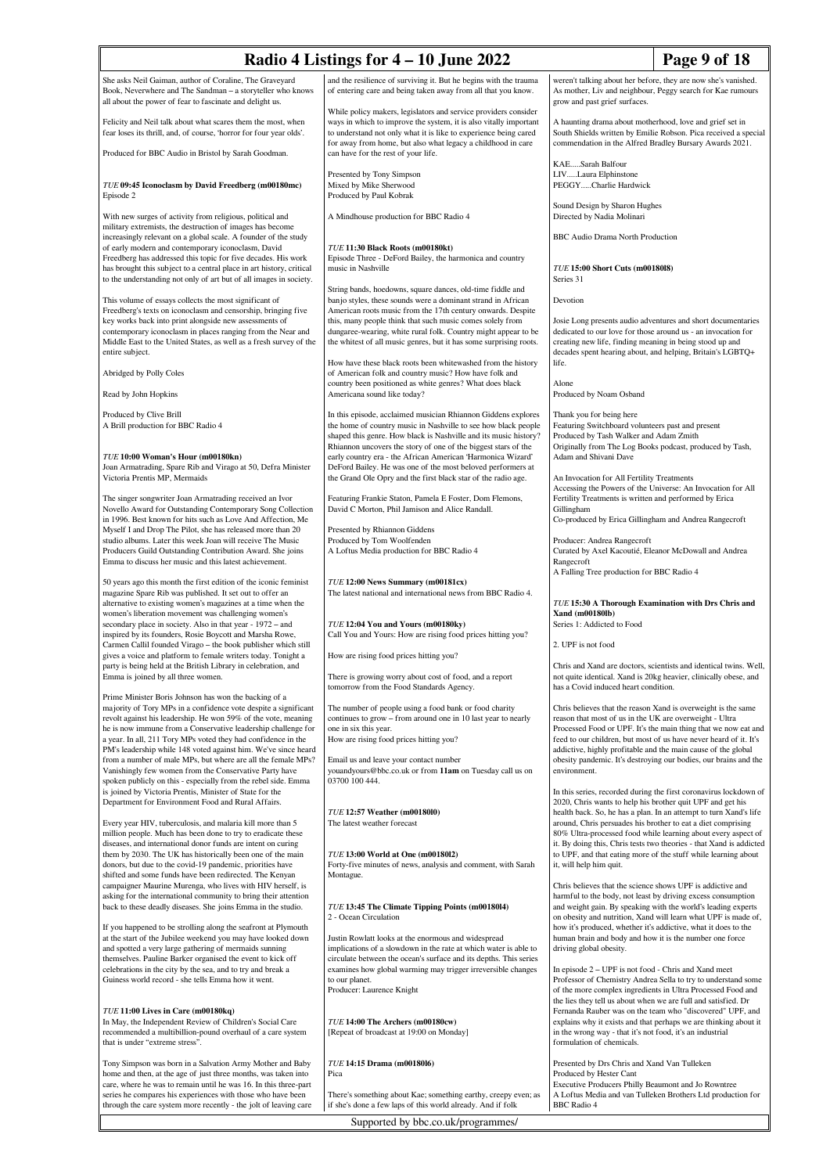| Radio 4 Listings for 4 – 10 June 2022<br>Page 9 of 18                                                                                                                                                       |                                                                                                                                                                                                                                                                          |                                                                                                                                                                                             |                                                                                                                                        |
|-------------------------------------------------------------------------------------------------------------------------------------------------------------------------------------------------------------|--------------------------------------------------------------------------------------------------------------------------------------------------------------------------------------------------------------------------------------------------------------------------|---------------------------------------------------------------------------------------------------------------------------------------------------------------------------------------------|----------------------------------------------------------------------------------------------------------------------------------------|
| She asks Neil Gaiman, author of Coraline, The Graveyard<br>Book, Neverwhere and The Sandman - a storyteller who knows<br>all about the power of fear to fascinate and delight us.                           | and the resilience of surviving it. But he begins with the trauma<br>of entering care and being taken away from all that you know.                                                                                                                                       | grow and past grief surfaces.                                                                                                                                                               | weren't talking about her before, they are now she's vanished.<br>As mother, Liv and neighbour, Peggy search for Kae rumours           |
| Felicity and Neil talk about what scares them the most, when<br>fear loses its thrill, and, of course, 'horror for four year olds'.                                                                         | While policy makers, legislators and service providers consider<br>ways in which to improve the system, it is also vitally important<br>to understand not only what it is like to experience being cared<br>for away from home, but also what legacy a childhood in care | A haunting drama about motherhood, love and grief set in<br>South Shields written by Emilie Robson. Pica received a special<br>commendation in the Alfred Bradley Bursary Awards 2021.      |                                                                                                                                        |
| Produced for BBC Audio in Bristol by Sarah Goodman.                                                                                                                                                         | can have for the rest of your life.                                                                                                                                                                                                                                      | KAESarah Balfour                                                                                                                                                                            |                                                                                                                                        |
| TUE 09:45 Iconoclasm by David Freedberg (m00180mc)<br>Episode 2                                                                                                                                             | Presented by Tony Simpson<br>Mixed by Mike Sherwood<br>Produced by Paul Kobrak                                                                                                                                                                                           | LIVLaura Elphinstone<br>PEGGYCharlie Hardwick                                                                                                                                               |                                                                                                                                        |
| With new surges of activity from religious, political and<br>military extremists, the destruction of images has become                                                                                      | A Mindhouse production for BBC Radio 4                                                                                                                                                                                                                                   | Sound Design by Sharon Hughes<br>Directed by Nadia Molinari                                                                                                                                 |                                                                                                                                        |
| increasingly relevant on a global scale. A founder of the study<br>of early modern and contemporary iconoclasm, David                                                                                       | TUE 11:30 Black Roots (m00180kt)                                                                                                                                                                                                                                         | BBC Audio Drama North Production                                                                                                                                                            |                                                                                                                                        |
| Freedberg has addressed this topic for five decades. His work<br>has brought this subject to a central place in art history, critical<br>to the understanding not only of art but of all images in society. | Episode Three - DeFord Bailey, the harmonica and country<br>music in Nashville                                                                                                                                                                                           | TUE 15:00 Short Cuts (m0018018)<br>Series 31                                                                                                                                                |                                                                                                                                        |
| This volume of essays collects the most significant of                                                                                                                                                      | String bands, hoedowns, square dances, old-time fiddle and<br>banjo styles, these sounds were a dominant strand in African                                                                                                                                               | Devotion                                                                                                                                                                                    |                                                                                                                                        |
| Freedberg's texts on iconoclasm and censorship, bringing five<br>key works back into print alongside new assessments of<br>contemporary iconoclasm in places ranging from the Near and                      | American roots music from the 17th century onwards. Despite<br>this, many people think that such music comes solely from<br>dungaree-wearing, white rural folk. Country might appear to be                                                                               | dedicated to our love for those around us - an invocation for                                                                                                                               | Josie Long presents audio adventures and short documentaries                                                                           |
| Middle East to the United States, as well as a fresh survey of the<br>entire subject.                                                                                                                       | the whitest of all music genres, but it has some surprising roots.<br>How have these black roots been whitewashed from the history                                                                                                                                       | creating new life, finding meaning in being stood up and<br>life.                                                                                                                           | decades spent hearing about, and helping, Britain's LGBTQ+                                                                             |
| Abridged by Polly Coles                                                                                                                                                                                     | of American folk and country music? How have folk and<br>country been positioned as white genres? What does black                                                                                                                                                        | Alone                                                                                                                                                                                       |                                                                                                                                        |
| Read by John Hopkins                                                                                                                                                                                        | Americana sound like today?                                                                                                                                                                                                                                              | Produced by Noam Osband                                                                                                                                                                     |                                                                                                                                        |
| Produced by Clive Brill<br>A Brill production for BBC Radio 4                                                                                                                                               | In this episode, acclaimed musician Rhiannon Giddens explores<br>the home of country music in Nashville to see how black people<br>shaped this genre. How black is Nashville and its music history?                                                                      | Thank you for being here<br>Featuring Switchboard volunteers past and present<br>Produced by Tash Walker and Adam Zmith                                                                     |                                                                                                                                        |
| TUE 10:00 Woman's Hour (m00180kn)<br>Joan Armatrading, Spare Rib and Virago at 50, Defra Minister                                                                                                           | Rhiannon uncovers the story of one of the biggest stars of the<br>early country era - the African American 'Harmonica Wizard'<br>DeFord Bailey. He was one of the most beloved performers at                                                                             | Originally from The Log Books podcast, produced by Tash,<br>Adam and Shivani Dave                                                                                                           |                                                                                                                                        |
| Victoria Prentis MP, Mermaids                                                                                                                                                                               | the Grand Ole Opry and the first black star of the radio age.                                                                                                                                                                                                            | An Invocation for All Fertility Treatments                                                                                                                                                  | Accessing the Powers of the Universe: An Invocation for All                                                                            |
| The singer songwriter Joan Armatrading received an Ivor<br>Novello Award for Outstanding Contemporary Song Collection                                                                                       | Featuring Frankie Staton, Pamela E Foster, Dom Flemons,<br>David C Morton, Phil Jamison and Alice Randall.                                                                                                                                                               | Fertility Treatments is written and performed by Erica<br>Gillingham                                                                                                                        |                                                                                                                                        |
| in 1996. Best known for hits such as Love And Affection, Me<br>Myself I and Drop The Pilot, she has released more than 20<br>studio albums. Later this week Joan will receive The Music                     | Presented by Rhiannon Giddens<br>Produced by Tom Woolfenden                                                                                                                                                                                                              | Co-produced by Erica Gillingham and Andrea Rangecroft<br>Producer: Andrea Rangecroft                                                                                                        |                                                                                                                                        |
| Producers Guild Outstanding Contribution Award. She joins<br>Emma to discuss her music and this latest achievement.                                                                                         | A Loftus Media production for BBC Radio 4                                                                                                                                                                                                                                | Curated by Axel Kacoutié, Eleanor McDowall and Andrea<br>Rangecroft<br>A Falling Tree production for BBC Radio 4                                                                            |                                                                                                                                        |
| 50 years ago this month the first edition of the iconic feminist<br>magazine Spare Rib was published. It set out to offer an                                                                                | TUE 12:00 News Summary (m00181cx)<br>The latest national and international news from BBC Radio 4.                                                                                                                                                                        |                                                                                                                                                                                             |                                                                                                                                        |
| alternative to existing women's magazines at a time when the<br>women's liberation movement was challenging women's                                                                                         | TUE 12:04 You and Yours (m00180ky)                                                                                                                                                                                                                                       | TUE 15:30 A Thorough Examination with Drs Chris and<br>Xand (m00180lb)                                                                                                                      |                                                                                                                                        |
| secondary place in society. Also in that year - 1972 – and<br>inspired by its founders, Rosie Boycott and Marsha Rowe,<br>Carmen Callil founded Virago - the book publisher which still                     | Call You and Yours: How are rising food prices hitting you?                                                                                                                                                                                                              | Series 1: Addicted to Food<br>2. UPF is not food                                                                                                                                            |                                                                                                                                        |
| gives a voice and platform to female writers today. Tonight a<br>party is being held at the British Library in celebration, and                                                                             | How are rising food prices hitting you?                                                                                                                                                                                                                                  |                                                                                                                                                                                             | Chris and Xand are doctors, scientists and identical twins. Well,                                                                      |
| Emma is joined by all three women.                                                                                                                                                                          | There is growing worry about cost of food, and a report<br>tomorrow from the Food Standards Agency.                                                                                                                                                                      | has a Covid induced heart condition.                                                                                                                                                        | not quite identical. Xand is 20kg heavier, clinically obese, and                                                                       |
| Prime Minister Boris Johnson has won the backing of a<br>majority of Tory MPs in a confidence vote despite a significant<br>revolt against his leadership. He won 59% of the vote, meaning                  | The number of people using a food bank or food charity<br>continues to grow - from around one in 10 last year to nearly                                                                                                                                                  | reason that most of us in the UK are overweight - Ultra                                                                                                                                     | Chris believes that the reason Xand is overweight is the same                                                                          |
| he is now immune from a Conservative leadership challenge for<br>a year. In all, 211 Tory MPs voted they had confidence in the                                                                              | one in six this year.<br>How are rising food prices hitting you?                                                                                                                                                                                                         |                                                                                                                                                                                             | Processed Food or UPF. It's the main thing that we now eat and<br>feed to our children, but most of us have never heard of it. It's    |
| PM's leadership while 148 voted against him. We've since heard<br>from a number of male MPs, but where are all the female MPs?                                                                              | Email us and leave your contact number                                                                                                                                                                                                                                   | addictive, highly profitable and the main cause of the global                                                                                                                               | obesity pandemic. It's destroying our bodies, our brains and the                                                                       |
| Vanishingly few women from the Conservative Party have<br>spoken publicly on this - especially from the rebel side. Emma                                                                                    | youandyours@bbc.co.uk or from 11am on Tuesday call us on<br>03700 100 444.                                                                                                                                                                                               | environment.                                                                                                                                                                                |                                                                                                                                        |
| is joined by Victoria Prentis, Minister of State for the<br>Department for Environment Food and Rural Affairs.                                                                                              | TUE 12:57 Weather (m0018010)                                                                                                                                                                                                                                             | 2020, Chris wants to help his brother quit UPF and get his                                                                                                                                  | In this series, recorded during the first coronavirus lockdown of<br>health back. So, he has a plan. In an attempt to turn Xand's life |
| Every year HIV, tuberculosis, and malaria kill more than 5<br>million people. Much has been done to try to eradicate these                                                                                  | The latest weather forecast                                                                                                                                                                                                                                              | around, Chris persuades his brother to eat a diet comprising                                                                                                                                | 80% Ultra-processed food while learning about every aspect of                                                                          |
| diseases, and international donor funds are intent on curing<br>them by 2030. The UK has historically been one of the main                                                                                  | TUE 13:00 World at One (m0018012)                                                                                                                                                                                                                                        |                                                                                                                                                                                             | it. By doing this, Chris tests two theories - that Xand is addicted<br>to UPF, and that eating more of the stuff while learning about  |
| donors, but due to the covid-19 pandemic, priorities have<br>shifted and some funds have been redirected. The Kenyan                                                                                        | Forty-five minutes of news, analysis and comment, with Sarah<br>Montague.                                                                                                                                                                                                | it, will help him quit.                                                                                                                                                                     |                                                                                                                                        |
| campaigner Maurine Murenga, who lives with HIV herself, is<br>asking for the international community to bring their attention<br>back to these deadly diseases. She joins Emma in the studio.               | TUE 13:45 The Climate Tipping Points (m0018014)                                                                                                                                                                                                                          | Chris believes that the science shows UPF is addictive and<br>harmful to the body, not least by driving excess consumption<br>and weight gain. By speaking with the world's leading experts |                                                                                                                                        |
| If you happened to be strolling along the seafront at Plymouth<br>at the start of the Jubilee weekend you may have looked down                                                                              | 2 - Ocean Circulation<br>Justin Rowlatt looks at the enormous and widespread                                                                                                                                                                                             | how it's produced, whether it's addictive, what it does to the<br>human brain and body and how it is the number one force                                                                   | on obesity and nutrition, Xand will learn what UPF is made of,                                                                         |
| and spotted a very large gathering of mermaids sunning<br>themselves. Pauline Barker organised the event to kick off                                                                                        | implications of a slowdown in the rate at which water is able to<br>circulate between the ocean's surface and its depths. This series                                                                                                                                    | driving global obesity.                                                                                                                                                                     |                                                                                                                                        |
| celebrations in the city by the sea, and to try and break a<br>Guiness world record - she tells Emma how it went.                                                                                           | examines how global warming may trigger irreversible changes<br>to our planet.                                                                                                                                                                                           | In episode $2 - UPF$ is not food - Chris and Xand meet<br>Professor of Chemistry Andrea Sella to try to understand some                                                                     |                                                                                                                                        |
|                                                                                                                                                                                                             | Producer: Laurence Knight                                                                                                                                                                                                                                                | the lies they tell us about when we are full and satisfied. Dr                                                                                                                              | of the more complex ingredients in Ultra Processed Food and                                                                            |
| $TUE$ 11:00 Lives in Care (m00180kq)<br>In May, the Independent Review of Children's Social Care<br>recommended a multibillion-pound overhaul of a care system                                              | TUE 14:00 The Archers (m00180cw)<br>[Repeat of broadcast at 19:00 on Monday]                                                                                                                                                                                             | Fernanda Rauber was on the team who "discovered" UPF, and<br>explains why it exists and that perhaps we are thinking about it<br>in the wrong way - that it's not food, it's an industrial  |                                                                                                                                        |
| that is under "extreme stress".                                                                                                                                                                             |                                                                                                                                                                                                                                                                          | formulation of chemicals.                                                                                                                                                                   |                                                                                                                                        |
| Tony Simpson was born in a Salvation Army Mother and Baby<br>home and then, at the age of just three months, was taken into                                                                                 | TUE 14:15 Drama (m0018016)<br>Pica                                                                                                                                                                                                                                       | Presented by Drs Chris and Xand Van Tulleken<br>Produced by Hester Cant                                                                                                                     |                                                                                                                                        |
| care, where he was to remain until he was 16. In this three-part<br>series he compares his experiences with those who have been<br>through the care system more recently - the jolt of leaving care         | There's something about Kae; something earthy, creepy even; as<br>if she's done a few laps of this world already. And if folk                                                                                                                                            | Executive Producers Philly Beaumont and Jo Rowntree<br><b>BBC</b> Radio 4                                                                                                                   | A Loftus Media and van Tulleken Brothers Ltd production for                                                                            |

Supported by bbc.co.uk/programmes/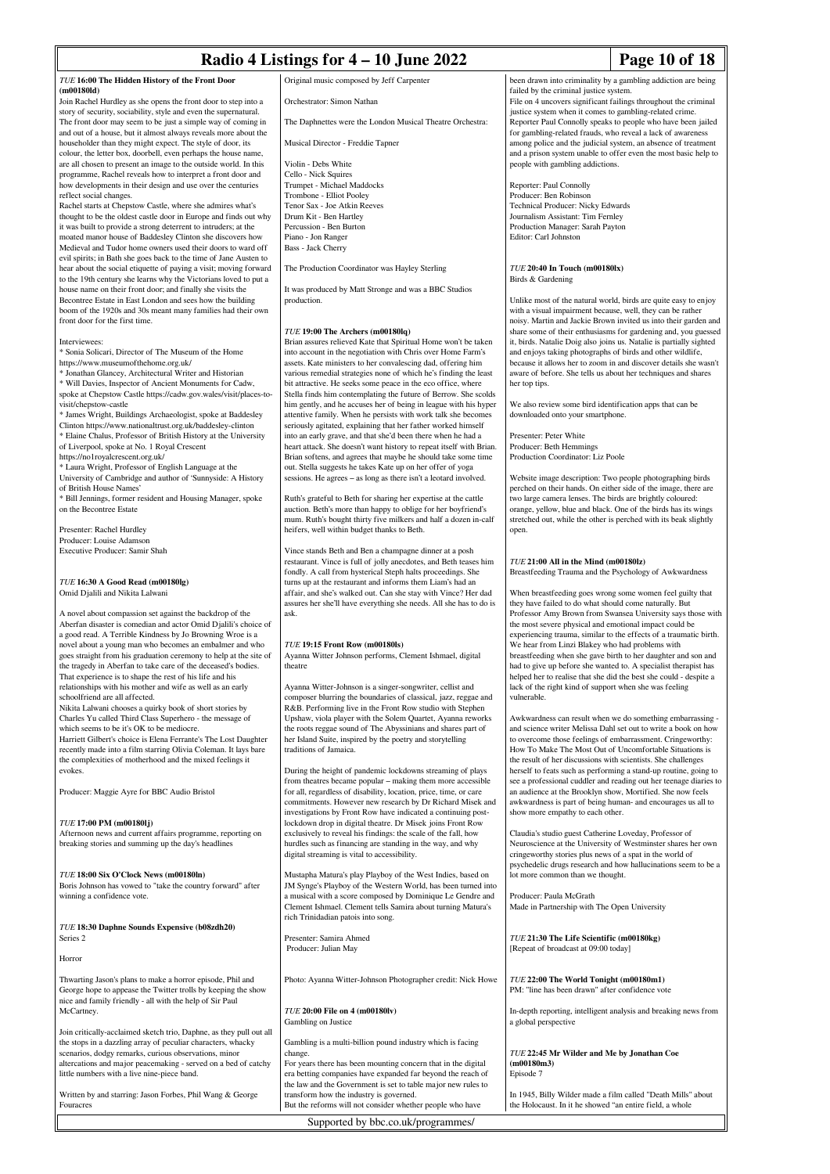# **Radio 4 Listings for 4 – 10 June 2022** Page 10 of 18

### *TUE* **16:00 The Hidden History of the Front Door (m00180ld)**

Join Rachel Hurdley as she opens the front door to step into a story of security, sociability, style and even the supernatural. The front door may seem to be just a simple way of coming in and out of a house, but it almost always reveals more about the householder than they might expect. The style of door, its colour, the letter box, doorbell, even perhaps the house name, are all chosen to present an image to the outside world. In this programme, Rachel reveals how to interpret a front door and how developments in their design and use over the centuries reflect social changes.

Rachel starts at Chepstow Castle, where she admires what's thought to be the oldest castle door in Europe and finds out why it was built to provide a strong deterrent to intruders; at the moated manor house of Baddesley Clinton she discovers how Medieval and Tudor home owners used their doors to ward off evil spirits; in Bath she goes back to the time of Jane Austen to hear about the social etiquette of paying a visit; moving forward to the 19th century she learns why the Victorians loved to put a house name on their front door; and finally she visits the Becontree Estate in East London and sees how the building boom of the 1920s and 30s meant many families had their own front door for the first time.

### Interviewees:

\* Sonia Solicari, Director of The Museum of the Home https://www.museumofthehome.org.uk/

\* Jonathan Glancey, Architectural Writer and Historian \* Will Davies, Inspector of Ancient Monuments for Cadw, spoke at Chepstow Castle https://cadw.gov.wales/visit/places-to-

visit/chepstow-castle \* James Wright, Buildings Archaeologist, spoke at Baddesley

Clinton https://www.nationaltrust.org.uk/baddesley-clinto \* Elaine Chalus, Professor of British History at the University of Liverpool, spoke at No. 1 Royal Crescent

https://no1royalcrescent.org.uk/

\* Laura Wright, Professor of English Language at the University of Cambridge and author of 'Sunnyside: A History of British House Names'

\* Bill Jennings, former resident and Housing Manager, spoke on the Becontree Estate

Presenter: Rachel Hurdley Producer: Louise Adamson Executive Producer: Samir Shah

### *TUE* **16:30 A Good Read (m00180lg)** Omid Djalili and Nikita Lalwani

A novel about compassion set against the backdrop of the Aberfan disaster is comedian and actor Omid Djalili's choice of a good read. A Terrible Kindness by Jo Browning Wroe is a novel about a young man who becomes an embalmer and who goes straight from his graduation ceremony to help at the site of the tragedy in Aberfan to take care of the deceased's bodies. That experience is to shape the rest of his life and his relationships with his mother and wife as well as an early schoolfriend are all affected. Nikita Lalwani chooses a quirky book of short stories by

Charles Yu called Third Class Superhero - the message of which seems to be it's OK to be mediocre. Harriett Gilbert's choice is Elena Ferrante's The Lost Daughter recently made into a film starring Olivia Coleman. It lays bare the complexities of motherhood and the mixed feelings it evokes.

Producer: Maggie Ayre for BBC Audio Bristol

### *TUE* **17:00 PM (m00180lj)**

Afternoon news and current affairs programme, reporting on breaking stories and summing up the day's headlines

*TUE* **18:00 Six O'Clock News (m00180ln)** Boris Johnson has vowed to "take the country forward" after winning a confidence vote.

*TUE* **18:30 Daphne Sounds Expensive (b08zdh20)** Series 2

Horro

Thwarting Jason's plans to make a horror episode, Phil and George hope to appease the Twitter trolls by keeping the show nice and family friendly - all with the help of Sir Paul McCartney.

Join critically-acclaimed sketch trio, Daphne, as they pull out all the stops in a dazzling array of peculiar characters, whacky scenarios, dodgy remarks, curious observations, minor altercations and major peacemaking - served on a bed of catchy little numbers with a live nine-piece band.

Written by and starring: Jason Forbes, Phil Wang & George Fouracres

Original music composed by Jeff Carpenter

hestrator: Simon Nath

The Daphnettes were the London Musical Theatre Orchestra:

Musical Director - Freddie Tapner

### Violin - Debs White Cello - Nick Squires Trumpet - Michael Maddocks Trombone - Elliot Pooley Tenor Sax - Joe Atkin Reeves Drum Kit - Ben Hartley Percussion - Ben Burton Piano - Jon Ranger Bass - Jack Cherry

The Production Coordinator was Hayley Sterling

It was produced by Matt Stronge and was a BBC Studios production.

# *TUE* **19:00 The Archers (m00180lq)**

Brian assures relieved Kate that Spiritual Home won't be taken into account in the negotiation with Chris over Home Farm's assets. Kate ministers to her convalescing dad, offering him various remedial strategies none of which he's finding the least bit attractive. He seeks some peace in the eco office, where Stella finds him contemplating the future of Berrow. She scolds him gently, and he accuses her of being in league with his hyper attentive family. When he persists with work talk she becomes seriously agitated, explaining that her father worked himself into an early grave, and that she'd been there when he had a heart attack. She doesn't want history to repeat itself with Brian. Brian softens, and agrees that maybe he should take some time out. Stella suggests he takes Kate up on her offer of yoga sessions. He agrees – as long as there isn't a leotard involved.

Ruth's grateful to Beth for sharing her expertise at the cattle auction. Beth's more than happy to oblige for her boyfriend's mum. Ruth's bought thirty five milkers and half a dozen in-calf heifers, well within budget thanks to Beth.

Vince stands Beth and Ben a champagne dinner at a posh restaurant. Vince is full of jolly anecdotes, and Beth teases him fondly. A call from hysterical Steph halts proceedings. She turns up at the restaurant and informs them Liam's had an affair, and she's walked out. Can she stay with Vince? Her dad assures her she'll have everything she needs. All she has to do is ask.

### *TUE* **19:15 Front Row (m00180ls)**

Ayanna Witter Johnson performs, Clement Ishmael, digital theatre

Ayanna Witter-Johnson is a singer-songwriter, cellist and composer blurring the boundaries of classical, jazz, reggae and R&B. Performing live in the Front Row studio with Stephen Upshaw, viola player with the Solem Quartet, Ayanna reworks the roots reggae sound of The Abyssinians and shares part of her Island Suite, inspired by the poetry and storytelling traditions of Jamaica.

During the height of pandemic lockdowns streaming of plays from theatres became popular – making them more accessible for all, regardless of disability, location, price, time, or care commitments. However new research by Dr Richard Misek and investigations by Front Row have indicated a continuing postlockdown drop in digital theatre. Dr Misek joins Front Row exclusively to reveal his findings: the scale of the fall, how hurdles such as financing are standing in the way, and why digital streaming is vital to accessibility.

Mustapha Matura's play Playboy of the West Indies, based on JM Synge's Playboy of the Western World, has been turned into a musical with a score composed by Dominique Le Gendre and Clement Ishmael. Clement tells Samira about turning Matura's rich Trinidadian patois into song.

Presenter: Samira Ahmed Producer: Julian May

Photo: Ayanna Witter-Johnson Photographer credit: Nick Howe

*TUE* **20:00 File on 4 (m00180lv)** Gambling on Justice

Gambling is a multi-billion pound industry which is facing change.

For years there has been mounting concern that in the digital era betting companies have expanded far beyond the reach of the law and the Government is set to table major new rules to transform how the industry is governed.

But the reforms will not consider whether people who have

Supported by bbc.co.uk/programmes/

been drawn into criminality by a gambling addiction are being failed by the criminal justice system.

File on 4 uncovers significant failings throughout the criminal justice system when it comes to gambling-related crime. Reporter Paul Connolly speaks to people who have been jailed for gambling-related frauds, who reveal a lack of awareness among police and the judicial system, an absence of treatment and a prison system unable to offer even the most basic help to people with gambling addictions.

Reporter: Paul Connolly Producer: Ben Robinson Technical Producer: Nicky Edwards Journalism Assistant: Tim Fernley Production Manager: Sarah Payton Editor: Carl Johnston

*TUE* **20:40 In Touch (m00180lx)** Birds & Gardening

Unlike most of the natural world, birds are quite easy to enjoy with a visual impairment because, well, they can be rather noisy. Martin and Jackie Brown invited us into their garden and share some of their enthusiasms for gardening and, you guessed it, birds. Natalie Doig also joins us. Natalie is partially sighted and enjoys taking photographs of birds and other wildlife, because it allows her to zoom in and discover details she wasn't aware of before. She tells us about her techniques and shares her top tips.

We also review some bird identification apps that can be downloaded onto your smartphone.

Presenter: Peter White Producer: Beth Hemmings Production Coordinator: Liz Poole

Website image description: Two people photographing birds perched on their hands. On either side of the image, there are two large camera lenses. The birds are brightly coloured: orange, yellow, blue and black. One of the birds has its wings stretched out, while the other is perched with its beak slightly open.

*TUE* **21:00 All in the Mind (m00180lz)** Breastfeeding Trauma and the Psychology of Awkwardness

When breastfeeding goes wrong some women feel guilty that they have failed to do what should come naturally. But Professor Amy Brown from Swansea University says those with the most severe physical and emotional impact could be experiencing trauma, similar to the effects of a traumatic birth. We hear from Linzi Blakey who had problems with breastfeeding when she gave birth to her daughter and son and had to give up before she wanted to. A specialist therapist has helped her to realise that she did the best she could - despite a lack of the right kind of support when she was feeling vulnerable.

Awkwardness can result when we do something embarrassing and science writer Melissa Dahl set out to write a book on how to overcome those feelings of embarrassment. Cringeworthy: How To Make The Most Out of Uncomfortable Situations is the result of her discussions with scientists. She challenges herself to feats such as performing a stand-up routine, going to see a professional cuddler and reading out her teenage diaries to an audience at the Brooklyn show, Mortified. She now feels awkwardness is part of being human- and encourages us all to show more empathy to each other.

Claudia's studio guest Catherine Loveday, Professor of Neuroscience at the University of Westminster shares her own cringeworthy stories plus news of a spat in the world of psychedelic drugs research and how hallucinations seem to be a lot more common than we thought.

Producer: Paula McGrath Made in Partnership with The Open University

*TUE* **21:30 The Life Scientific (m00180kg)** [Repeat of broadcast at 09:00 today]

*TUE* **22:00 The World Tonight (m00180m1)** PM: "line has been drawn" after confidence vote

In-depth reporting, intelligent analysis and breaking news from a global perspective

*TUE* **22:45 Mr Wilder and Me by Jonathan Coe (m00180m3)** Episode 7

In 1945, Billy Wilder made a film called "Death Mills" about the Holocaust. In it he showed "an entire field, a whole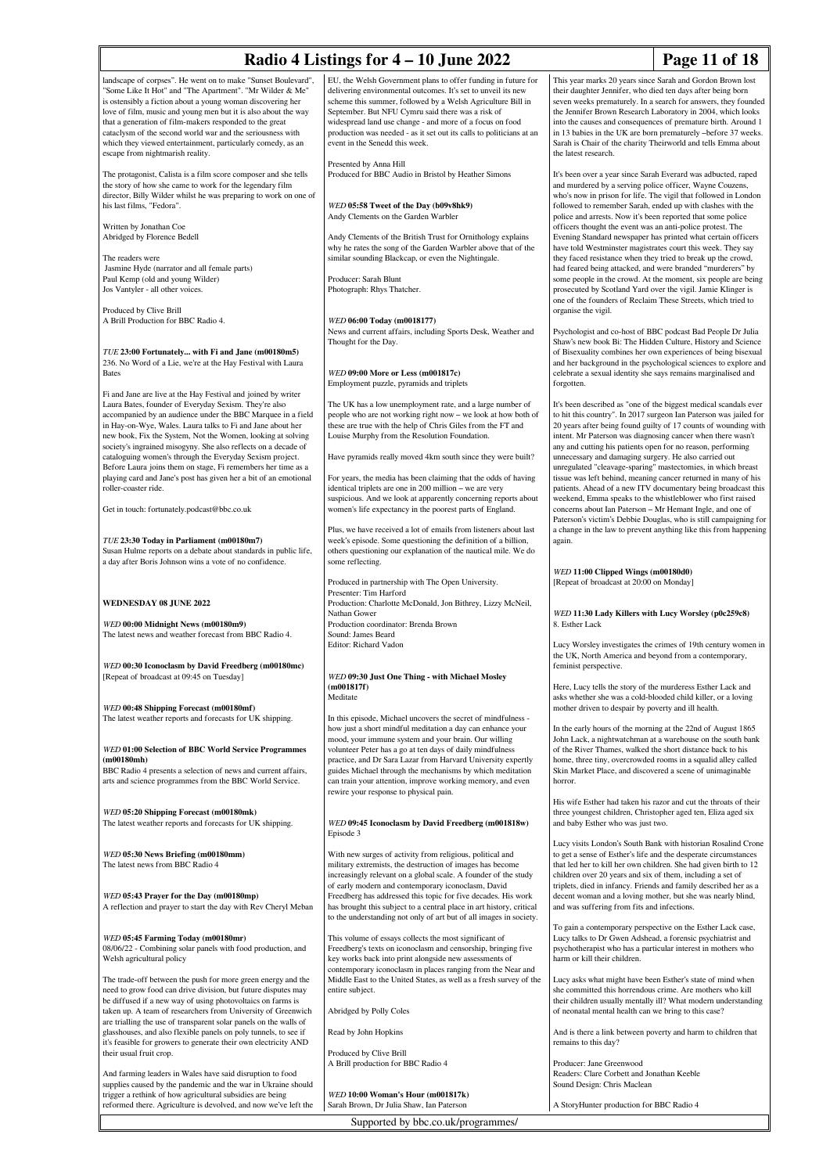| Radio 4 Listings for 4 – 10 June 2022                                                                                                                                                                                                                                                                                                                                                                                                                                                  | Page 11 of 18                                                                                                                                                                                                                                                                                                                                                                                                            |                                                                                                                                                                                                                                                            |                                                                                                                                                                                                                                                                                                                                                                                                |
|----------------------------------------------------------------------------------------------------------------------------------------------------------------------------------------------------------------------------------------------------------------------------------------------------------------------------------------------------------------------------------------------------------------------------------------------------------------------------------------|--------------------------------------------------------------------------------------------------------------------------------------------------------------------------------------------------------------------------------------------------------------------------------------------------------------------------------------------------------------------------------------------------------------------------|------------------------------------------------------------------------------------------------------------------------------------------------------------------------------------------------------------------------------------------------------------|------------------------------------------------------------------------------------------------------------------------------------------------------------------------------------------------------------------------------------------------------------------------------------------------------------------------------------------------------------------------------------------------|
| landscape of corpses". He went on to make "Sunset Boulevard",<br>'Some Like It Hot" and "The Apartment". "Mr Wilder & Me"<br>is ostensibly a fiction about a young woman discovering her<br>love of film, music and young men but it is also about the way<br>that a generation of film-makers responded to the great<br>cataclysm of the second world war and the seriousness with<br>which they viewed entertainment, particularly comedy, as an<br>escape from nightmarish reality. | EU, the Welsh Government plans to offer funding in future for<br>delivering environmental outcomes. It's set to unveil its new<br>scheme this summer, followed by a Welsh Agriculture Bill in<br>September. But NFU Cymru said there was a risk of<br>widespread land use change - and more of a focus on food<br>production was needed - as it set out its calls to politicians at an<br>event in the Senedd this week. | their daughter Jennifer, who died ten days after being born<br>the latest research.                                                                                                                                                                        | This year marks 20 years since Sarah and Gordon Brown lost<br>seven weeks prematurely. In a search for answers, they founded<br>the Jennifer Brown Research Laboratory in 2004, which looks<br>into the causes and consequences of premature birth. Around 1<br>in 13 babies in the UK are born prematurely -before 37 weeks.<br>Sarah is Chair of the charity Theirworld and tells Emma about |
| The protagonist, Calista is a film score composer and she tells<br>the story of how she came to work for the legendary film<br>director, Billy Wilder whilst he was preparing to work on one of<br>his last films, "Fedora".                                                                                                                                                                                                                                                           | Presented by Anna Hill<br>Produced for BBC Audio in Bristol by Heather Simons<br>WED 05:58 Tweet of the Day (b09v8hk9)                                                                                                                                                                                                                                                                                                   | It's been over a year since Sarah Everard was adbucted, raped<br>and murdered by a serving police officer, Wayne Couzens,<br>who's now in prison for life. The vigil that followed in London<br>followed to remember Sarah, ended up with clashes with the |                                                                                                                                                                                                                                                                                                                                                                                                |
| Written by Jonathan Coe<br>Abridged by Florence Bedell<br>The readers were                                                                                                                                                                                                                                                                                                                                                                                                             | Andy Clements on the Garden Warbler<br>Andy Clements of the British Trust for Ornithology explains<br>why he rates the song of the Garden Warbler above that of the<br>similar sounding Blackcap, or even the Nightingale.                                                                                                                                                                                               | police and arrests. Now it's been reported that some police<br>officers thought the event was an anti-police protest. The<br>have told Westminster magistrates court this week. They say<br>they faced resistance when they tried to break up the crowd,   | Evening Standard newspaper has printed what certain officers                                                                                                                                                                                                                                                                                                                                   |
| Jasmine Hyde (narrator and all female parts)<br>Paul Kemp (old and young Wilder)<br>Jos Vantyler - all other voices.<br>Produced by Clive Brill                                                                                                                                                                                                                                                                                                                                        | Producer: Sarah Blunt<br>Photograph: Rhys Thatcher.                                                                                                                                                                                                                                                                                                                                                                      | had feared being attacked, and were branded "murderers" by<br>prosecuted by Scotland Yard over the vigil. Jamie Klinger is<br>one of the founders of Reclaim These Streets, which tried to<br>organise the vigil.                                          | some people in the crowd. At the moment, six people are being                                                                                                                                                                                                                                                                                                                                  |
| A Brill Production for BBC Radio 4.<br>TUE 23:00 Fortunately with Fi and Jane (m00180m5)                                                                                                                                                                                                                                                                                                                                                                                               | WED 06:00 Today (m0018177)<br>News and current affairs, including Sports Desk, Weather and<br>Thought for the Day.                                                                                                                                                                                                                                                                                                       |                                                                                                                                                                                                                                                            | Psychologist and co-host of BBC podcast Bad People Dr Julia<br>Shaw's new book Bi: The Hidden Culture, History and Science<br>of Bisexuality combines her own experiences of being bisexual                                                                                                                                                                                                    |
| 236. No Word of a Lie, we're at the Hay Festival with Laura<br><b>Bates</b><br>Fi and Jane are live at the Hay Festival and joined by writer                                                                                                                                                                                                                                                                                                                                           | WED 09:00 More or Less (m001817c)<br>Employment puzzle, pyramids and triplets                                                                                                                                                                                                                                                                                                                                            | celebrate a sexual identity she says remains marginalised and<br>forgotten.                                                                                                                                                                                | and her background in the psychological sciences to explore and                                                                                                                                                                                                                                                                                                                                |
| Laura Bates, founder of Everyday Sexism. They're also<br>accompanied by an audience under the BBC Marquee in a field<br>in Hay-on-Wye, Wales. Laura talks to Fi and Jane about her<br>new book, Fix the System, Not the Women, looking at solving<br>society's ingrained misogyny. She also reflects on a decade of                                                                                                                                                                    | The UK has a low unemployment rate, and a large number of<br>people who are not working right now – we look at how both of<br>these are true with the help of Chris Giles from the FT and<br>Louise Murphy from the Resolution Foundation.                                                                                                                                                                               | intent. Mr Paterson was diagnosing cancer when there wasn't<br>any and cutting his patients open for no reason, performing                                                                                                                                 | It's been described as "one of the biggest medical scandals ever<br>to hit this country". In 2017 surgeon Ian Paterson was jailed for<br>20 years after being found guilty of 17 counts of wounding with                                                                                                                                                                                       |
| cataloguing women's through the Everyday Sexism project.<br>Before Laura joins them on stage, Fi remembers her time as a<br>playing card and Jane's post has given her a bit of an emotional<br>roller-coaster ride.                                                                                                                                                                                                                                                                   | Have pyramids really moved 4km south since they were built?<br>For years, the media has been claiming that the odds of having<br>identical triplets are one in 200 million - we are very                                                                                                                                                                                                                                 | unnecessary and damaging surgery. He also carried out                                                                                                                                                                                                      | unregulated "cleavage-sparing" mastectomies, in which breast<br>tissue was left behind, meaning cancer returned in many of his<br>patients. Ahead of a new ITV documentary being broadcast this                                                                                                                                                                                                |
| Get in touch: fortunately.podcast@bbc.co.uk                                                                                                                                                                                                                                                                                                                                                                                                                                            | suspicious. And we look at apparently concerning reports about<br>women's life expectancy in the poorest parts of England.<br>Plus, we have received a lot of emails from listeners about last                                                                                                                                                                                                                           | concerns about Ian Paterson - Mr Hemant Ingle, and one of                                                                                                                                                                                                  | weekend, Emma speaks to the whistleblower who first raised<br>Paterson's victim's Debbie Douglas, who is still campaigning for<br>a change in the law to prevent anything like this from happening                                                                                                                                                                                             |
| TUE 23:30 Today in Parliament (m00180m7)<br>Susan Hulme reports on a debate about standards in public life,<br>a day after Boris Johnson wins a vote of no confidence.                                                                                                                                                                                                                                                                                                                 | week's episode. Some questioning the definition of a billion,<br>others questioning our explanation of the nautical mile. We do<br>some reflecting.<br>Produced in partnership with The Open University.                                                                                                                                                                                                                 | again.<br>WED 11:00 Clipped Wings (m00180d0)<br>[Repeat of broadcast at 20:00 on Monday]                                                                                                                                                                   |                                                                                                                                                                                                                                                                                                                                                                                                |
| <b>WEDNESDAY 08 JUNE 2022</b><br>WED 00:00 Midnight News (m00180m9)                                                                                                                                                                                                                                                                                                                                                                                                                    | Presenter: Tim Harford<br>Production: Charlotte McDonald, Jon Bithrey, Lizzy McNeil,<br>Nathan Gower<br>Production coordinator: Brenda Brown                                                                                                                                                                                                                                                                             | WED 11:30 Lady Killers with Lucy Worsley (p0c259c8)<br>8. Esther Lack                                                                                                                                                                                      |                                                                                                                                                                                                                                                                                                                                                                                                |
| The latest news and weather forecast from BBC Radio 4.<br>WED 00:30 Iconoclasm by David Freedberg (m00180mc)                                                                                                                                                                                                                                                                                                                                                                           | Sound: James Beard<br>Editor: Richard Vadon                                                                                                                                                                                                                                                                                                                                                                              | the UK, North America and beyond from a contemporary,<br>feminist perspective.                                                                                                                                                                             | Lucy Worsley investigates the crimes of 19th century women in                                                                                                                                                                                                                                                                                                                                  |
| [Repeat of broadcast at 09:45 on Tuesday]<br>WED 00:48 Shipping Forecast (m00180mf)                                                                                                                                                                                                                                                                                                                                                                                                    | WED 09:30 Just One Thing - with Michael Mosley<br>(m001817f)<br>Meditate                                                                                                                                                                                                                                                                                                                                                 | Here, Lucy tells the story of the murderess Esther Lack and<br>asks whether she was a cold-blooded child killer, or a loving<br>mother driven to despair by poverty and ill health.                                                                        |                                                                                                                                                                                                                                                                                                                                                                                                |
| The latest weather reports and forecasts for UK shipping.<br>WED 01:00 Selection of BBC World Service Programmes                                                                                                                                                                                                                                                                                                                                                                       | In this episode, Michael uncovers the secret of mindfulness -<br>how just a short mindful meditation a day can enhance your<br>mood, your immune system and your brain. Our willing<br>volunteer Peter has a go at ten days of daily mindfulness                                                                                                                                                                         | of the River Thames, walked the short distance back to his                                                                                                                                                                                                 | In the early hours of the morning at the 22nd of August 1865<br>John Lack, a nightwatchman at a warehouse on the south bank                                                                                                                                                                                                                                                                    |
| (m00180mh)<br>BBC Radio 4 presents a selection of news and current affairs,<br>arts and science programmes from the BBC World Service.                                                                                                                                                                                                                                                                                                                                                 | practice, and Dr Sara Lazar from Harvard University expertly<br>guides Michael through the mechanisms by which meditation<br>can train your attention, improve working memory, and even<br>rewire your response to physical pain.                                                                                                                                                                                        | Skin Market Place, and discovered a scene of unimaginable<br>horror.                                                                                                                                                                                       | home, three tiny, overcrowded rooms in a squalid alley called<br>His wife Esther had taken his razor and cut the throats of their                                                                                                                                                                                                                                                              |
| WED 05:20 Shipping Forecast (m00180mk)<br>The latest weather reports and forecasts for UK shipping.                                                                                                                                                                                                                                                                                                                                                                                    | WED 09:45 Iconoclasm by David Freedberg (m001818w)<br>Episode 3                                                                                                                                                                                                                                                                                                                                                          | three youngest children, Christopher aged ten, Eliza aged six<br>and baby Esther who was just two.                                                                                                                                                         | Lucy visits London's South Bank with historian Rosalind Crone                                                                                                                                                                                                                                                                                                                                  |
| WED 05:30 News Briefing (m00180mm)<br>The latest news from BBC Radio 4                                                                                                                                                                                                                                                                                                                                                                                                                 | With new surges of activity from religious, political and<br>military extremists, the destruction of images has become<br>increasingly relevant on a global scale. A founder of the study<br>of early modern and contemporary iconoclasm, David                                                                                                                                                                          | children over 20 years and six of them, including a set of                                                                                                                                                                                                 | to get a sense of Esther's life and the desperate circumstances<br>that led her to kill her own children. She had given birth to 12<br>triplets, died in infancy. Friends and family described her as a                                                                                                                                                                                        |
| WED 05:43 Prayer for the Day (m00180mp)<br>A reflection and prayer to start the day with Rev Cheryl Meban                                                                                                                                                                                                                                                                                                                                                                              | Freedberg has addressed this topic for five decades. His work<br>has brought this subject to a central place in art history, critical<br>to the understanding not only of art but of all images in society.                                                                                                                                                                                                              | and was suffering from fits and infections.                                                                                                                                                                                                                | decent woman and a loving mother, but she was nearly blind,<br>To gain a contemporary perspective on the Esther Lack case,                                                                                                                                                                                                                                                                     |
| WED 05:45 Farming Today (m00180mr)<br>08/06/22 - Combining solar panels with food production, and<br>Welsh agricultural policy                                                                                                                                                                                                                                                                                                                                                         | This volume of essays collects the most significant of<br>Freedberg's texts on iconoclasm and censorship, bringing five<br>key works back into print alongside new assessments of<br>contemporary iconoclasm in places ranging from the Near and                                                                                                                                                                         | Lucy talks to Dr Gwen Adshead, a forensic psychiatrist and<br>psychotherapist who has a particular interest in mothers who<br>harm or kill their children.                                                                                                 |                                                                                                                                                                                                                                                                                                                                                                                                |
| The trade-off between the push for more green energy and the<br>need to grow food can drive division, but future disputes may<br>be diffused if a new way of using photovoltaics on farms is<br>taken up. A team of researchers from University of Greenwich                                                                                                                                                                                                                           | Middle East to the United States, as well as a fresh survey of the<br>entire subject.<br>Abridged by Polly Coles                                                                                                                                                                                                                                                                                                         | Lucy asks what might have been Esther's state of mind when<br>she committed this horrendous crime. Are mothers who kill<br>of neonatal mental health can we bring to this case?                                                                            | their children usually mentally ill? What modern understanding                                                                                                                                                                                                                                                                                                                                 |
| are trialling the use of transparent solar panels on the walls of<br>glasshouses, and also flexible panels on poly tunnels, to see if<br>it's feasible for growers to generate their own electricity AND<br>their usual fruit crop.                                                                                                                                                                                                                                                    | Read by John Hopkins<br>Produced by Clive Brill                                                                                                                                                                                                                                                                                                                                                                          | remains to this day?                                                                                                                                                                                                                                       | And is there a link between poverty and harm to children that                                                                                                                                                                                                                                                                                                                                  |
| And farming leaders in Wales have said disruption to food<br>supplies caused by the pandemic and the war in Ukraine should                                                                                                                                                                                                                                                                                                                                                             | A Brill production for BBC Radio 4                                                                                                                                                                                                                                                                                                                                                                                       | Producer: Jane Greenwood<br>Readers: Clare Corbett and Jonathan Keeble<br>Sound Design: Chris Maclean                                                                                                                                                      |                                                                                                                                                                                                                                                                                                                                                                                                |

And farming leaders in Wales have said disruption to food<br>supplies caused by the pandemic and the war in Ukraine should<br>trigger a rethink of how agricultural subsidies are being<br>reformed there. Agriculture is devolved, and

*WED* **10:00 Woman's Hour (m001817k)** Sarah Brown, Dr Julia Shaw, Ian Paterson

Supported by bbc.co.uk/programmes/

A StoryHunter production for BBC Radio 4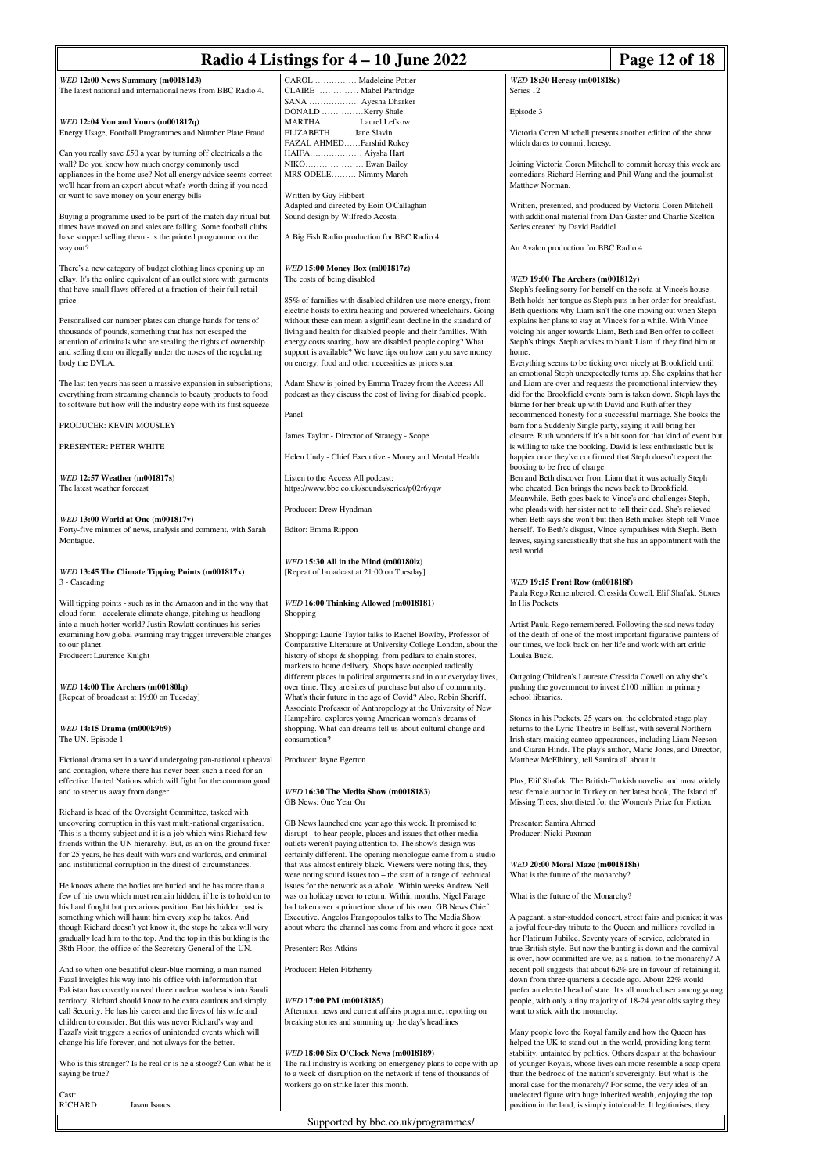| Page 12 of 18<br>Radio 4 Listings for $4 - 10$ June 2022                                                                               |                                                                                                                                    |                                                                                                                                 |                                                                                                                                      |
|----------------------------------------------------------------------------------------------------------------------------------------|------------------------------------------------------------------------------------------------------------------------------------|---------------------------------------------------------------------------------------------------------------------------------|--------------------------------------------------------------------------------------------------------------------------------------|
| WED 12:00 News Summary (m00181d3)                                                                                                      | CAROL  Madeleine Potter                                                                                                            | WED 18:30 Heresy (m001818c)                                                                                                     |                                                                                                                                      |
| The latest national and international news from BBC Radio 4.                                                                           | CLAIRE  Mabel Partridge                                                                                                            | Series 12                                                                                                                       |                                                                                                                                      |
|                                                                                                                                        | SANA  Ayesha Dharker                                                                                                               | Episode 3                                                                                                                       |                                                                                                                                      |
| $WED$ 12:04 You and Yours (m001817q)                                                                                                   | MARTHA  Laurel Lefkow                                                                                                              |                                                                                                                                 |                                                                                                                                      |
| Energy Usage, Football Programmes and Number Plate Fraud                                                                               | ELIZABETH  Jane Slavin<br>FAZAL AHMEDFarshid Rokey                                                                                 | Victoria Coren Mitchell presents another edition of the show<br>which dares to commit heresy.                                   |                                                                                                                                      |
| Can you really save £50 a year by turning off electricals a the                                                                        | HAIFA Aiysha Hart                                                                                                                  |                                                                                                                                 |                                                                                                                                      |
| wall? Do you know how much energy commonly used                                                                                        | NIKO Ewan Bailey                                                                                                                   |                                                                                                                                 | Joining Victoria Coren Mitchell to commit heresy this week are                                                                       |
| appliances in the home use? Not all energy advice seems correct<br>we'll hear from an expert about what's worth doing if you need      | MRS ODELE Nimmy March                                                                                                              | Matthew Norman.                                                                                                                 | comedians Richard Herring and Phil Wang and the journalist                                                                           |
| or want to save money on your energy bills                                                                                             | Written by Guy Hibbert                                                                                                             |                                                                                                                                 |                                                                                                                                      |
| Buying a programme used to be part of the match day ritual but                                                                         | Adapted and directed by Eoin O'Callaghan<br>Sound design by Wilfredo Acosta                                                        | Written, presented, and produced by Victoria Coren Mitchell                                                                     | with additional material from Dan Gaster and Charlie Skelton                                                                         |
| times have moved on and sales are falling. Some football clubs                                                                         |                                                                                                                                    | Series created by David Baddiel                                                                                                 |                                                                                                                                      |
| have stopped selling them - is the printed programme on the                                                                            | A Big Fish Radio production for BBC Radio 4                                                                                        |                                                                                                                                 |                                                                                                                                      |
| way out?                                                                                                                               |                                                                                                                                    | An Avalon production for BBC Radio 4                                                                                            |                                                                                                                                      |
| There's a new category of budget clothing lines opening up on                                                                          | WED 15:00 Money Box (m001817z)                                                                                                     |                                                                                                                                 |                                                                                                                                      |
| eBay. It's the online equivalent of an outlet store with garments<br>that have small flaws offered at a fraction of their full retail  | The costs of being disabled                                                                                                        | $WED$ 19:00 The Archers (m001812y)<br>Steph's feeling sorry for herself on the sofa at Vince's house.                           |                                                                                                                                      |
| price                                                                                                                                  | 85% of families with disabled children use more energy, from                                                                       |                                                                                                                                 | Beth holds her tongue as Steph puts in her order for breakfast.                                                                      |
|                                                                                                                                        | electric hoists to extra heating and powered wheelchairs. Going                                                                    |                                                                                                                                 | Beth questions why Liam isn't the one moving out when Steph                                                                          |
| Personalised car number plates can change hands for tens of<br>thousands of pounds, something that has not escaped the                 | without these can mean a significant decline in the standard of<br>living and health for disabled people and their families. With  | explains her plans to stay at Vince's for a while. With Vince                                                                   | voicing his anger towards Liam, Beth and Ben offer to collect                                                                        |
| attention of criminals who are stealing the rights of ownership                                                                        | energy costs soaring, how are disabled people coping? What                                                                         |                                                                                                                                 | Steph's things. Steph advises to blank Liam if they find him at                                                                      |
| and selling them on illegally under the noses of the regulating<br>body the DVLA.                                                      | support is available? We have tips on how can you save money<br>on energy, food and other necessities as prices soar.              | home.                                                                                                                           | Everything seems to be ticking over nicely at Brookfield until                                                                       |
|                                                                                                                                        |                                                                                                                                    |                                                                                                                                 | an emotional Steph unexpectedly turns up. She explains that her                                                                      |
| The last ten years has seen a massive expansion in subscriptions;                                                                      | Adam Shaw is joined by Emma Tracey from the Access All                                                                             |                                                                                                                                 | and Liam are over and requests the promotional interview they<br>did for the Brookfield events barn is taken down. Steph lays the    |
| everything from streaming channels to beauty products to food<br>to software but how will the industry cope with its first squeeze     | podcast as they discuss the cost of living for disabled people.                                                                    | blame for her break up with David and Ruth after they                                                                           |                                                                                                                                      |
|                                                                                                                                        | Panel:                                                                                                                             |                                                                                                                                 | recommended honesty for a successful marriage. She books the                                                                         |
| PRODUCER: KEVIN MOUSLEY                                                                                                                | James Taylor - Director of Strategy - Scope                                                                                        | barn for a Suddenly Single party, saying it will bring her                                                                      | closure. Ruth wonders if it's a bit soon for that kind of event but                                                                  |
| PRESENTER: PETER WHITE                                                                                                                 |                                                                                                                                    | is willing to take the booking. David is less enthusiastic but is                                                               |                                                                                                                                      |
|                                                                                                                                        | Helen Undy - Chief Executive - Money and Mental Health                                                                             | happier once they've confirmed that Steph doesn't expect the                                                                    |                                                                                                                                      |
| WED 12:57 Weather (m001817s)                                                                                                           | Listen to the Access All podcast:                                                                                                  | booking to be free of charge.<br>Ben and Beth discover from Liam that it was actually Steph                                     |                                                                                                                                      |
| The latest weather forecast                                                                                                            | https://www.bbc.co.uk/sounds/series/p02r6yqw                                                                                       | who cheated. Ben brings the news back to Brookfield.                                                                            |                                                                                                                                      |
|                                                                                                                                        | Producer: Drew Hyndman                                                                                                             | Meanwhile, Beth goes back to Vince's and challenges Steph,<br>who pleads with her sister not to tell their dad. She's relieved  |                                                                                                                                      |
| $WED$ 13:00 World at One (m001817v)                                                                                                    |                                                                                                                                    |                                                                                                                                 | when Beth says she won't but then Beth makes Steph tell Vince                                                                        |
| Forty-five minutes of news, analysis and comment, with Sarah                                                                           | Editor: Emma Rippon                                                                                                                |                                                                                                                                 | herself. To Beth's disgust, Vince sympathises with Steph. Beth                                                                       |
| Montague.                                                                                                                              |                                                                                                                                    | real world.                                                                                                                     | leaves, saying sarcastically that she has an appointment with the                                                                    |
|                                                                                                                                        | WED 15:30 All in the Mind (m00180lz)                                                                                               |                                                                                                                                 |                                                                                                                                      |
| WED 13:45 The Climate Tipping Points (m001817x)<br>3 - Cascading                                                                       | [Repeat of broadcast at 21:00 on Tuesday]                                                                                          | WED 19:15 Front Row (m001818f)                                                                                                  |                                                                                                                                      |
|                                                                                                                                        |                                                                                                                                    |                                                                                                                                 | Paula Rego Remembered, Cressida Cowell, Elif Shafak, Stones                                                                          |
| Will tipping points - such as in the Amazon and in the way that<br>cloud form - accelerate climate change, pitching us headlong        | WED 16:00 Thinking Allowed (m0018181)<br>Shopping                                                                                  | In His Pockets                                                                                                                  |                                                                                                                                      |
| into a much hotter world? Justin Rowlatt continues his series                                                                          |                                                                                                                                    |                                                                                                                                 | Artist Paula Rego remembered. Following the sad news today                                                                           |
| examining how global warming may trigger irreversible changes                                                                          | Shopping: Laurie Taylor talks to Rachel Bowlby, Professor of                                                                       |                                                                                                                                 | of the death of one of the most important figurative painters of                                                                     |
| to our planet.<br>Producer: Laurence Knight                                                                                            | Comparative Literature at University College London, about the<br>history of shops & shopping, from pedlars to chain stores,       | our times, we look back on her life and work with art critic<br>Louisa Buck.                                                    |                                                                                                                                      |
|                                                                                                                                        | markets to home delivery. Shops have occupied radically                                                                            |                                                                                                                                 |                                                                                                                                      |
| WED 14:00 The Archers (m00180lq)                                                                                                       | different places in political arguments and in our everyday lives,<br>over time. They are sites of purchase but also of community. | Outgoing Children's Laureate Cressida Cowell on why she's<br>pushing the government to invest $£100$ million in primary         |                                                                                                                                      |
| [Repeat of broadcast at 19:00 on Tuesday]                                                                                              | What's their future in the age of Covid? Also, Robin Sheriff,                                                                      | school libraries.                                                                                                               |                                                                                                                                      |
|                                                                                                                                        | Associate Professor of Anthropology at the University of New                                                                       |                                                                                                                                 |                                                                                                                                      |
| WED 14:15 Drama (m000k9b9)                                                                                                             | Hampshire, explores young American women's dreams of<br>shopping. What can dreams tell us about cultural change and                | Stones in his Pockets. 25 years on, the celebrated stage play<br>returns to the Lyric Theatre in Belfast, with several Northern |                                                                                                                                      |
| The UN. Episode 1                                                                                                                      | consumption?                                                                                                                       |                                                                                                                                 | Irish stars making cameo appearances, including Liam Neeson                                                                          |
| Fictional drama set in a world undergoing pan-national upheaval                                                                        | Producer: Jayne Egerton                                                                                                            | Matthew McElhinny, tell Samira all about it.                                                                                    | and Ciaran Hinds. The play's author, Marie Jones, and Director,                                                                      |
| and contagion, where there has never been such a need for an                                                                           |                                                                                                                                    |                                                                                                                                 |                                                                                                                                      |
| effective United Nations which will fight for the common good<br>and to steer us away from danger.                                     | <b>WED 16:30 The Media Show (m0018183)</b>                                                                                         |                                                                                                                                 | Plus, Elif Shafak. The British-Turkish novelist and most widely<br>read female author in Turkey on her latest book, The Island of    |
|                                                                                                                                        | GB News: One Year On                                                                                                               | Missing Trees, shortlisted for the Women's Prize for Fiction.                                                                   |                                                                                                                                      |
| Richard is head of the Oversight Committee, tasked with                                                                                |                                                                                                                                    |                                                                                                                                 |                                                                                                                                      |
| uncovering corruption in this vast multi-national organisation.<br>This is a thorny subject and it is a job which wins Richard few     | GB News launched one year ago this week. It promised to<br>disrupt - to hear people, places and issues that other media            | Presenter: Samira Ahmed<br>Producer: Nicki Paxman                                                                               |                                                                                                                                      |
| friends within the UN hierarchy. But, as an on-the-ground fixer                                                                        | outlets weren't paying attention to. The show's design was                                                                         |                                                                                                                                 |                                                                                                                                      |
| for 25 years, he has dealt with wars and warlords, and criminal<br>and institutional corruption in the direst of circumstances.        | certainly different. The opening monologue came from a studio<br>that was almost entirely black. Viewers were noting this, they    | WED 20:00 Moral Maze (m001818h)                                                                                                 |                                                                                                                                      |
|                                                                                                                                        | were noting sound issues too – the start of a range of technical                                                                   | What is the future of the monarchy?                                                                                             |                                                                                                                                      |
| He knows where the bodies are buried and he has more than a<br>few of his own which must remain hidden, if he is to hold on to         | issues for the network as a whole. Within weeks Andrew Neil<br>was on holiday never to return. Within months, Nigel Farage         | What is the future of the Monarchy?                                                                                             |                                                                                                                                      |
| his hard fought but precarious position. But his hidden past is                                                                        | had taken over a primetime show of his own. GB News Chief                                                                          |                                                                                                                                 |                                                                                                                                      |
| something which will haunt him every step he takes. And                                                                                | Executive, Angelos Frangopoulos talks to The Media Show                                                                            |                                                                                                                                 | A pageant, a star-studded concert, street fairs and picnics; it was                                                                  |
| though Richard doesn't yet know it, the steps he takes will very<br>gradually lead him to the top. And the top in this building is the | about where the channel has come from and where it goes next.                                                                      | her Platinum Jubilee. Seventy years of service, celebrated in                                                                   | a joyful four-day tribute to the Queen and millions revelled in                                                                      |
| 38th Floor, the office of the Secretary General of the UN.                                                                             | Presenter: Ros Atkins                                                                                                              |                                                                                                                                 | true British style. But now the bunting is down and the carnival                                                                     |
| And so when one beautiful clear-blue morning, a man named                                                                              | Producer: Helen Fitzhenry                                                                                                          |                                                                                                                                 | is over, how committed are we, as a nation, to the monarchy? A<br>recent poll suggests that about 62% are in favour of retaining it, |
| Fazal inveigles his way into his office with information that                                                                          |                                                                                                                                    | down from three quarters a decade ago. About 22% would                                                                          |                                                                                                                                      |
| Pakistan has covertly moved three nuclear warheads into Saudi                                                                          | WED 17:00 PM (m0018185)                                                                                                            |                                                                                                                                 | prefer an elected head of state. It's all much closer among young                                                                    |
| territory, Richard should know to be extra cautious and simply<br>call Security. He has his career and the lives of his wife and       | Afternoon news and current affairs programme, reporting on                                                                         | want to stick with the monarchy.                                                                                                | people, with only a tiny majority of 18-24 year olds saying they                                                                     |
| children to consider. But this was never Richard's way and                                                                             | breaking stories and summing up the day's headlines                                                                                |                                                                                                                                 |                                                                                                                                      |
| Fazal's visit triggers a series of unintended events which will<br>change his life forever, and not always for the better.             |                                                                                                                                    | Many people love the Royal family and how the Queen has<br>helped the UK to stand out in the world, providing long term         |                                                                                                                                      |
|                                                                                                                                        | <b>WED 18:00 Six O'Clock News (m0018189)</b>                                                                                       |                                                                                                                                 | stability, untainted by politics. Others despair at the behaviour                                                                    |
| Who is this stranger? Is he real or is he a stooge? Can what he is<br>saying be true?                                                  | The rail industry is working on emergency plans to cope with up<br>to a week of disruption on the network if tens of thousands of  | than the bedrock of the nation's sovereignty. But what is the                                                                   | of younger Royals, whose lives can more resemble a soap opera                                                                        |
|                                                                                                                                        | workers go on strike later this month.                                                                                             | moral case for the monarchy? For some, the very idea of an                                                                      |                                                                                                                                      |

Cast: RICHARD ….……..Jason Isaacs

Supported by bbc.co.uk/programmes/

unelected figure with huge inherited wealth, enjoying the top position in the land, is simply intolerable. It legitimises, they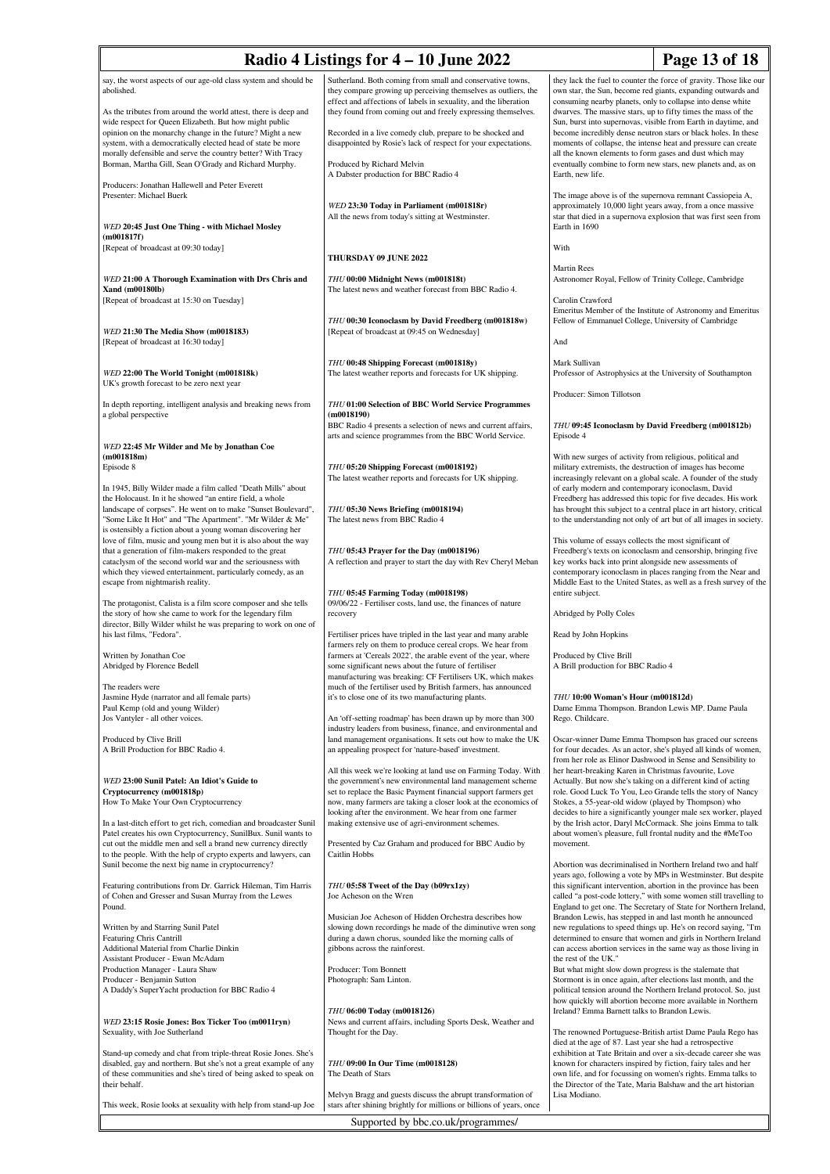| Radio 4 Listings for 4 – 10 June 2022<br>Page 13 of 18                                                                                                                                                                                                                                                                        |                                                                                                                                                                                                                                                                                                                               |                                                                                                                                                                                                              |                                                                                                                                                                                                                                                                                                                                         |  |
|-------------------------------------------------------------------------------------------------------------------------------------------------------------------------------------------------------------------------------------------------------------------------------------------------------------------------------|-------------------------------------------------------------------------------------------------------------------------------------------------------------------------------------------------------------------------------------------------------------------------------------------------------------------------------|--------------------------------------------------------------------------------------------------------------------------------------------------------------------------------------------------------------|-----------------------------------------------------------------------------------------------------------------------------------------------------------------------------------------------------------------------------------------------------------------------------------------------------------------------------------------|--|
| say, the worst aspects of our age-old class system and should be<br>abolished.<br>As the tributes from around the world attest, there is deep and<br>wide respect for Queen Elizabeth. But how might public<br>opinion on the monarchy change in the future? Might a new                                                      | Sutherland. Both coming from small and conservative towns,<br>they compare growing up perceiving themselves as outliers, the<br>effect and affections of labels in sexuality, and the liberation<br>they found from coming out and freely expressing themselves.<br>Recorded in a live comedy club, prepare to be shocked and | consuming nearby planets, only to collapse into dense white                                                                                                                                                  | they lack the fuel to counter the force of gravity. Those like our<br>own star, the Sun, become red giants, expanding outwards and<br>dwarves. The massive stars, up to fifty times the mass of the<br>Sun, burst into supernovas, visible from Earth in daytime, and<br>become incredibly dense neutron stars or black holes. In these |  |
| system, with a democratically elected head of state be more<br>morally defensible and serve the country better? With Tracy<br>Borman, Martha Gill, Sean O'Grady and Richard Murphy.<br>Producers: Jonathan Hallewell and Peter Everett                                                                                        | disappointed by Rosie's lack of respect for your expectations.<br>Produced by Richard Melvin<br>A Dabster production for BBC Radio 4                                                                                                                                                                                          | moments of collapse, the intense heat and pressure can create<br>all the known elements to form gases and dust which may<br>eventually combine to form new stars, new planets and, as on<br>Earth, new life. |                                                                                                                                                                                                                                                                                                                                         |  |
| Presenter: Michael Buerk<br>WED 20:45 Just One Thing - with Michael Mosley<br>(m001817f)                                                                                                                                                                                                                                      | WED 23:30 Today in Parliament (m001818r)<br>All the news from today's sitting at Westminster.                                                                                                                                                                                                                                 | The image above is of the supernova remnant Cassiopeia A,<br>approximately 10,000 light years away, from a once massive<br>star that died in a supernova explosion that was first seen from<br>Earth in 1690 |                                                                                                                                                                                                                                                                                                                                         |  |
| [Repeat of broadcast at 09:30 today]                                                                                                                                                                                                                                                                                          | THURSDAY 09 JUNE 2022                                                                                                                                                                                                                                                                                                         | With                                                                                                                                                                                                         |                                                                                                                                                                                                                                                                                                                                         |  |
| WED 21:00 A Thorough Examination with Drs Chris and<br>Xand (m00180lb)<br>[Repeat of broadcast at 15:30 on Tuesday]                                                                                                                                                                                                           | THU 00:00 Midnight News (m001818t)<br>The latest news and weather forecast from BBC Radio 4.                                                                                                                                                                                                                                  | <b>Martin Rees</b><br>Astronomer Royal, Fellow of Trinity College, Cambridge<br>Carolin Crawford                                                                                                             |                                                                                                                                                                                                                                                                                                                                         |  |
| WED 21:30 The Media Show (m0018183)<br>[Repeat of broadcast at 16:30 today]                                                                                                                                                                                                                                                   | THU 00:30 Iconoclasm by David Freedberg (m001818w)<br>[Repeat of broadcast at 09:45 on Wednesday]                                                                                                                                                                                                                             | Fellow of Emmanuel College, University of Cambridge<br>And                                                                                                                                                   | Emeritus Member of the Institute of Astronomy and Emeritus                                                                                                                                                                                                                                                                              |  |
| WED 22:00 The World Tonight (m001818k)<br>UK's growth forecast to be zero next year                                                                                                                                                                                                                                           | THU 00:48 Shipping Forecast (m001818y)<br>The latest weather reports and forecasts for UK shipping.                                                                                                                                                                                                                           | Mark Sullivan<br>Professor of Astrophysics at the University of Southampton                                                                                                                                  |                                                                                                                                                                                                                                                                                                                                         |  |
| In depth reporting, intelligent analysis and breaking news from<br>a global perspective                                                                                                                                                                                                                                       | THU 01:00 Selection of BBC World Service Programmes<br>(m0018190)                                                                                                                                                                                                                                                             | Producer: Simon Tillotson                                                                                                                                                                                    |                                                                                                                                                                                                                                                                                                                                         |  |
| WED 22:45 Mr Wilder and Me by Jonathan Coe                                                                                                                                                                                                                                                                                    | BBC Radio 4 presents a selection of news and current affairs,<br>arts and science programmes from the BBC World Service.                                                                                                                                                                                                      | THU 09:45 Iconoclasm by David Freedberg (m001812b)<br>Episode 4                                                                                                                                              |                                                                                                                                                                                                                                                                                                                                         |  |
| (m001818m)<br>Episode 8<br>In 1945, Billy Wilder made a film called "Death Mills" about                                                                                                                                                                                                                                       | THU 05:20 Shipping Forecast (m0018192)<br>The latest weather reports and forecasts for UK shipping.                                                                                                                                                                                                                           | With new surges of activity from religious, political and<br>military extremists, the destruction of images has become<br>of early modern and contemporary iconoclasm, David                                 | increasingly relevant on a global scale. A founder of the study                                                                                                                                                                                                                                                                         |  |
| the Holocaust. In it he showed "an entire field, a whole<br>landscape of corpses". He went on to make "Sunset Boulevard",<br>"Some Like It Hot" and "The Apartment". "Mr Wilder & Me"<br>is ostensibly a fiction about a young woman discovering her                                                                          | <b>THU 05:30 News Briefing (m0018194)</b><br>The latest news from BBC Radio 4                                                                                                                                                                                                                                                 |                                                                                                                                                                                                              | Freedberg has addressed this topic for five decades. His work<br>has brought this subject to a central place in art history, critical<br>to the understanding not only of art but of all images in society.                                                                                                                             |  |
| love of film, music and young men but it is also about the way<br>that a generation of film-makers responded to the great<br>cataclysm of the second world war and the seriousness with<br>which they viewed entertainment, particularly comedy, as an<br>escape from nightmarish reality.                                    | THU 05:43 Prayer for the Day (m0018196)<br>A reflection and prayer to start the day with Rev Cheryl Meban<br>THU 05:45 Farming Today (m0018198)                                                                                                                                                                               | This volume of essays collects the most significant of<br>key works back into print alongside new assessments of<br>entire subject.                                                                          | Freedberg's texts on iconoclasm and censorship, bringing five<br>contemporary iconoclasm in places ranging from the Near and<br>Middle East to the United States, as well as a fresh survey of the                                                                                                                                      |  |
| The protagonist, Calista is a film score composer and she tells<br>the story of how she came to work for the legendary film<br>director, Billy Wilder whilst he was preparing to work on one of                                                                                                                               | 09/06/22 - Fertiliser costs, land use, the finances of nature<br>recovery                                                                                                                                                                                                                                                     | Abridged by Polly Coles                                                                                                                                                                                      |                                                                                                                                                                                                                                                                                                                                         |  |
| his last films, "Fedora".<br>Written by Jonathan Coe                                                                                                                                                                                                                                                                          | Fertiliser prices have tripled in the last year and many arable<br>farmers rely on them to produce cereal crops. We hear from<br>farmers at 'Cereals 2022', the arable event of the year, where                                                                                                                               | Read by John Hopkins<br>Produced by Clive Brill                                                                                                                                                              |                                                                                                                                                                                                                                                                                                                                         |  |
| Abridged by Florence Bedell<br>The readers were                                                                                                                                                                                                                                                                               | some significant news about the future of fertiliser<br>manufacturing was breaking: CF Fertilisers UK, which makes<br>much of the fertiliser used by British farmers, has announced                                                                                                                                           | A Brill production for BBC Radio 4                                                                                                                                                                           |                                                                                                                                                                                                                                                                                                                                         |  |
| Jasmine Hyde (narrator and all female parts)<br>Paul Kemp (old and young Wilder)<br>Jos Vantyler - all other voices.                                                                                                                                                                                                          | it's to close one of its two manufacturing plants.<br>An 'off-setting roadmap' has been drawn up by more than 300<br>industry leaders from business, finance, and environmental and                                                                                                                                           | THU 10:00 Woman's Hour (m001812d)<br>Dame Emma Thompson. Brandon Lewis MP. Dame Paula<br>Rego. Childcare.                                                                                                    |                                                                                                                                                                                                                                                                                                                                         |  |
| Produced by Clive Brill<br>A Brill Production for BBC Radio 4.                                                                                                                                                                                                                                                                | land management organisations. It sets out how to make the UK<br>an appealing prospect for 'nature-based' investment.<br>All this week we're looking at land use on Farming Today. With                                                                                                                                       | her heart-breaking Karen in Christmas favourite, Love                                                                                                                                                        | Oscar-winner Dame Emma Thompson has graced our screens<br>for four decades. As an actor, she's played all kinds of women,<br>from her role as Elinor Dashwood in Sense and Sensibility to                                                                                                                                               |  |
| WED 23:00 Sunil Patel: An Idiot's Guide to<br>Cryptocurrency (m001818p)<br>How To Make Your Own Cryptocurrency                                                                                                                                                                                                                | the government's new environmental land management scheme<br>set to replace the Basic Payment financial support farmers get<br>now, many farmers are taking a closer look at the economics of<br>looking after the environment. We hear from one farmer                                                                       | Actually. But now she's taking on a different kind of acting<br>Stokes, a 55-year-old widow (played by Thompson) who                                                                                         | role. Good Luck To You, Leo Grande tells the story of Nancy<br>decides to hire a significantly younger male sex worker, played                                                                                                                                                                                                          |  |
| In a last-ditch effort to get rich, comedian and broadcaster Sunil<br>Patel creates his own Cryptocurrency, SunilBux. Sunil wants to<br>cut out the middle men and sell a brand new currency directly<br>to the people. With the help of crypto experts and lawyers, can<br>Sunil become the next big name in cryptocurrency? | making extensive use of agri-environment schemes.<br>Presented by Caz Graham and produced for BBC Audio by<br>Caitlin Hobbs                                                                                                                                                                                                   | about women's pleasure, full frontal nudity and the #MeToo<br>movement.                                                                                                                                      | by the Irish actor, Daryl McCormack. She joins Emma to talk<br>Abortion was decriminalised in Northern Ireland two and half                                                                                                                                                                                                             |  |
| Featuring contributions from Dr. Garrick Hileman, Tim Harris<br>of Cohen and Gresser and Susan Murray from the Lewes<br>Pound.                                                                                                                                                                                                | THU 05:58 Tweet of the Day (b09rx1zy)<br>Joe Acheson on the Wren                                                                                                                                                                                                                                                              |                                                                                                                                                                                                              | years ago, following a vote by MPs in Westminster. But despite<br>this significant intervention, abortion in the province has been<br>called "a post-code lottery," with some women still travelling to<br>England to get one. The Secretary of State for Northern Ireland,                                                             |  |
| Written by and Starring Sunil Patel<br>Featuring Chris Cantrill<br>Additional Material from Charlie Dinkin                                                                                                                                                                                                                    | Musician Joe Acheson of Hidden Orchestra describes how<br>slowing down recordings he made of the diminutive wren song<br>during a dawn chorus, sounded like the morning calls of<br>gibbons across the rainforest.                                                                                                            |                                                                                                                                                                                                              | Brandon Lewis, has stepped in and last month he announced<br>new regulations to speed things up. He's on record saying, "I'm<br>determined to ensure that women and girls in Northern Ireland<br>can access abortion services in the same way as those living in                                                                        |  |
| Assistant Producer - Ewan McAdam<br>Production Manager - Laura Shaw<br>Producer - Benjamin Sutton<br>A Daddy's SuperYacht production for BBC Radio 4                                                                                                                                                                          | Producer: Tom Bonnett<br>Photograph: Sam Linton.                                                                                                                                                                                                                                                                              | the rest of the UK."<br>But what might slow down progress is the stalemate that                                                                                                                              | Stormont is in once again, after elections last month, and the<br>political tension around the Northern Ireland protocol. So, just<br>how quickly will abortion become more available in Northern                                                                                                                                       |  |
| WED 23:15 Rosie Jones: Box Ticker Too (m0011ryn)<br>Sexuality, with Joe Sutherland                                                                                                                                                                                                                                            | THU 06:00 Today (m0018126)<br>News and current affairs, including Sports Desk, Weather and<br>Thought for the Day.                                                                                                                                                                                                            | Ireland? Emma Barnett talks to Brandon Lewis.                                                                                                                                                                | The renowned Portuguese-British artist Dame Paula Rego has                                                                                                                                                                                                                                                                              |  |
| Stand-up comedy and chat from triple-threat Rosie Jones. She's<br>disabled, gay and northern. But she's not a great example of any<br>of these communities and she's tired of being asked to speak on<br>their behalf.                                                                                                        | THU 09:00 In Our Time (m0018128)<br>The Death of Stars                                                                                                                                                                                                                                                                        | died at the age of 87. Last year she had a retrospective<br>known for characters inspired by fiction, fairy tales and her                                                                                    | exhibition at Tate Britain and over a six-decade career she was<br>own life, and for focussing on women's rights. Emma talks to<br>the Director of the Tate, Maria Balshaw and the art historian                                                                                                                                        |  |
| This week, Rosie looks at sexuality with help from stand-up Joe                                                                                                                                                                                                                                                               | Melvyn Bragg and guests discuss the abrupt transformation of<br>stars after shining brightly for millions or billions of years, once                                                                                                                                                                                          | Lisa Modiano.                                                                                                                                                                                                |                                                                                                                                                                                                                                                                                                                                         |  |
| Supported by bbc.co.uk/programmes/                                                                                                                                                                                                                                                                                            |                                                                                                                                                                                                                                                                                                                               |                                                                                                                                                                                                              |                                                                                                                                                                                                                                                                                                                                         |  |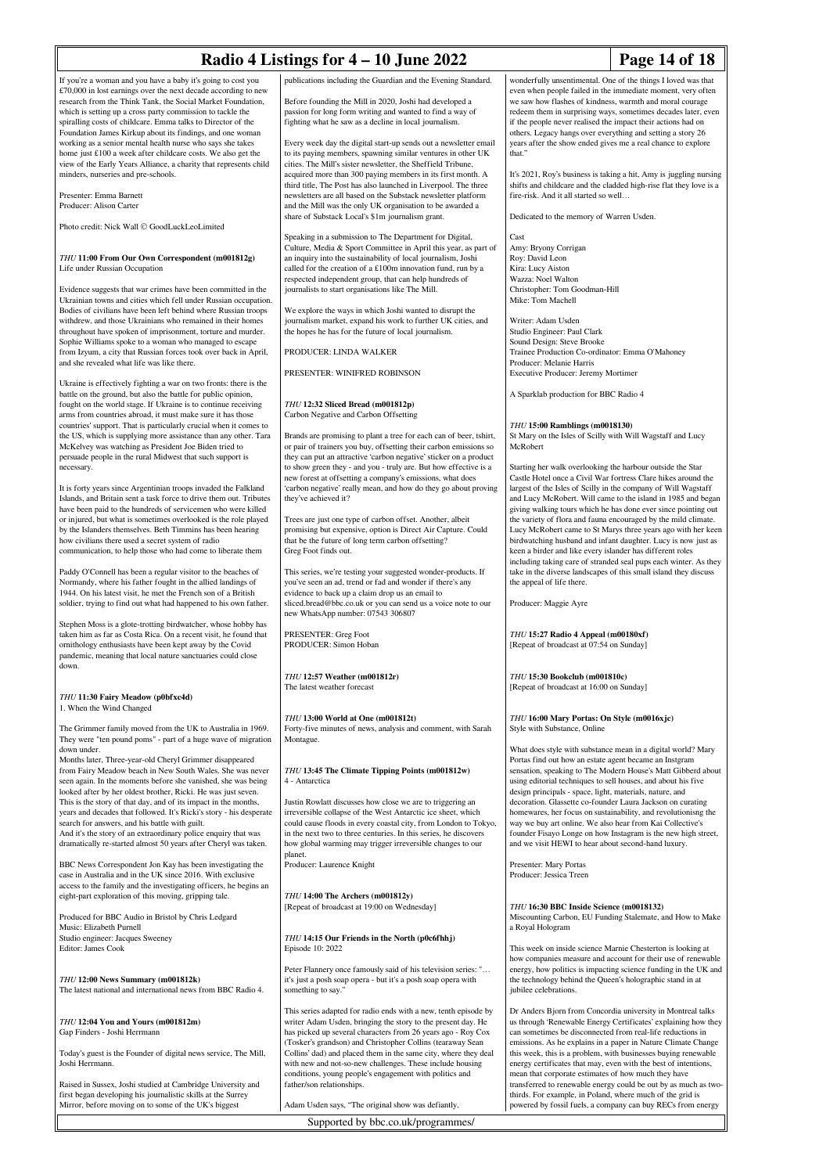# **Radio 4 Listings for 4 – 10 June 2022** Page 14 of 18

If you're a woman and you have a baby it's going to cost you £70,000 in lost earnings over the next decade according to new research from the Think Tank, the Social Market Foundation, which is setting up a cross party commission to tackle the spiralling costs of childcare. Emma talks to Director of the Foundation James Kirkup about its findings, and one woman working as a senior mental health nurse who says she takes home just £100 a week after childcare costs. We also get the view of the Early Years Alliance, a charity that represents child minders, nurseries and pre-schools.

nter: Emma Barnett Producer: Alison Carter

Photo credit: Nick Wall © GoodLuckLeoLimited

### *THU* **11:00 From Our Own Correspondent (m001812g)** Life under Russian Occupation

Evidence suggests that war crimes have been committed in the Ukrainian towns and cities which fell under Russian occupation. Bodies of civilians have been left behind where Russian troops withdrew, and those Ukrainians who remained in their home throughout have spoken of imprisonment, torture and murder. Sophie Williams spoke to a woman who managed to escar from Izyum, a city that Russian forces took over back in April, and she revealed what life was like there.

Ukraine is effectively fighting a war on two fronts: there is the battle on the ground, but also the battle for public opinion fought on the world stage. If Ukraine is to continue receiving arms from countries abroad, it must make sure it has those countries' support. That is particularly crucial when it comes to the US, which is supplying more assistance than any other. Tara McKelvey was watching as President Joe Biden tried to persuade people in the rural Midwest that such support is necessary.

It is forty years since Argentinian troops invaded the Falkland Islands, and Britain sent a task force to drive them out. Tributes have been paid to the hundreds of servicemen who were killed or injured, but what is sometimes overlooked is the role played by the Islanders themselves. Beth Timmins has been hearin how civilians there used a secret system of radio communication, to help those who had come to liberate them

Paddy O'Connell has been a regular visitor to the beaches of Normandy, where his father fought in the allied landings of 1944. On his latest visit, he met the French son of a British soldier, trying to find out what had happened to his own father

Stephen Moss is a glote-trotting birdwatcher, whose hobby has taken him as far as Costa Rica. On a recent visit, he found that ornithology enthusiasts have been kept away by the Covid pandemic, meaning that local nature sanctuaries could close down.

*THU* **11:30 Fairy Meadow (p0bfxc4d)** 1. When the Wind Changed

The Grimmer family moved from the UK to Australia in 1969. They were "ten pound poms" - part of a huge wave of migration down under.

Months later, Three-year-old Cheryl Grimmer disappeared from Fairy Meadow beach in New South Wales. She was never seen again. In the moments before she vanished, she was being looked after by her oldest brother, Ricki. He was just seven. This is the story of that day, and of its impact in the mont years and decades that followed. It's Ricki's story - his desperate search for answers, and his battle with guilt. And it's the story of an extraordinary police enquiry that was dramatically re-started almost 50 years after Cheryl was taken.

BBC News Correspondent Jon Kay has been investigating the case in Australia and in the UK since 2016. With exclusive access to the family and the investigating officers, he begins an

eight-part exploration of this moving, gripping tale. Produced for BBC Audio in Bristol by Chris Ledgard Music: Elizabeth Purnell Studio engineer: Jacques Sweeney

*THU* **12:00 News Summary (m001812k)** The latest national and international news from BBC Radio 4.

*THU* **12:04 You and Yours (m001812m)** Gap Finders - Joshi Herrman

Editor: James Cook

Today's guest is the Founder of digital news service, The Mill, Joshi Herrmann.

Raised in Sussex, Joshi studied at Cambridge University and first began developing his journalistic skills at the Surrey Mirror, before moving on to some of the UK's biggest

publications including the Guardian and the Evening Standard.

fore founding the Mill in 2020, Joshi had developed a passion for long form writing and wanted to find a way of fighting what he saw as a decline in local journalism.

Every week day the digital start-up sends out a newsletter email to its paying members, spawning similar ventures in other UK cities. The Mill's sister newsletter, the Sheffield Tribune, acquired more than 300 paying members in its first month. A third title, The Post has also launched in Liverpool. The three newsletters are all based on the Substack newsletter platform and the Mill was the only UK organisation to be awarded a share of Substack Local's \$1m journalism grant.

Speaking in a submission to The Department for Digital, Culture, Media & Sport Committee in April this year, as part of an inquiry into the sustainability of local journalism, Joshi called for the creation of a £100m innovation fund, run by a respected independent group, that can help hundreds of journalists to start organisations like The Mill.

We explore the ways in which Joshi wanted to disrupt the journalism market, expand his work to further UK cities, and the hopes he has for the future of local journalism.

PRODUCER: LINDA WALKER

# PRESENTER: WINIFRED ROBINSON

*THU* **12:32 Sliced Bread (m001812p)** Carbon Negative and Carbon Offsetting

Brands are promising to plant a tree for each can of beer, tshirt, or pair of trainers you buy, offsetting their carbon emissions so they can put an attractive 'carbon negative' sticker on a product to show green they - and you - truly are. But how effective is a new forest at offsetting a company's emissions, what does 'carbon negative' really mean, and how do they go about proving they've achieved it?

Trees are just one type of carbon offset. Another, albeit promising but expensive, option is Direct Air Capture. Could that be the future of long term carbon offsetting? Greg Foot finds out.

This series, we're testing your suggested wonder-products. If you've seen an ad, trend or fad and wonder if there's any evidence to back up a claim drop us an email to sliced.bread@bbc.co.uk or you can send us a voice note to our new WhatsApp number: 07543 306807

PRESENTER: Greg Foot PRODUCER: Simon Hoban

*THU* **12:57 Weather (m001812r)** The latest weather forecast

### *THU* **13:00 World at One (m001812t)**

Forty-five minutes of news, analysis and comment, with Sarah Montague.

*THU* **13:45 The Climate Tipping Points (m001812w)** 4 - Antarctica

Justin Rowlatt discusses how close we are to triggering an irreversible collapse of the West Antarctic ice sheet, which could cause floods in every coastal city, from London to Tokyo, in the next two to three centuries. In this series, he discovers how global warming may trigger irreversible changes to our planet.

Producer: Laurence Knight

*THU* **14:00 The Archers (m001812y)** [Repeat of broadcast at 19:00 on Wednesday]

*THU* **14:15 Our Friends in the North (p0c6fhhj)** Episode 10: 2022

Peter Flannery once famously said of his television series: "… it's just a posh soap opera - but it's a posh soap opera with something to say."

This series adapted for radio ends with a new, tenth episode by writer Adam Usden, bringing the story to the present day. He has picked up several characters from 26 years ago - Roy Cox (Tosker's grandson) and Christopher Collins (tearaway Sean Collins' dad) and placed them in the same city, where they deal with new and not-so-new challenges. These include housing conditions, young people's engagement with politics and father/son relationships.

Adam Usden says, "The original show was defiantly,

Supported by bbc.co.uk/programmes/

wonderfully unsentimental. One of the things I loved was that even when people failed in the immediate moment, very often we saw how flashes of kindness, warmth and moral courage redeem them in surprising ways, sometimes decades later, even if the people never realised the impact their actions had on others. Legacy hangs over everything and setting a story 26 years after the show ended gives me a real chance to explore that."

It's 2021, Roy's business is taking a hit, Amy is juggling nursing shifts and childcare and the cladded high-rise flat they love is a fire-risk. And it all started so well.

Dedicated to the memory of Warren Usden.

Cast Amy: Bryony Corrigan Roy: David Leon Kira: Lucy Aiston Wazza: Noel Walton Christopher: Tom Goodman-Hill Mike: Tom Machell

Writer: Adam Usden Studio Engineer: Paul Clark Sound Design: Steve Brooke Trainee Production Co-ordinator: Emma O'Mahoney Producer: Melanie Harris Executive Producer: Jeremy Mortimer

A Sparklab production for BBC Radio 4

*THU* **15:00 Ramblings (m0018130)**

St Mary on the Isles of Scilly with Will Wagstaff and Lucy McRobert

Starting her walk overlooking the harbour outside the Star Castle Hotel once a Civil War fortress Clare hikes around the largest of the Isles of Scilly in the company of Will Wagstaff and Lucy McRobert. Will came to the island in 1985 and began giving walking tours which he has done ever since pointing out the variety of flora and fauna encouraged by the mild climate. Lucy McRobert came to St Marys three years ago with her keen birdwatching husband and infant daughter. Lucy is now just as keen a birder and like every islander has different roles including taking care of stranded seal pups each winter. As they take in the diverse landscapes of this small island they discuss the appeal of life there.

Producer: Maggie Ayre

*THU* **15:27 Radio 4 Appeal (m00180xf)** [Repeat of broadcast at 07:54 on Sunday]

*THU* **15:30 Bookclub (m001810c)** [Repeat of broadcast at 16:00 on Sunday]

*THU* **16:00 Mary Portas: On Style (m0016xjc)** Style with Substance, Online

What does style with substance mean in a digital world? Mary Portas find out how an estate agent became an Instgram sensation, speaking to The Modern House's Matt Gibberd about using editorial techniques to sell houses, and about his five design principals - space, light, materials, nature, and decoration. Glassette co-founder Laura Jackson on curating homewares, her focus on sustainability, and revolutionisng the way we buy art online. We also hear from Kai Collective's founder Fisayo Longe on how Instagram is the new high street, and we visit HEWI to hear about second-hand luxury.

Presenter: Mary Portas Producer: Jessica Treen

*THU* **16:30 BBC Inside Science (m0018132)**

Miscounting Carbon, EU Funding Stalemate, and How to Make a Royal Hologram

This week on inside science Marnie Chesterton is looking at how companies measure and account for their use of renewa energy, how politics is impacting science funding in the UK and the technology behind the Queen's holographic stand in at jubilee celebrations.

Dr Anders Bjorn from Concordia university in Montreal talks us through 'Renewable Energy Certificates' explaining how they can sometimes be disconnected from real-life reductions in emissions. As he explains in a paper in Nature Climate Change this week, this is a problem, with businesses buying renewable energy certificates that may, even with the best of intentions mean that corporate estimates of how much they have transferred to renewable energy could be out by as much as twothirds. For example, in Poland, where much of the grid is powered by fossil fuels, a company can buy RECs from energy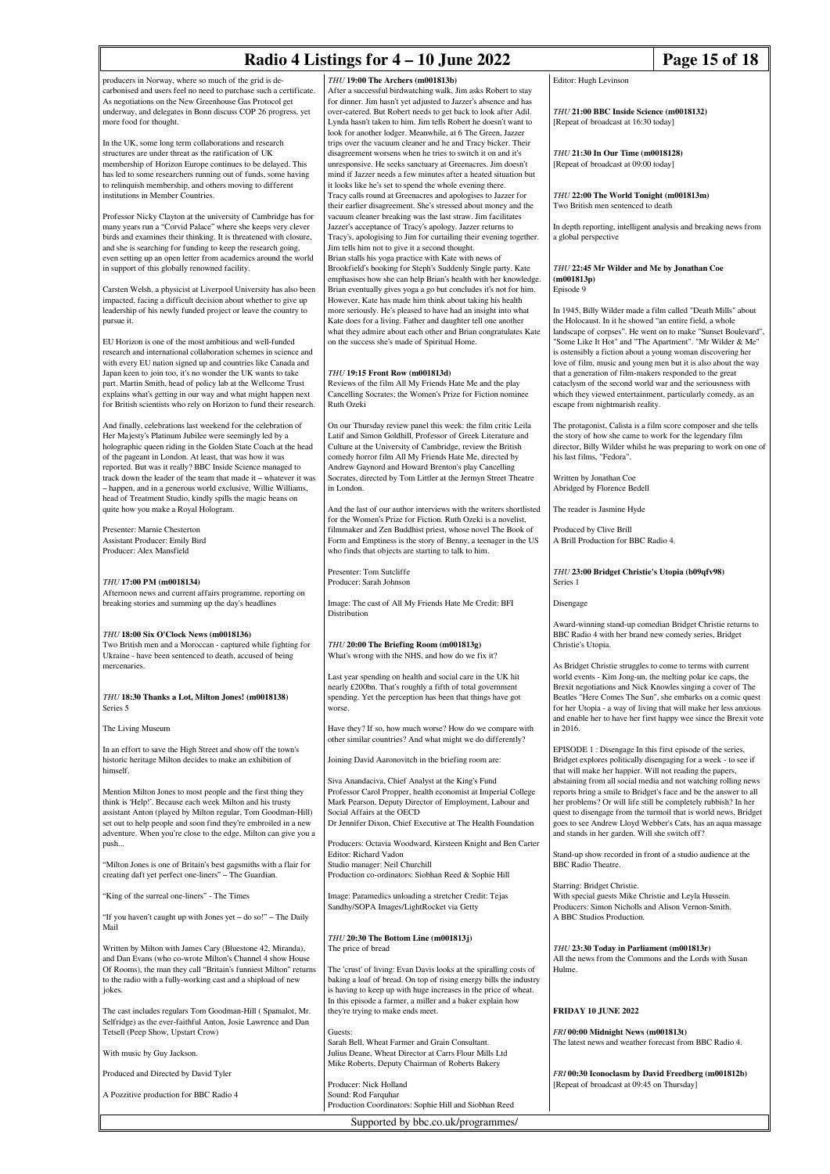# **Radio 4 Listings for 4 – 10 June 2022** Page 15 of 18

producers in Norway, where so much of the grid is decarbonised and users feel no need to purchase such a certificate. As negotiations on the New Greenhouse Gas Protocol get underway, and delegates in Bonn discuss COP 26 progress, yet more food for thought.

In the UK, some long term collaborations and research structures are under threat as the ratification of UK membership of Horizon Europe continues to be delayed. This has led to some researchers running out of funds, some having to relinquish membership, and others moving to different institutions in Member Countries.

Professor Nicky Clayton at the university of Cambridge has for many years run a "Corvid Palace" where she keeps very clever birds and examines their thinking. It is threatened with closure, and she is searching for funding to keep the research going, even setting up an open letter from academics around the world in support of this globally renowned facility.

Carsten Welsh, a physicist at Liverpool University has also been impacted, facing a difficult decision about whether to give up leadership of his newly funded project or leave the country to pursue it.

EU Horizon is one of the most ambitious and well-funded research and international collaboration schemes in science and with every EU nation signed up and countries like Canada and Japan keen to join too, it's no wonder the UK wants to take part. Martin Smith, head of policy lab at the Wellcome Trust explains what's getting in our way and what might happen next for British scientists who rely on Horizon to fund their research.

And finally, celebrations last weekend for the celebration of Her Majesty's Platinum Jubilee were seemingly led by a holographic queen riding in the Golden State Coach at the head of the pageant in London. At least, that was how it was reported. But was it really? BBC Inside Science managed to track down the leader of the team that made it – whatever it was – happen, and in a generous world exclusive, Willie Williams, head of Treatment Studio, kindly spills the magic beans on quite how you make a Royal Hologram.

Presenter: Marnie Chesterton Assistant Producer: Emily Bird Producer: Alex Mansfield

### *THU* **17:00 PM (m0018134)**

Afternoon news and current affairs programme, reporting on breaking stories and summing up the day's headlines

## *THU* **18:00 Six O'Clock News (m0018136)**

Two British men and a Moroccan - captured while fighting for Ukraine - have been sentenced to death, accused of being mercenaries.

*THU* **18:30 Thanks a Lot, Milton Jones! (m0018138)** Series 5

### The Living Museum

In an effort to save the High Street and show off the town's historic heritage Milton decides to make an exhibition of himself.

Mention Milton Jones to most people and the first thing they think is 'Help!'. Because each week Milton and his trusty assistant Anton (played by Milton regular, Tom Goodman-Hill) set out to help people and soon find they're embroiled in a new adventure. When you're close to the edge, Milton can give you a push...

"Milton Jones is one of Britain's best gagsmiths with a flair for creating daft yet perfect one-liners" – The Guardian.

"King of the surreal one-liners" - The Times

"If you haven't caught up with Jones yet – do so!" – The Daily Mail

Written by Milton with James Cary (Bluestone 42, Miranda), and Dan Evans (who co-wrote Milton's Channel 4 show House Of Rooms), the man they call "Britain's funniest Milton" returns to the radio with a fully-working cast and a shipload of new jokes.

The cast includes regulars Tom Goodman-Hill ( Spamalot, Mr. Selfridge) as the ever-faithful Anton, Josie Lawrence and Dan Tetsell (Peep Show, Upstart Crow)

With music by Guy Jackson.

Produced and Directed by David Tyler

A Pozzitive production for BBC Radio 4

*THU* **19:00 The Archers (m001813b)**

After a successful birdwatching walk, Jim asks Robert to stay for dinner. Jim hasn't yet adjusted to Jazzer's absence and has over-catered. But Robert needs to get back to look after Adil. Lynda hasn't taken to him. Jim tells Robert he doesn't want to look for another lodger. Meanwhile, at 6 The Green, Jazzer trips over the vacuum cleaner and he and Tracy bicker. Their disagreement worsens when he tries to switch it on and it's unresponsive. He seeks sanctuary at Greenacres. Jim doesn't mind if Jazzer needs a few minutes after a heated situation but it looks like he's set to spend the whole evening there. Tracy calls round at Greenacres and apologises to Jazzer for their earlier disagreement. She's stressed about money and the vacuum cleaner breaking was the last straw. Jim facilitates Jazzer's acceptance of Tracy's apology. Jazzer returns to Tracy's, apologising to Jim for curtailing their evening together. Jim tells him not to give it a second thought. Brian stalls his yoga practice with Kate with news of Brookfield's booking for Steph's Suddenly Single party. Kate emphasises how she can help Brian's health with her knowledge. Brian eventually gives yoga a go but concludes it's not for him. However, Kate has made him think about taking his health more seriously. He's pleased to have had an insight into what Kate does for a living. Father and daughter tell one another what they admire about each other and Brian congratulates Kate on the success she's made of Spiritual Home.

### *THU* **19:15 Front Row (m001813d)**

Reviews of the film All My Friends Hate Me and the play Cancelling Socrates; the Women's Prize for Fiction nominee Ruth Ozeki

On our Thursday review panel this week: the film critic Leila Latif and Simon Goldhill, Professor of Greek Literature and Culture at the University of Cambridge, review the British comedy horror film All My Friends Hate Me, directed by Andrew Gaynord and Howard Brenton's play Cancelling Socrates, directed by Tom Littler at the Jermyn Street Theatre in London.

And the last of our author interviews with the writers shortlisted for the Women's Prize for Fiction. Ruth Ozeki is a novelist, filmmaker and Zen Buddhist priest, whose novel The Book of Form and Emptiness is the story of Benny, a teenager in the US who finds that objects are starting to talk to him.

Presenter: Tom Sutcliffe Producer: Sarah Johnson

Image: The cast of All My Friends Hate Me Credit: BFI Distribution

### *THU* **20:00 The Briefing Room (m001813g)** What's wrong with the NHS, and how do we fix it?

Last year spending on health and social care in the UK hit nearly £200bn. That's roughly a fifth of total government spending. Yet the perception has been that things have got .<br>vorse.

Have they? If so, how much worse? How do we compare with other similar countries? And what might we do differently?

Joining David Aaronovitch in the briefing room are:

Siva Anandaciva, Chief Analyst at the King's Fund Professor Carol Propper, health economist at Imperial College Mark Pearson, Deputy Director of Employment, Labour and Social Affairs at the OECD Dr Jennifer Dixon, Chief Executive at The Health Foundation

Producers: Octavia Woodward, Kirsteen Knight and Ben Carter Editor: Richard Vadon Studio manager: Neil Churchill

Production co-ordinators: Siobhan Reed & Sophie Hill

Image: Paramedics unloading a stretcher Credit: Tejas Sandhy/SOPA Images/LightRocket via Getty

### *THU* **20:30 The Bottom Line (m001813j)** The price of bread

The 'crust' of living: Evan Davis looks at the spiralling costs of baking a loaf of bread. On top of rising energy bills the industry is having to keep up with huge increases in the price of wheat. In this episode a farmer, a miller and a baker explain how they're trying to make ends meet.

Guests: Sarah Bell, Wheat Farmer and Grain Consultant. Julius Deane, Wheat Director at Carrs Flour Mills Ltd Mike Roberts, Deputy Chairman of Roberts Bakery

ucer: Nick Holland Sound: Rod Farquhar Production Coordinators: Sophie Hill and Siobhan Reed

Supported by bbc.co.uk/programmes/

Editor: Hugh Levinson

*THU* **21:00 BBC Inside Science (m0018132)** [Repeat of broadcast at 16:30 today]

*THU* **21:30 In Our Time (m0018128)** [Repeat of broadcast at 09:00 today]

*THU* **22:00 The World Tonight (m001813m)** Two British men sentenced to death

In depth reporting, intelligent analysis and breaking news from a global perspective

#### *THU* **22:45 Mr Wilder and Me by Jonathan Coe (m001813p)** e<br>Episode 9

In 1945, Billy Wilder made a film called "Death Mills" about the Holocaust. In it he showed "an entire field, a whole landscape of corpses". He went on to make "Sunset Boulevard", "Some Like It Hot" and "The Apartment". "Mr Wilder & Me" is ostensibly a fiction about a young woman discovering her love of film, music and young men but it is also about the way that a generation of film-makers responded to the great cataclysm of the second world war and the seriousness with which they viewed entertainment, particularly comedy, as an escape from nightmarish reality.

The protagonist, Calista is a film score composer and she tells the story of how she came to work for the legendary film director, Billy Wilder whilst he was preparing to work on one of his last films, "Fedora"

Written by Jonathan Coe Abridged by Florence Bedell

The reader is Jasmine Hyde

Produced by Clive Brill A Brill Production for BBC Radio 4.

### *THU* **23:00 Bridget Christie's Utopia (b09qfv98)** Series 1

### Disengage

Award-winning stand-up comedian Bridget Christie returns to BBC Radio 4 with her brand new comedy series, Bridget Christie's Utopia.

As Bridget Christie struggles to come to terms with current world events - Kim Jong-un, the melting polar ice caps, the Brexit negotiations and Nick Knowles singing a cover of The Beatles "Here Comes The Sun", she embarks on a comic quest for her Utopia - a way of living that will make her less anxious and enable her to have her first happy wee since the Brexit vote in 2016.

EPISODE 1 : Disengage In this first episode of the series, Bridget explores politically disengaging for a week - to see if that will make her happier. Will not reading the papers, abstaining from all social media and not watching rolling news reports bring a smile to Bridget's face and be the answer to all her problems? Or will life still be completely rubbish? In her quest to disengage from the turmoil that is world news, Bridget goes to see Andrew Lloyd Webber's Cats, has an aqua massage and stands in her garden. Will she switch off?

Stand-up show recorded in front of a studio audience at the BBC Radio Theatre.

Starring: Bridget Christie. With special guests Mike Christie and Leyla Husse Producers: Simon Nicholls and Alison Vernon-Smith. A BBC Studios Production.

*THU* **23:30 Today in Parliament (m001813r)** All the news from the Commons and the Lords with Susan Hulme.

# **FRIDAY 10 JUNE 2022**

*FRI* **00:00 Midnight News (m001813t)** The latest news and weather forecast from BBC Radio 4.

*FRI* **00:30 Iconoclasm by David Freedberg (m001812b)** [Repeat of broadcast at 09:45 on Thursday]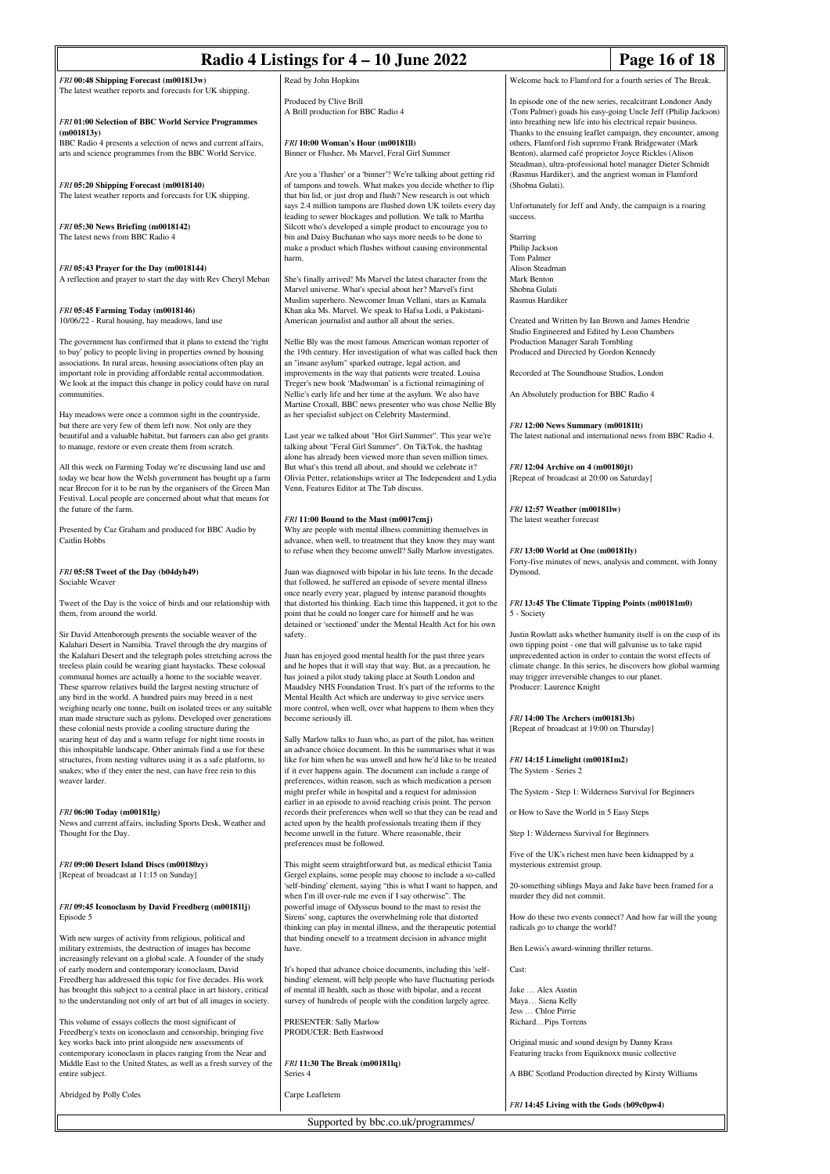| Page 16 of 18<br>Radio 4 Listings for $4 - 10$ June 2022                                                                                                                                                                                                                                                                                                                                                                                                          |                                                                                                                                                                                                                                                                                                                                           |                                                                                                                                                                                                       |                                                                                                                                                                                                       |
|-------------------------------------------------------------------------------------------------------------------------------------------------------------------------------------------------------------------------------------------------------------------------------------------------------------------------------------------------------------------------------------------------------------------------------------------------------------------|-------------------------------------------------------------------------------------------------------------------------------------------------------------------------------------------------------------------------------------------------------------------------------------------------------------------------------------------|-------------------------------------------------------------------------------------------------------------------------------------------------------------------------------------------------------|-------------------------------------------------------------------------------------------------------------------------------------------------------------------------------------------------------|
| FRI 00:48 Shipping Forecast (m001813w)<br>The latest weather reports and forecasts for UK shipping.                                                                                                                                                                                                                                                                                                                                                               | Read by John Hopkins                                                                                                                                                                                                                                                                                                                      |                                                                                                                                                                                                       | Welcome back to Flamford for a fourth series of The Break.                                                                                                                                            |
| FRI 01:00 Selection of BBC World Service Programmes<br>(m001813y)<br>BBC Radio 4 presents a selection of news and current affairs,<br>arts and science programmes from the BBC World Service.                                                                                                                                                                                                                                                                     | Produced by Clive Brill<br>A Brill production for BBC Radio 4<br>FRI 10:00 Woman's Hour (m00181ll)<br>Binner or Flusher, Ms Marvel, Feral Girl Summer                                                                                                                                                                                     | into breathing new life into his electrical repair business.<br>others, Flamford fish supremo Frank Bridgewater (Mark<br>Benton), alarmed café proprietor Joyce Rickles (Alison                       | In episode one of the new series, recalcitrant Londoner Andy<br>(Tom Palmer) goads his easy-going Uncle Jeff (Philip Jackson)<br>Thanks to the ensuing leaflet campaign, they encounter, among        |
| FRI 05:20 Shipping Forecast (m0018140)<br>The latest weather reports and forecasts for UK shipping.                                                                                                                                                                                                                                                                                                                                                               | Are you a 'flusher' or a 'binner'? We're talking about getting rid<br>of tampons and towels. What makes you decide whether to flip<br>that bin lid, or just drop and flush? New research is out which<br>says 2.4 million tampons are flushed down UK toilets every day                                                                   | Steadman), ultra-professional hotel manager Dieter Schmidt<br>(Rasmus Hardiker), and the angriest woman in Flamford<br>(Shobna Gulati).<br>Unfortunately for Jeff and Andy, the campaign is a roaring |                                                                                                                                                                                                       |
| FRI 05:30 News Briefing (m0018142)<br>The latest news from BBC Radio 4                                                                                                                                                                                                                                                                                                                                                                                            | leading to sewer blockages and pollution. We talk to Martha<br>Silcott who's developed a simple product to encourage you to<br>bin and Daisy Buchanan who says more needs to be done to<br>make a product which flushes without causing environmental<br>harm.                                                                            | success.<br>Starring<br>Philip Jackson<br>Tom Palmer                                                                                                                                                  |                                                                                                                                                                                                       |
| FRI 05:43 Prayer for the Day (m0018144)<br>A reflection and prayer to start the day with Rev Cheryl Meban                                                                                                                                                                                                                                                                                                                                                         | She's finally arrived! Ms Marvel the latest character from the<br>Marvel universe. What's special about her? Marvel's first<br>Muslim superhero. Newcomer Iman Vellani, stars as Kamala                                                                                                                                                   | Alison Steadman<br>Mark Benton<br>Shobna Gulati<br>Rasmus Hardiker                                                                                                                                    |                                                                                                                                                                                                       |
| FRI 05:45 Farming Today (m0018146)<br>10/06/22 - Rural housing, hay meadows, land use<br>The government has confirmed that it plans to extend the 'right<br>to buy' policy to people living in properties owned by housing                                                                                                                                                                                                                                        | Khan aka Ms. Marvel. We speak to Hafsa Lodi, a Pakistani-<br>American journalist and author all about the series.<br>Nellie Bly was the most famous American woman reporter of<br>the 19th century. Her investigation of what was called back then                                                                                        | Created and Written by Ian Brown and James Hendrie<br>Studio Engineered and Edited by Leon Chambers<br>Production Manager Sarah Tombling<br>Produced and Directed by Gordon Kennedy                   |                                                                                                                                                                                                       |
| associations. In rural areas, housing associations often play an<br>important role in providing affordable rental accommodation.<br>We look at the impact this change in policy could have on rural<br>communities.                                                                                                                                                                                                                                               | an "insane asylum" sparked outrage, legal action, and<br>improvements in the way that patients were treated. Louisa<br>Treger's new book 'Madwoman' is a fictional reimagining of<br>Nellie's early life and her time at the asylum. We also have                                                                                         | Recorded at The Soundhouse Studios, London<br>An Absolutely production for BBC Radio 4                                                                                                                |                                                                                                                                                                                                       |
| Hay meadows were once a common sight in the countryside,<br>but there are very few of them left now. Not only are they<br>beautiful and a valuable habitat, but farmers can also get grants                                                                                                                                                                                                                                                                       | Martine Croxall, BBC news presenter who was chose Nellie Bly<br>as her specialist subject on Celebrity Mastermind.<br>Last year we talked about "Hot Girl Summer". This year we're                                                                                                                                                        | FRI 12:00 News Summary (m00181lt)                                                                                                                                                                     | The latest national and international news from BBC Radio 4.                                                                                                                                          |
| to manage, restore or even create them from scratch.<br>All this week on Farming Today we're discussing land use and<br>today we hear how the Welsh government has bought up a farm<br>near Brecon for it to be run by the organisers of the Green Man                                                                                                                                                                                                            | talking about "Feral Girl Summer". On TikTok, the hashtag<br>alone has already been viewed more than seven million times.<br>But what's this trend all about, and should we celebrate it?<br>Olivia Petter, relationships writer at The Independent and Lydia<br>Venn, Features Editor at The Tab discuss.                                | FRI 12:04 Archive on 4 (m00180jt)<br>[Repeat of broadcast at 20:00 on Saturday]                                                                                                                       |                                                                                                                                                                                                       |
| Festival. Local people are concerned about what that means for<br>the future of the farm.<br>Presented by Caz Graham and produced for BBC Audio by                                                                                                                                                                                                                                                                                                                | FRI 11:00 Bound to the Mast (m0017cmj)<br>Why are people with mental illness committing themselves in                                                                                                                                                                                                                                     | FRI 12:57 Weather (m00181lw)<br>The latest weather forecast                                                                                                                                           |                                                                                                                                                                                                       |
| Caitlin Hobbs<br>FRI 05:58 Tweet of the Day (b04dyh49)<br>Sociable Weaver                                                                                                                                                                                                                                                                                                                                                                                         | advance, when well, to treatment that they know they may want<br>to refuse when they become unwell? Sally Marlow investigates.<br>Juan was diagnosed with bipolar in his late teens. In the decade                                                                                                                                        | FRI 13:00 World at One (m00181ly)<br>Dymond.                                                                                                                                                          | Forty-five minutes of news, analysis and comment, with Jonny                                                                                                                                          |
| Tweet of the Day is the voice of birds and our relationship with<br>them, from around the world.                                                                                                                                                                                                                                                                                                                                                                  | that followed, he suffered an episode of severe mental illness<br>once nearly every year, plagued by intense paranoid thoughts<br>that distorted his thinking. Each time this happened, it got to the<br>point that he could no longer care for himself and he was<br>detained or 'sectioned' under the Mental Health Act for his own     | FRI 13:45 The Climate Tipping Points (m00181m0)<br>5 - Society                                                                                                                                        |                                                                                                                                                                                                       |
| Sir David Attenborough presents the sociable weaver of the<br>Kalahari Desert in Namibia. Travel through the dry margins of<br>the Kalahari Desert and the telegraph poles stretching across the<br>treeless plain could be wearing giant haystacks. These colossal<br>communal homes are actually a home to the sociable weaver.<br>These sparrow relatives build the largest nesting structure of<br>any bird in the world. A hundred pairs may breed in a nest | safety.<br>Juan has enjoyed good mental health for the past three years<br>and he hopes that it will stay that way. But, as a precaution, he<br>has joined a pilot study taking place at South London and<br>Maudsley NHS Foundation Trust. It's part of the reforms to the<br>Mental Health Act which are underway to give service users | own tipping point - one that will galvanise us to take rapid<br>may trigger irreversible changes to our planet.<br>Producer: Laurence Knight                                                          | Justin Rowlatt asks whether humanity itself is on the cusp of its<br>unprecedented action in order to contain the worst effects of<br>climate change. In this series, he discovers how global warming |
| weighing nearly one tonne, built on isolated trees or any suitable<br>man made structure such as pylons. Developed over generations<br>these colonial nests provide a cooling structure during the<br>searing heat of day and a warm refuge for night time roosts in<br>this inhospitable landscape. Other animals find a use for these<br>structures, from nesting vultures using it as a safe platform, to                                                      | more control, when well, over what happens to them when they<br>become seriously ill.<br>Sally Marlow talks to Juan who, as part of the pilot, has written<br>an advance choice document. In this he summarises what it was<br>like for him when he was unwell and how he'd like to be treated                                            | FRI 14:00 The Archers (m001813b)<br>[Repeat of broadcast at 19:00 on Thursday]<br>FRI 14:15 Limelight (m00181m2)                                                                                      |                                                                                                                                                                                                       |
| snakes; who if they enter the nest, can have free rein to this<br>weaver larder.                                                                                                                                                                                                                                                                                                                                                                                  | if it ever happens again. The document can include a range of<br>preferences, within reason, such as which medication a person<br>might prefer while in hospital and a request for admission<br>earlier in an episode to avoid reaching crisis point. The person                                                                          | The System - Series 2<br>The System - Step 1: Wilderness Survival for Beginners                                                                                                                       |                                                                                                                                                                                                       |
| FRI 06:00 Today (m00181lg)<br>News and current affairs, including Sports Desk, Weather and<br>Thought for the Day.                                                                                                                                                                                                                                                                                                                                                | records their preferences when well so that they can be read and<br>acted upon by the health professionals treating them if they<br>become unwell in the future. Where reasonable, their<br>preferences must be followed.                                                                                                                 | or How to Save the World in 5 Easy Steps<br>Step 1: Wilderness Survival for Beginners                                                                                                                 |                                                                                                                                                                                                       |
| FRI 09:00 Desert Island Discs (m00180zy)<br>[Repeat of broadcast at 11:15 on Sunday]                                                                                                                                                                                                                                                                                                                                                                              | This might seem straightforward but, as medical ethicist Tania<br>Gergel explains, some people may choose to include a so-called<br>'self-binding' element, saying "this is what I want to happen, and                                                                                                                                    | Five of the UK's richest men have been kidnapped by a<br>mysterious extremist group.                                                                                                                  | 20-something siblings Maya and Jake have been framed for a                                                                                                                                            |
| FRI 09:45 Iconoclasm by David Freedberg (m00181lj)<br>Episode 5                                                                                                                                                                                                                                                                                                                                                                                                   | when I'm ill over-rule me even if I say otherwise". The<br>powerful image of Odysseus bound to the mast to resist the<br>Sirens' song, captures the overwhelming role that distorted<br>thinking can play in mental illness, and the therapeutic potential                                                                                | murder they did not commit.<br>radicals go to change the world?                                                                                                                                       | How do these two events connect? And how far will the young                                                                                                                                           |
| With new surges of activity from religious, political and<br>military extremists, the destruction of images has become<br>increasingly relevant on a global scale. A founder of the study<br>of early modern and contemporary iconoclasm, David                                                                                                                                                                                                                   | that binding oneself to a treatment decision in advance might<br>have.<br>It's hoped that advance choice documents, including this 'self-                                                                                                                                                                                                 | Ben Lewis's award-winning thriller returns.<br>Cast:                                                                                                                                                  |                                                                                                                                                                                                       |
| Freedberg has addressed this topic for five decades. His work<br>has brought this subject to a central place in art history, critical<br>to the understanding not only of art but of all images in society.                                                                                                                                                                                                                                                       | binding' element, will help people who have fluctuating periods<br>of mental ill health, such as those with bipolar, and a recent<br>survey of hundreds of people with the condition largely agree.                                                                                                                                       | Jake  Alex Austin<br>Maya Siena Kelly<br>Jess  Chloe Pirrie                                                                                                                                           |                                                                                                                                                                                                       |
| This volume of essays collects the most significant of<br>Freedberg's texts on iconoclasm and censorship, bringing five<br>key works back into print alongside new assessments of<br>contemporary iconoclasm in places ranging from the Near and<br>Middle East to the United States, as well as a fresh survey of the                                                                                                                                            | PRESENTER: Sally Marlow<br>PRODUCER: Beth Eastwood<br>FRI 11:30 The Break (m00181lq)                                                                                                                                                                                                                                                      | RichardPips Torrens<br>Original music and sound design by Danny Krass<br>Featuring tracks from Equiknoxx music collective                                                                             |                                                                                                                                                                                                       |
| entire subject.<br>Abridged by Polly Coles                                                                                                                                                                                                                                                                                                                                                                                                                        | Series 4<br>Carpe Leafletem                                                                                                                                                                                                                                                                                                               | A BBC Scotland Production directed by Kirsty Williams                                                                                                                                                 |                                                                                                                                                                                                       |
|                                                                                                                                                                                                                                                                                                                                                                                                                                                                   | Supported by bbc.co.uk/programmes/                                                                                                                                                                                                                                                                                                        | FRI 14:45 Living with the Gods (b09c0pw4)                                                                                                                                                             |                                                                                                                                                                                                       |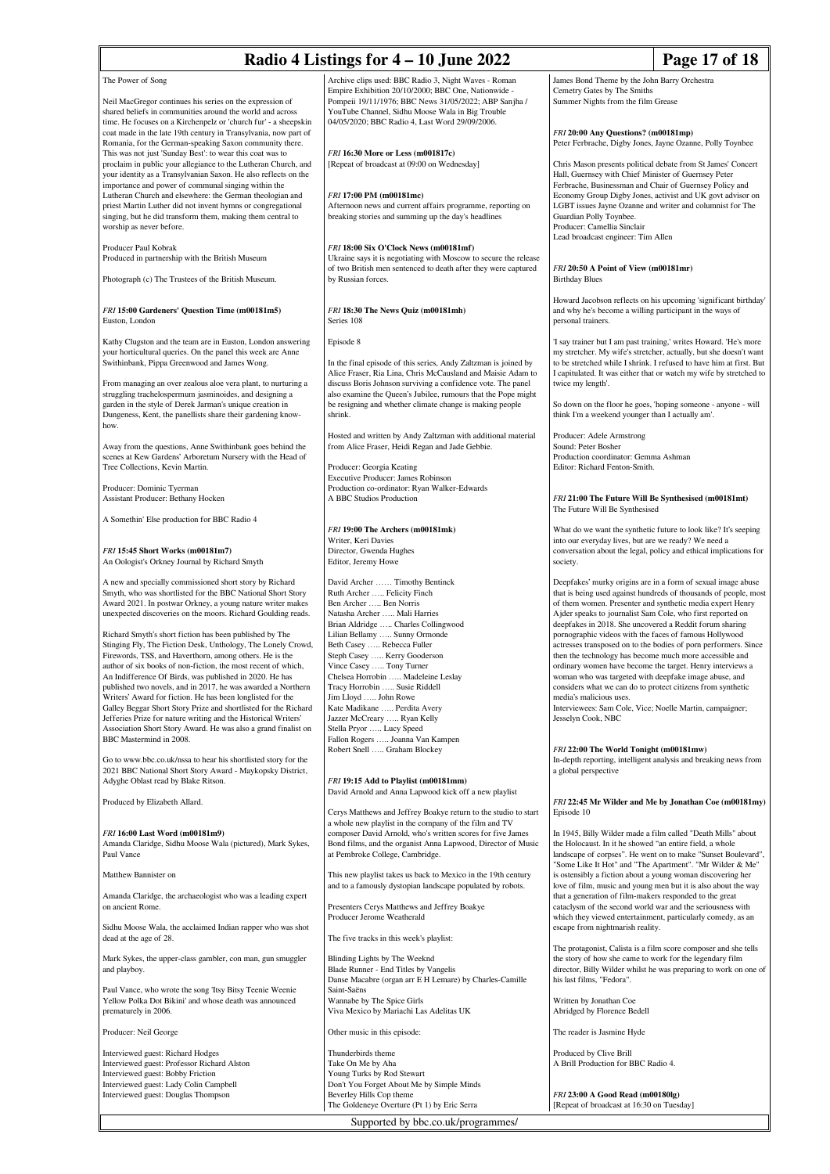| Radio 4 Listings for 4 - 10 June 2022                                                                                                                                                                                                                                                                               |                                                                                                                                                                                                                    | Page 17 of 18                                                                                                                                                                                                                                                                                                                                     |                                                                                                                           |
|---------------------------------------------------------------------------------------------------------------------------------------------------------------------------------------------------------------------------------------------------------------------------------------------------------------------|--------------------------------------------------------------------------------------------------------------------------------------------------------------------------------------------------------------------|---------------------------------------------------------------------------------------------------------------------------------------------------------------------------------------------------------------------------------------------------------------------------------------------------------------------------------------------------|---------------------------------------------------------------------------------------------------------------------------|
| The Power of Song                                                                                                                                                                                                                                                                                                   | Archive clips used: BBC Radio 3, Night Waves - Roman                                                                                                                                                               | James Bond Theme by the John Barry Orchestra                                                                                                                                                                                                                                                                                                      |                                                                                                                           |
| Neil MacGregor continues his series on the expression of<br>shared beliefs in communities around the world and across<br>time. He focuses on a Kirchenpelz or 'church fur' - a sheepskin                                                                                                                            | Empire Exhibition 20/10/2000; BBC One, Nationwide -<br>Pompeii 19/11/1976; BBC News 31/05/2022; ABP Sanjha /<br>YouTube Channel, Sidhu Moose Wala in Big Trouble<br>04/05/2020; BBC Radio 4, Last Word 29/09/2006. | Cemetry Gates by The Smiths<br>Summer Nights from the film Grease                                                                                                                                                                                                                                                                                 |                                                                                                                           |
| coat made in the late 19th century in Transylvania, now part of<br>Romania, for the German-speaking Saxon community there.<br>This was not just 'Sunday Best': to wear this coat was to                                                                                                                             | FRI 16:30 More or Less (m001817c)                                                                                                                                                                                  | FRI 20:00 Any Questions? (m00181mp)<br>Peter Ferbrache, Digby Jones, Jayne Ozanne, Polly Toynbee<br>Chris Mason presents political debate from St James' Concert<br>Hall, Guernsey with Chief Minister of Guernsey Peter<br>Ferbrache, Businessman and Chair of Guernsey Policy and<br>Economy Group Digby Jones, activist and UK govt advisor on |                                                                                                                           |
| proclaim in public your allegiance to the Lutheran Church, and<br>your identity as a Transylvanian Saxon. He also reflects on the<br>importance and power of communal singing within the<br>Lutheran Church and elsewhere: the German theologian and<br>priest Martin Luther did not invent hymns or congregational | [Repeat of broadcast at 09:00 on Wednesday]<br>FRI 17:00 PM (m00181mc)                                                                                                                                             |                                                                                                                                                                                                                                                                                                                                                   |                                                                                                                           |
| singing, but he did transform them, making them central to<br>worship as never before.                                                                                                                                                                                                                              | Afternoon news and current affairs programme, reporting on<br>breaking stories and summing up the day's headlines                                                                                                  | LGBT issues Jayne Ozanne and writer and columnist for The<br>Guardian Polly Toynbee.<br>Producer: Camellia Sinclair<br>Lead broadcast engineer: Tim Allen                                                                                                                                                                                         |                                                                                                                           |
| Producer Paul Kobrak<br>Produced in partnership with the British Museum                                                                                                                                                                                                                                             | FRI 18:00 Six O'Clock News (m00181mf)<br>Ukraine says it is negotiating with Moscow to secure the release<br>of two British men sentenced to death after they were captured                                        | FRI 20:50 A Point of View (m00181mr)                                                                                                                                                                                                                                                                                                              |                                                                                                                           |
| Photograph (c) The Trustees of the British Museum.                                                                                                                                                                                                                                                                  | by Russian forces.                                                                                                                                                                                                 | <b>Birthday Blues</b>                                                                                                                                                                                                                                                                                                                             |                                                                                                                           |
| FRI 15:00 Gardeners' Question Time (m00181m5)<br>Euston, London                                                                                                                                                                                                                                                     | FRI 18:30 The News Quiz (m00181mh)<br>Series 108                                                                                                                                                                   | and why he's become a willing participant in the ways of<br>personal trainers.                                                                                                                                                                                                                                                                    | Howard Jacobson reflects on his upcoming 'significant birthday'                                                           |
| Kathy Clugston and the team are in Euston, London answering<br>your horticultural queries. On the panel this week are Anne<br>Swithinbank, Pippa Greenwood and James Wong.<br>From managing an over zealous aloe vera plant, to nurturing a                                                                         | Episode 8<br>In the final episode of this series, Andy Zaltzman is joined by<br>Alice Fraser, Ria Lina, Chris McCausland and Maisie Adam to<br>discuss Boris Johnson surviving a confidence vote. The panel        | 'I say trainer but I am past training,' writes Howard. 'He's more<br>my stretcher. My wife's stretcher, actually, but she doesn't want<br>to be stretched while I shrink. I refused to have him at first. But<br>I capitulated. It was either that or watch my wife by stretched to                                                               |                                                                                                                           |
| struggling trachelospermum jasminoides, and designing a<br>garden in the style of Derek Jarman's unique creation in<br>Dungeness, Kent, the panellists share their gardening know-<br>how.                                                                                                                          | also examine the Queen's Jubilee, rumours that the Pope might<br>be resigning and whether climate change is making people<br>shrink.                                                                               | twice my length'.<br>think I'm a weekend younger than I actually am'.                                                                                                                                                                                                                                                                             | So down on the floor he goes, 'hoping someone - anyone - will                                                             |
| Away from the questions, Anne Swithinbank goes behind the<br>scenes at Kew Gardens' Arboretum Nursery with the Head of<br>Tree Collections, Kevin Martin.                                                                                                                                                           | Hosted and written by Andy Zaltzman with additional material<br>from Alice Fraser, Heidi Regan and Jade Gebbie.<br>Producer: Georgia Keating<br>Executive Producer: James Robinson                                 | Producer: Adele Armstrong<br>Sound: Peter Bosher<br>Production coordinator: Gemma Ashman<br>Editor: Richard Fenton-Smith.                                                                                                                                                                                                                         |                                                                                                                           |
| Producer: Dominic Tyerman<br>Assistant Producer: Bethany Hocken                                                                                                                                                                                                                                                     | Production co-ordinator: Ryan Walker-Edwards<br>A BBC Studios Production                                                                                                                                           | FRI 21:00 The Future Will Be Synthesised (m00181mt)                                                                                                                                                                                                                                                                                               |                                                                                                                           |
| A Somethin' Else production for BBC Radio 4                                                                                                                                                                                                                                                                         | FRI 19:00 The Archers (m00181mk)                                                                                                                                                                                   | The Future Will Be Synthesised<br>What do we want the synthetic future to look like? It's seeping                                                                                                                                                                                                                                                 |                                                                                                                           |
| FRI 15:45 Short Works (m00181m7)<br>An Oologist's Orkney Journal by Richard Smyth                                                                                                                                                                                                                                   | Writer, Keri Davies<br>Director, Gwenda Hughes<br>Editor, Jeremy Howe                                                                                                                                              | into our everyday lives, but are we ready? We need a<br>conversation about the legal, policy and ethical implications for<br>society.                                                                                                                                                                                                             |                                                                                                                           |
| A new and specially commissioned short story by Richard<br>Smyth, who was shortlisted for the BBC National Short Story<br>Award 2021. In postwar Orkney, a young nature writer makes<br>unexpected discoveries on the moors. Richard Goulding reads.                                                                | David Archer  Timothy Bentinck<br>Ruth Archer  Felicity Finch<br>Ben Archer  Ben Norris<br>Natasha Archer  Mali Harries<br>Brian Aldridge  Charles Collingwood                                                     | Deepfakes' murky origins are in a form of sexual image abuse<br>that is being used against hundreds of thousands of people, most<br>of them women. Presenter and synthetic media expert Henry<br>Ajder speaks to journalist Sam Cole, who first reported on<br>deepfakes in 2018. She uncovered a Reddit forum sharing                            |                                                                                                                           |
| Richard Smyth's short fiction has been published by The<br>Stinging Fly, The Fiction Desk, Unthology, The Lonely Crowd,<br>Firewords, TSS, and Haverthorn, among others. He is the<br>author of six books of non-fiction, the most recent of which,<br>An Indifference Of Birds, was published in 2020. He has      | Lilian Bellamy  Sunny Ormonde<br>Beth Casey  Rebecca Fuller<br>Steph Casey  Kerry Gooderson<br>Vince Casey  Tony Turner<br>Chelsea Horrobin  Madeleine Leslay                                                      | pornographic videos with the faces of famous Hollywood<br>actresses transposed on to the bodies of porn performers. Since<br>then the technology has become much more accessible and<br>ordinary women have become the target. Henry interviews a<br>woman who was targeted with deepfake image abuse, and                                        |                                                                                                                           |
| published two novels, and in 2017, he was awarded a Northern<br>Writers' Award for fiction. He has been longlisted for the<br>Galley Beggar Short Story Prize and shortlisted for the Richard<br>Jefferies Prize for nature writing and the Historical Writers'                                                     | Tracy Horrobin  Susie Riddell<br>Jim Lloyd  John Rowe<br>Kate Madikane  Perdita Avery<br>Jazzer McCreary  Ryan Kelly                                                                                               | considers what we can do to protect citizens from synthetic<br>media's malicious uses.<br>Interviewees: Sam Cole, Vice; Noelle Martin, campaigner;<br>Jesselyn Cook, NBC                                                                                                                                                                          |                                                                                                                           |
| Association Short Story Award. He was also a grand finalist on<br>BBC Mastermind in 2008.<br>Go to www.bbc.co.uk/nssa to hear his shortlisted story for the                                                                                                                                                         | Stella Pryor  Lucy Speed<br>Fallon Rogers  Joanna Van Kampen<br>Robert Snell  Graham Blockey                                                                                                                       | FRI 22:00 The World Tonight (m00181mw)                                                                                                                                                                                                                                                                                                            | In-depth reporting, intelligent analysis and breaking news from                                                           |
| 2021 BBC National Short Story Award - Maykopsky District,<br>Adyghe Oblast read by Blake Ritson.                                                                                                                                                                                                                    | FRI 19:15 Add to Playlist (m00181mm)<br>David Arnold and Anna Lapwood kick off a new playlist                                                                                                                      | a global perspective                                                                                                                                                                                                                                                                                                                              |                                                                                                                           |
| Produced by Elizabeth Allard.<br>FRI 16:00 Last Word (m00181m9)                                                                                                                                                                                                                                                     | Cerys Matthews and Jeffrey Boakye return to the studio to start<br>a whole new playlist in the company of the film and TV<br>composer David Arnold, who's written scores for five James                            | Episode 10<br>In 1945, Billy Wilder made a film called "Death Mills" about                                                                                                                                                                                                                                                                        | FRI 22:45 Mr Wilder and Me by Jonathan Coe (m00181my)                                                                     |
| Amanda Claridge, Sidhu Moose Wala (pictured), Mark Sykes,<br>Paul Vance                                                                                                                                                                                                                                             | Bond films, and the organist Anna Lapwood, Director of Music<br>at Pembroke College, Cambridge.                                                                                                                    | the Holocaust. In it he showed "an entire field, a whole                                                                                                                                                                                                                                                                                          | landscape of corpses". He went on to make "Sunset Boulevard",<br>"Some Like It Hot" and "The Apartment". "Mr Wilder & Me" |
| Matthew Bannister on                                                                                                                                                                                                                                                                                                | This new playlist takes us back to Mexico in the 19th century<br>and to a famously dystopian landscape populated by robots.                                                                                        | is ostensibly a fiction about a young woman discovering her                                                                                                                                                                                                                                                                                       | love of film, music and young men but it is also about the way                                                            |
| Amanda Claridge, the archaeologist who was a leading expert<br>on ancient Rome.                                                                                                                                                                                                                                     | Presenters Cerys Matthews and Jeffrey Boakye<br>Producer Jerome Weatherald                                                                                                                                         | that a generation of film-makers responded to the great<br>cataclysm of the second world war and the seriousness with<br>which they viewed entertainment, particularly comedy, as an                                                                                                                                                              |                                                                                                                           |
| Sidhu Moose Wala, the acclaimed Indian rapper who was shot<br>dead at the age of 28.                                                                                                                                                                                                                                | The five tracks in this week's playlist:                                                                                                                                                                           | escape from nightmarish reality.<br>The protagonist, Calista is a film score composer and she tells                                                                                                                                                                                                                                               |                                                                                                                           |
| Mark Sykes, the upper-class gambler, con man, gun smuggler<br>and playboy.                                                                                                                                                                                                                                          | Blinding Lights by The Weeknd<br>Blade Runner - End Titles by Vangelis<br>Danse Macabre (organ arr E H Lemare) by Charles-Camille                                                                                  | the story of how she came to work for the legendary film<br>director, Billy Wilder whilst he was preparing to work on one of<br>his last films, "Fedora".                                                                                                                                                                                         |                                                                                                                           |
| Paul Vance, who wrote the song 'Itsy Bitsy Teenie Weenie<br>Yellow Polka Dot Bikini' and whose death was announced<br>prematurely in 2006.                                                                                                                                                                          | Saint-Saëns<br>Wannabe by The Spice Girls<br>Viva Mexico by Mariachi Las Adelitas UK                                                                                                                               | Written by Jonathan Coe<br>Abridged by Florence Bedell                                                                                                                                                                                                                                                                                            |                                                                                                                           |
| Producer: Neil George                                                                                                                                                                                                                                                                                               | Other music in this episode:                                                                                                                                                                                       | The reader is Jasmine Hyde                                                                                                                                                                                                                                                                                                                        |                                                                                                                           |
| Interviewed guest: Richard Hodges<br>Interviewed guest: Professor Richard Alston<br>Interviewed guest: Bobby Friction                                                                                                                                                                                               | Thunderbirds theme<br>Take On Me by Aha<br>Young Turks by Rod Stewart                                                                                                                                              | Produced by Clive Brill<br>A Brill Production for BBC Radio 4.                                                                                                                                                                                                                                                                                    |                                                                                                                           |
| Interviewed guest: Lady Colin Campbell<br>Interviewed guest: Douglas Thompson                                                                                                                                                                                                                                       | Don't You Forget About Me by Simple Minds<br>Beverley Hills Cop theme<br>The Goldeneye Overture (Pt 1) by Eric Serra                                                                                               | FRI 23:00 A Good Read (m00180lg)<br>[Repeat of broadcast at 16:30 on Tuesday]                                                                                                                                                                                                                                                                     |                                                                                                                           |

Supported by bbc.co.uk/programmes/